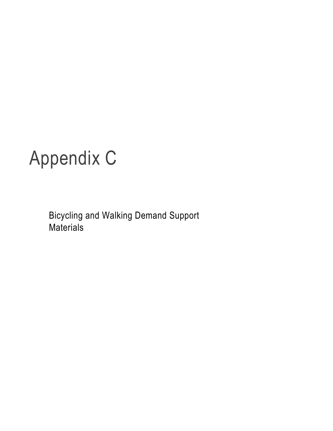Bicycling and Walking Demand Support **Materials**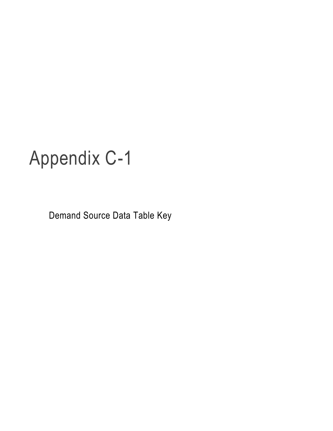Demand Source Data Table Key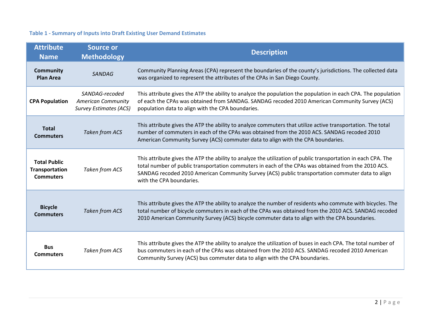### **Table 1 - Summary of Inputs into Draft Existing User Demand Estimates**

| <b>Attribute</b><br><b>Name</b>                           | <b>Source or</b><br><b>Methodology</b>                                       | <b>Description</b>                                                                                                                                                                                                                                                                                                                                   |
|-----------------------------------------------------------|------------------------------------------------------------------------------|------------------------------------------------------------------------------------------------------------------------------------------------------------------------------------------------------------------------------------------------------------------------------------------------------------------------------------------------------|
| <b>Community</b><br><b>Plan Area</b>                      | <b>SANDAG</b>                                                                | Community Planning Areas (CPA) represent the boundaries of the county's jurisdictions. The collected data<br>was organized to represent the attributes of the CPAs in San Diego County.                                                                                                                                                              |
| <b>CPA Population</b>                                     | SANDAG-recoded<br><b>American Community</b><br><b>Survey Estimates (ACS)</b> | This attribute gives the ATP the ability to analyze the population the population in each CPA. The population<br>of each the CPAs was obtained from SANDAG. SANDAG recoded 2010 American Community Survey (ACS)<br>population data to align with the CPA boundaries.                                                                                 |
| <b>Total</b><br><b>Commuters</b>                          | <b>Taken from ACS</b>                                                        | This attribute gives the ATP the ability to analyze commuters that utilize active transportation. The total<br>number of commuters in each of the CPAs was obtained from the 2010 ACS. SANDAG recoded 2010<br>American Community Survey (ACS) commuter data to align with the CPA boundaries.                                                        |
| <b>Total Public</b><br>Transportation<br><b>Commuters</b> | <b>Taken from ACS</b>                                                        | This attribute gives the ATP the ability to analyze the utilization of public transportation in each CPA. The<br>total number of public transportation commuters in each of the CPAs was obtained from the 2010 ACS.<br>SANDAG recoded 2010 American Community Survey (ACS) public transportation commuter data to align<br>with the CPA boundaries. |
| <b>Bicycle</b><br><b>Commuters</b>                        | <b>Taken from ACS</b>                                                        | This attribute gives the ATP the ability to analyze the number of residents who commute with bicycles. The<br>total number of bicycle commuters in each of the CPAs was obtained from the 2010 ACS. SANDAG recoded<br>2010 American Community Survey (ACS) bicycle commuter data to align with the CPA boundaries.                                   |
| <b>Bus</b><br><b>Commuters</b>                            | Taken from ACS                                                               | This attribute gives the ATP the ability to analyze the utilization of buses in each CPA. The total number of<br>bus commuters in each of the CPAs was obtained from the 2010 ACS. SANDAG recoded 2010 American<br>Community Survey (ACS) bus commuter data to align with the CPA boundaries.                                                        |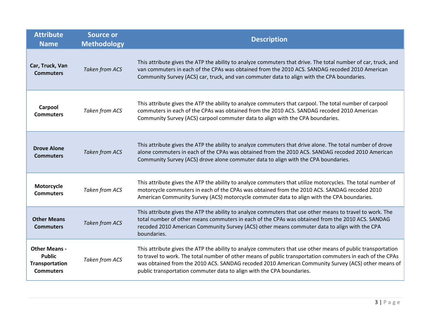| <b>Attribute</b><br><b>Name</b>                                                    | <b>Source or</b><br><b>Methodology</b> | <b>Description</b>                                                                                                                                                                                                                                                                                                                                                                                      |
|------------------------------------------------------------------------------------|----------------------------------------|---------------------------------------------------------------------------------------------------------------------------------------------------------------------------------------------------------------------------------------------------------------------------------------------------------------------------------------------------------------------------------------------------------|
| Car, Truck, Van<br><b>Commuters</b>                                                | <b>Taken from ACS</b>                  | This attribute gives the ATP the ability to analyze commuters that drive. The total number of car, truck, and<br>van commuters in each of the CPAs was obtained from the 2010 ACS. SANDAG recoded 2010 American<br>Community Survey (ACS) car, truck, and van commuter data to align with the CPA boundaries.                                                                                           |
| Carpool<br><b>Commuters</b>                                                        | Taken from ACS                         | This attribute gives the ATP the ability to analyze commuters that carpool. The total number of carpool<br>commuters in each of the CPAs was obtained from the 2010 ACS. SANDAG recoded 2010 American<br>Community Survey (ACS) carpool commuter data to align with the CPA boundaries.                                                                                                                 |
| <b>Drove Alone</b><br><b>Commuters</b>                                             | <b>Taken from ACS</b>                  | This attribute gives the ATP the ability to analyze commuters that drive alone. The total number of drove<br>alone commuters in each of the CPAs was obtained from the 2010 ACS. SANDAG recoded 2010 American<br>Community Survey (ACS) drove alone commuter data to align with the CPA boundaries.                                                                                                     |
| Motorcycle<br><b>Commuters</b>                                                     | Taken from ACS                         | This attribute gives the ATP the ability to analyze commuters that utilize motorcycles. The total number of<br>motorcycle commuters in each of the CPAs was obtained from the 2010 ACS. SANDAG recoded 2010<br>American Community Survey (ACS) motorcycle commuter data to align with the CPA boundaries.                                                                                               |
| <b>Other Means</b><br><b>Commuters</b>                                             | <b>Taken from ACS</b>                  | This attribute gives the ATP the ability to analyze commuters that use other means to travel to work. The<br>total number of other means commuters in each of the CPAs was obtained from the 2010 ACS. SANDAG<br>recoded 2010 American Community Survey (ACS) other means commuter data to align with the CPA<br>boundaries.                                                                            |
| <b>Other Means -</b><br><b>Public</b><br><b>Transportation</b><br><b>Commuters</b> | Taken from ACS                         | This attribute gives the ATP the ability to analyze commuters that use other means of public transportation<br>to travel to work. The total number of other means of public transportation commuters in each of the CPAs<br>was obtained from the 2010 ACS. SANDAG recoded 2010 American Community Survey (ACS) other means of<br>public transportation commuter data to align with the CPA boundaries. |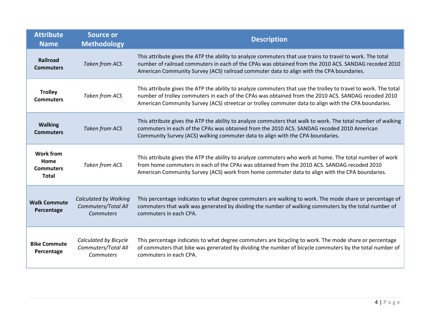| <b>Attribute</b><br><b>Name</b>                              | <b>Source or</b><br><b>Methodology</b>                                  | <b>Description</b>                                                                                                                                                                                                                                                                                                             |
|--------------------------------------------------------------|-------------------------------------------------------------------------|--------------------------------------------------------------------------------------------------------------------------------------------------------------------------------------------------------------------------------------------------------------------------------------------------------------------------------|
| Railroad<br><b>Commuters</b>                                 | <b>Taken from ACS</b>                                                   | This attribute gives the ATP the ability to analyze commuters that use trains to travel to work. The total<br>number of railroad commuters in each of the CPAs was obtained from the 2010 ACS. SANDAG recoded 2010<br>American Community Survey (ACS) railroad commuter data to align with the CPA boundaries.                 |
| <b>Trolley</b><br><b>Commuters</b>                           | Taken from ACS                                                          | This attribute gives the ATP the ability to analyze commuters that use the trolley to travel to work. The total<br>number of trolley commuters in each of the CPAs was obtained from the 2010 ACS. SANDAG recoded 2010<br>American Community Survey (ACS) streetcar or trolley commuter data to align with the CPA boundaries. |
| <b>Walking</b><br><b>Commuters</b>                           | <b>Taken from ACS</b>                                                   | This attribute gives the ATP the ability to analyze commuters that walk to work. The total number of walking<br>commuters in each of the CPAs was obtained from the 2010 ACS. SANDAG recoded 2010 American<br>Community Survey (ACS) walking commuter data to align with the CPA boundaries.                                   |
| <b>Work from</b><br>Home<br><b>Commuters</b><br><b>Total</b> | Taken from ACS                                                          | This attribute gives the ATP the ability to analyze commuters who work at home. The total number of work<br>from home commuters in each of the CPAs was obtained from the 2010 ACS. SANDAG recoded 2010<br>American Community Survey (ACS) work from home commuter data to align with the CPA boundaries.                      |
| <b>Walk Commute</b><br>Percentage                            | <b>Calculated by Walking</b><br>Commuters/Total All<br><b>Commuters</b> | This percentage indicates to what degree commuters are walking to work. The mode share or percentage of<br>commuters that walk was generated by dividing the number of walking commuters by the total number of<br>commuters in each CPA.                                                                                      |
| <b>Bike Commute</b><br>Percentage                            | Calculated by Bicycle<br>Commuters/Total All<br>Commuters               | This percentage indicates to what degree commuters are bicycling to work. The mode share or percentage<br>of commuters that bike was generated by dividing the number of bicycle commuters by the total number of<br>commuters in each CPA.                                                                                    |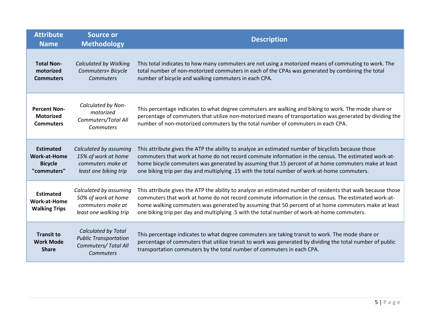| <b>Attribute</b><br><b>Name</b>                                          | <b>Source or</b><br><b>Methodology</b>                                                                 | <b>Description</b>                                                                                                                                                                                                                                                                                                                                                                                                        |
|--------------------------------------------------------------------------|--------------------------------------------------------------------------------------------------------|---------------------------------------------------------------------------------------------------------------------------------------------------------------------------------------------------------------------------------------------------------------------------------------------------------------------------------------------------------------------------------------------------------------------------|
| <b>Total Non-</b><br>motorized<br><b>Commuters</b>                       | Calculated by Walking<br>Commuters+ Bicycle<br><b>Commuters</b>                                        | This total indicates to how many commuters are not using a motorized means of commuting to work. The<br>total number of non-motorized commuters in each of the CPAs was generated by combining the total<br>number of bicycle and walking commuters in each CPA.                                                                                                                                                          |
| <b>Percent Non-</b><br><b>Motorized</b><br><b>Commuters</b>              | Calculated by Non-<br>motorized<br>Commuters/Total All<br><b>Commuters</b>                             | This percentage indicates to what degree commuters are walking and biking to work. The mode share or<br>percentage of commuters that utilize non-motorized means of transportation was generated by dividing the<br>number of non-motorized commuters by the total number of commuters in each CPA.                                                                                                                       |
| <b>Estimated</b><br><b>Work-at-Home</b><br><b>Bicycle</b><br>"commuters" | Calculated by assuming<br>15% of work at home<br>commuters make at<br>least one biking trip            | This attribute gives the ATP the ability to analyze an estimated number of bicyclists because those<br>commuters that work at home do not record commute information in the census. The estimated work-at-<br>home bicycle commuters was generated by assuming that 15 percent of at home commuters make at least<br>one biking trip per day and multiplying .15 with the total number of work-at-home commuters.         |
| <b>Estimated</b><br><b>Work-at-Home</b><br><b>Walking Trips</b>          | Calculated by assuming<br>50% of work at home<br>commuters make at<br>least one walking trip           | This attribute gives the ATP the ability to analyze an estimated number of residents that walk because those<br>commuters that work at home do not record commute information in the census. The estimated work-at-<br>home walking commuters was generated by assuming that 50 percent of at home commuters make at least<br>one biking trip per day and multiplying .5 with the total number of work-at-home commuters. |
| <b>Transit to</b><br><b>Work Mode</b><br><b>Share</b>                    | <b>Calculated by Total</b><br><b>Public Transportation</b><br>Commuters/ Total All<br><b>Commuters</b> | This percentage indicates to what degree commuters are taking transit to work. The mode share or<br>percentage of commuters that utilize transit to work was generated by dividing the total number of public<br>transportation commuters by the total number of commuters in each CPA.                                                                                                                                   |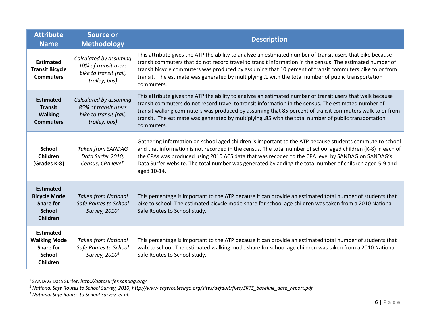| <b>Attribute</b><br><b>Name</b>                                                                 | <b>Source or</b><br><b>Methodology</b>                                                    | <b>Description</b>                                                                                                                                                                                                                                                                                                                                                                                                                                       |
|-------------------------------------------------------------------------------------------------|-------------------------------------------------------------------------------------------|----------------------------------------------------------------------------------------------------------------------------------------------------------------------------------------------------------------------------------------------------------------------------------------------------------------------------------------------------------------------------------------------------------------------------------------------------------|
| <b>Estimated</b><br><b>Transit Bicycle</b><br><b>Commuters</b>                                  | Calculated by assuming<br>10% of transit users<br>bike to transit (rail,<br>trolley, bus) | This attribute gives the ATP the ability to analyze an estimated number of transit users that bike because<br>transit commuters that do not record travel to transit information in the census. The estimated number of<br>transit bicycle commuters was produced by assuming that 10 percent of transit commuters bike to or from<br>transit. The estimate was generated by multiplying .1 with the total number of public transportation<br>commuters. |
| <b>Estimated</b><br><b>Transit</b><br><b>Walking</b><br><b>Commuters</b>                        | Calculated by assuming<br>85% of transit users<br>bike to transit (rail,<br>trolley, bus) | This attribute gives the ATP the ability to analyze an estimated number of transit users that walk because<br>transit commuters do not record travel to transit information in the census. The estimated number of<br>transit walking commuters was produced by assuming that 85 percent of transit commuters walk to or from<br>transit. The estimate was generated by multiplying .85 with the total number of public transportation<br>commuters.     |
| <b>School</b><br>Children<br>(Grades K-8)                                                       | <b>Taken from SANDAG</b><br>Data Surfer 2010,<br>Census, CPA level <sup>1</sup>           | Gathering information on school aged children is important to the ATP because students commute to school<br>and that information is not recorded in the census. The total number of school aged children (K-8) in each of<br>the CPAs was produced using 2010 ACS data that was recoded to the CPA level by SANDAG on SANDAG's<br>Data Surfer website. The total number was generated by adding the total number of children aged 5-9 and<br>aged 10-14. |
| <b>Estimated</b><br><b>Bicycle Mode</b><br><b>Share for</b><br><b>School</b><br><b>Children</b> | <b>Taken from National</b><br>Safe Routes to School<br>Survey, $2010^2$                   | This percentage is important to the ATP because it can provide an estimated total number of students that<br>bike to school. The estimated bicycle mode share for school age children was taken from a 2010 National<br>Safe Routes to School study.                                                                                                                                                                                                     |
| <b>Estimated</b><br><b>Walking Mode</b><br><b>Share for</b><br><b>School</b><br>Children        | <b>Taken from National</b><br>Safe Routes to School<br>Survey, $2010^3$                   | This percentage is important to the ATP because it can provide an estimated total number of students that<br>walk to school. The estimated walking mode share for school age children was taken from a 2010 National<br>Safe Routes to School study.                                                                                                                                                                                                     |

 1 SANDAG Data Surfer, *http://datasurfer.sandag.org/*

<sup>2</sup> *National Safe Routes to School Survey, 2010, http://www.saferoutesinfo.org/sites/default/files/SRTS\_baseline\_data\_report.pdf*

<sup>3</sup> *National Safe Routes to School Survey, et al.*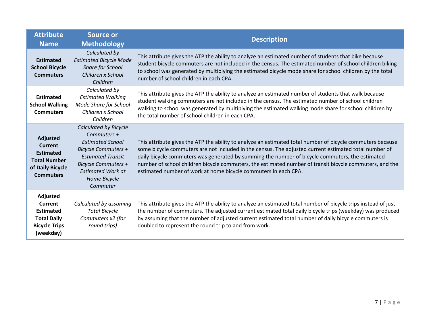| <b>Attribute</b><br><b>Name</b>                                                                                      | <b>Source or</b><br><b>Methodology</b>                                                                                                                                                                            | <b>Description</b>                                                                                                                                                                                                                                                                                                                                                                                                                                                                                   |
|----------------------------------------------------------------------------------------------------------------------|-------------------------------------------------------------------------------------------------------------------------------------------------------------------------------------------------------------------|------------------------------------------------------------------------------------------------------------------------------------------------------------------------------------------------------------------------------------------------------------------------------------------------------------------------------------------------------------------------------------------------------------------------------------------------------------------------------------------------------|
| <b>Estimated</b><br><b>School Bicycle</b><br><b>Commuters</b>                                                        | Calculated by<br><b>Estimated Bicycle Mode</b><br>Share for School<br>Children x School<br>Children                                                                                                               | This attribute gives the ATP the ability to analyze an estimated number of students that bike because<br>student bicycle commuters are not included in the census. The estimated number of school children biking<br>to school was generated by multiplying the estimated bicycle mode share for school children by the total<br>number of school children in each CPA.                                                                                                                              |
| <b>Estimated</b><br><b>School Walking</b><br><b>Commuters</b>                                                        | Calculated by<br><b>Estimated Walking</b><br><b>Mode Share for School</b><br>Children x School<br>Children                                                                                                        | This attribute gives the ATP the ability to analyze an estimated number of students that walk because<br>student walking commuters are not included in the census. The estimated number of school children<br>walking to school was generated by multiplying the estimated walking mode share for school children by<br>the total number of school children in each CPA.                                                                                                                             |
| <b>Adjusted</b><br><b>Current</b><br><b>Estimated</b><br><b>Total Number</b><br>of Daily Bicycle<br><b>Commuters</b> | <b>Calculated by Bicycle</b><br>Commuters $+$<br><b>Estimated School</b><br>Bicycle Commuters +<br><b>Estimated Transit</b><br><b>Bicycle Commuters +</b><br><b>Estimated Work at</b><br>Home Bicycle<br>Commuter | This attribute gives the ATP the ability to analyze an estimated total number of bicycle commuters because<br>some bicycle commuters are not included in the census. The adjusted current estimated total number of<br>daily bicycle commuters was generated by summing the number of bicycle commuters, the estimated<br>number of school children bicycle commuters, the estimated number of transit bicycle commuters, and the<br>estimated number of work at home bicycle commuters in each CPA. |
| Adjusted<br>Current<br><b>Estimated</b><br><b>Total Daily</b><br><b>Bicycle Trips</b><br>(weekday)                   | Calculated by assuming<br><b>Total Bicycle</b><br>Commuters x2 (for<br>round trips)                                                                                                                               | This attribute gives the ATP the ability to analyze an estimated total number of bicycle trips instead of just<br>the number of commuters. The adjusted current estimated total daily bicycle trips (weekday) was produced<br>by assuming that the number of adjusted current estimated total number of daily bicycle commuters is<br>doubled to represent the round trip to and from work.                                                                                                          |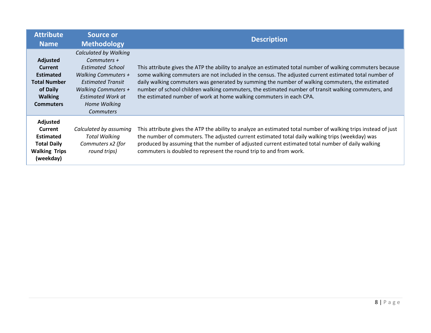| <b>Attribute</b><br><b>Name</b>                                                                                                | <b>Source or</b><br><b>Methodology</b>                                                                                                                                                                                           | <b>Description</b>                                                                                                                                                                                                                                                                                                                                                                                                                                                                                   |
|--------------------------------------------------------------------------------------------------------------------------------|----------------------------------------------------------------------------------------------------------------------------------------------------------------------------------------------------------------------------------|------------------------------------------------------------------------------------------------------------------------------------------------------------------------------------------------------------------------------------------------------------------------------------------------------------------------------------------------------------------------------------------------------------------------------------------------------------------------------------------------------|
| <b>Adjusted</b><br><b>Current</b><br><b>Estimated</b><br><b>Total Number</b><br>of Daily<br><b>Walking</b><br><b>Commuters</b> | <b>Calculated by Walking</b><br>Commuters $+$<br><b>Estimated School</b><br><b>Walking Commuters +</b><br><b>Estimated Transit</b><br><b>Walking Commuters +</b><br><b>Estimated Work at</b><br>Home Walking<br><b>Commuters</b> | This attribute gives the ATP the ability to analyze an estimated total number of walking commuters because<br>some walking commuters are not included in the census. The adjusted current estimated total number of<br>daily walking commuters was generated by summing the number of walking commuters, the estimated<br>number of school children walking commuters, the estimated number of transit walking commuters, and<br>the estimated number of work at home walking commuters in each CPA. |
| Adjusted<br><b>Current</b><br><b>Estimated</b><br><b>Total Daily</b><br><b>Walking Trips</b><br>(weekday)                      | Calculated by assuming<br>Total Walking<br>Commuters x2 (for<br>round trips)                                                                                                                                                     | This attribute gives the ATP the ability to analyze an estimated total number of walking trips instead of just<br>the number of commuters. The adjusted current estimated total daily walking trips (weekday) was<br>produced by assuming that the number of adjusted current estimated total number of daily walking<br>commuters is doubled to represent the round trip to and from work.                                                                                                          |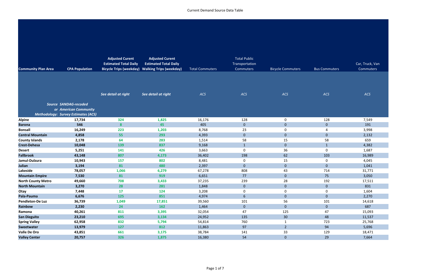| <b>Adjusted Curent</b><br><b>Adjusted Curent</b><br><b>Total Public</b><br><b>Estimated Total Daily</b><br><b>Estimated Total Daily</b><br>Car, Truck, Van<br>Transportation<br><b>Bicycle Trips (weekday) Walking Trips (weekday)</b><br><b>Community Plan Area</b><br><b>Total Commuters</b><br><b>CPA Population</b><br><b>Commuters</b><br><b>Bicycle Commuters</b><br><b>Bus Commuters</b><br><b>Commuters</b><br>ACS<br>See detail at right<br>ACS<br>ACS<br>See detail at right<br>ACS<br>ACS<br>Source SANDAG-recoded<br>or American Community<br><b>Methodology: Survey Estimates (ACS)</b><br>16,176<br>128<br>128<br>324<br>1,825<br>$\mathbf 0$<br>7,549<br><b>Alpine</b><br>17,734<br>45<br>405<br>546<br>8<br>$\overline{0}$<br>$\mathbf{0}$<br>$\mathbf{0}$<br>191<br><b>Barona</b><br>8,768<br>23<br>16,249<br>223<br>1,203<br>0<br>$\overline{4}$<br>3,998<br><b>Bonsall</b><br><b>Central Mountain</b><br>293<br>4,393<br>$\mathbf{0}$<br>$\mathbf{0}$<br>4,858<br>55<br>$\mathbf{0}$<br>2,132<br>58<br>64<br>58<br>659<br><b>County Islands</b><br>2,178<br>283<br>1,514<br>15<br><b>Crest-Dehesa</b><br>10,048<br>139<br>9,168<br>$\pmb{0}$<br>4,382<br>837<br>$\mathbf{1}$<br>$\mathbf{1}$<br>3,663<br>426<br>36<br>$\pmb{0}$<br>1,687<br><b>Desert</b><br>5,251<br>141<br>$\mathbf 0$<br>198<br>62<br>103<br><b>Fallbrook</b><br>807<br>36,402<br>43,148<br>4,173<br>16,989<br>Jamul-Dulzura<br>8,481<br>157<br>802<br>$\boldsymbol{0}$<br>15<br>$\boldsymbol{0}$<br>4,045<br>10,943<br>3,194<br>81<br>480<br>2,397<br>$\overline{0}$<br>$\mathbf{0}$<br>$\mathbf{0}$<br><b>Julian</b><br>1,041<br>Lakeside<br>78,057<br>67,278<br>808<br>43<br>714<br>31,771<br>1,066<br>6,279<br>77<br>75<br><b>Mountain Empire</b><br>7,530<br>81<br>919<br>6,651<br>$\pmb{0}$<br>3,050<br>28<br>49,660<br>708<br>3,433<br>37,235<br>239<br>192<br>17,511<br><b>North County Metro</b><br><b>North Mountain</b><br>28<br>281<br>1,848<br>$\overline{0}$<br>$\overline{0}$<br>$\overline{0}$<br>831<br>3,270<br>3,208<br>$\mathbf 0$<br>$\mathbf 0$<br>$\mathbf 0$<br>1,604<br>7,448<br>17<br>124<br>Otay<br>$6\overline{6}$<br>$\overline{0}$<br>Pala-Pauma<br>6,676<br>125<br>851<br>4,974<br>$\overline{0}$<br>2,270<br>101<br>56<br>101<br>17,851<br>14,618<br><b>Pendleton-De Luz</b><br>36,739<br>1,049<br>39,560<br>162<br>$\overline{0}$<br>$\mathbf{0}$<br>$\mathbf{0}$<br>687<br>Rainbow<br>2,230<br>24<br>1,464<br>3,395<br>47<br>125<br>47<br>40,261<br>811<br>32,054<br>15,093<br>Ramona<br>30 <sup>°</sup><br>48<br>695<br>135<br><b>San Dieguito</b><br>23,210<br>3,134<br>24,952<br>11,537<br>760<br><b>Spring Valley</b><br>62,958<br>832<br>5,794<br>54,814<br>723<br>25,768<br>$\mathbf{1}$<br>97<br>$2^{\circ}$<br>812<br>94<br>13,979<br>127<br>11,863<br>5,696<br><b>Sweetwater</b> |                     |     |       |        |     |    |     |        |
|-------------------------------------------------------------------------------------------------------------------------------------------------------------------------------------------------------------------------------------------------------------------------------------------------------------------------------------------------------------------------------------------------------------------------------------------------------------------------------------------------------------------------------------------------------------------------------------------------------------------------------------------------------------------------------------------------------------------------------------------------------------------------------------------------------------------------------------------------------------------------------------------------------------------------------------------------------------------------------------------------------------------------------------------------------------------------------------------------------------------------------------------------------------------------------------------------------------------------------------------------------------------------------------------------------------------------------------------------------------------------------------------------------------------------------------------------------------------------------------------------------------------------------------------------------------------------------------------------------------------------------------------------------------------------------------------------------------------------------------------------------------------------------------------------------------------------------------------------------------------------------------------------------------------------------------------------------------------------------------------------------------------------------------------------------------------------------------------------------------------------------------------------------------------------------------------------------------------------------------------------------------------------------------------------------------------------------------------------------------------------------------------------------------------------------------------------------------------------------------------------------------------------------------------------------------------------------------------------------------------------------------------------------------------------------------------------------------------------------------------------------------------------------------------------------------------|---------------------|-----|-------|--------|-----|----|-----|--------|
|                                                                                                                                                                                                                                                                                                                                                                                                                                                                                                                                                                                                                                                                                                                                                                                                                                                                                                                                                                                                                                                                                                                                                                                                                                                                                                                                                                                                                                                                                                                                                                                                                                                                                                                                                                                                                                                                                                                                                                                                                                                                                                                                                                                                                                                                                                                                                                                                                                                                                                                                                                                                                                                                                                                                                                                                                   |                     |     |       |        |     |    |     |        |
|                                                                                                                                                                                                                                                                                                                                                                                                                                                                                                                                                                                                                                                                                                                                                                                                                                                                                                                                                                                                                                                                                                                                                                                                                                                                                                                                                                                                                                                                                                                                                                                                                                                                                                                                                                                                                                                                                                                                                                                                                                                                                                                                                                                                                                                                                                                                                                                                                                                                                                                                                                                                                                                                                                                                                                                                                   |                     |     |       |        |     |    |     |        |
|                                                                                                                                                                                                                                                                                                                                                                                                                                                                                                                                                                                                                                                                                                                                                                                                                                                                                                                                                                                                                                                                                                                                                                                                                                                                                                                                                                                                                                                                                                                                                                                                                                                                                                                                                                                                                                                                                                                                                                                                                                                                                                                                                                                                                                                                                                                                                                                                                                                                                                                                                                                                                                                                                                                                                                                                                   |                     |     |       |        |     |    |     |        |
|                                                                                                                                                                                                                                                                                                                                                                                                                                                                                                                                                                                                                                                                                                                                                                                                                                                                                                                                                                                                                                                                                                                                                                                                                                                                                                                                                                                                                                                                                                                                                                                                                                                                                                                                                                                                                                                                                                                                                                                                                                                                                                                                                                                                                                                                                                                                                                                                                                                                                                                                                                                                                                                                                                                                                                                                                   |                     |     |       |        |     |    |     |        |
|                                                                                                                                                                                                                                                                                                                                                                                                                                                                                                                                                                                                                                                                                                                                                                                                                                                                                                                                                                                                                                                                                                                                                                                                                                                                                                                                                                                                                                                                                                                                                                                                                                                                                                                                                                                                                                                                                                                                                                                                                                                                                                                                                                                                                                                                                                                                                                                                                                                                                                                                                                                                                                                                                                                                                                                                                   |                     |     |       |        |     |    |     |        |
|                                                                                                                                                                                                                                                                                                                                                                                                                                                                                                                                                                                                                                                                                                                                                                                                                                                                                                                                                                                                                                                                                                                                                                                                                                                                                                                                                                                                                                                                                                                                                                                                                                                                                                                                                                                                                                                                                                                                                                                                                                                                                                                                                                                                                                                                                                                                                                                                                                                                                                                                                                                                                                                                                                                                                                                                                   |                     |     |       |        |     |    |     |        |
|                                                                                                                                                                                                                                                                                                                                                                                                                                                                                                                                                                                                                                                                                                                                                                                                                                                                                                                                                                                                                                                                                                                                                                                                                                                                                                                                                                                                                                                                                                                                                                                                                                                                                                                                                                                                                                                                                                                                                                                                                                                                                                                                                                                                                                                                                                                                                                                                                                                                                                                                                                                                                                                                                                                                                                                                                   |                     |     |       |        |     |    |     |        |
|                                                                                                                                                                                                                                                                                                                                                                                                                                                                                                                                                                                                                                                                                                                                                                                                                                                                                                                                                                                                                                                                                                                                                                                                                                                                                                                                                                                                                                                                                                                                                                                                                                                                                                                                                                                                                                                                                                                                                                                                                                                                                                                                                                                                                                                                                                                                                                                                                                                                                                                                                                                                                                                                                                                                                                                                                   |                     |     |       |        |     |    |     |        |
|                                                                                                                                                                                                                                                                                                                                                                                                                                                                                                                                                                                                                                                                                                                                                                                                                                                                                                                                                                                                                                                                                                                                                                                                                                                                                                                                                                                                                                                                                                                                                                                                                                                                                                                                                                                                                                                                                                                                                                                                                                                                                                                                                                                                                                                                                                                                                                                                                                                                                                                                                                                                                                                                                                                                                                                                                   |                     |     |       |        |     |    |     |        |
|                                                                                                                                                                                                                                                                                                                                                                                                                                                                                                                                                                                                                                                                                                                                                                                                                                                                                                                                                                                                                                                                                                                                                                                                                                                                                                                                                                                                                                                                                                                                                                                                                                                                                                                                                                                                                                                                                                                                                                                                                                                                                                                                                                                                                                                                                                                                                                                                                                                                                                                                                                                                                                                                                                                                                                                                                   |                     |     |       |        |     |    |     |        |
|                                                                                                                                                                                                                                                                                                                                                                                                                                                                                                                                                                                                                                                                                                                                                                                                                                                                                                                                                                                                                                                                                                                                                                                                                                                                                                                                                                                                                                                                                                                                                                                                                                                                                                                                                                                                                                                                                                                                                                                                                                                                                                                                                                                                                                                                                                                                                                                                                                                                                                                                                                                                                                                                                                                                                                                                                   |                     |     |       |        |     |    |     |        |
|                                                                                                                                                                                                                                                                                                                                                                                                                                                                                                                                                                                                                                                                                                                                                                                                                                                                                                                                                                                                                                                                                                                                                                                                                                                                                                                                                                                                                                                                                                                                                                                                                                                                                                                                                                                                                                                                                                                                                                                                                                                                                                                                                                                                                                                                                                                                                                                                                                                                                                                                                                                                                                                                                                                                                                                                                   |                     |     |       |        |     |    |     |        |
|                                                                                                                                                                                                                                                                                                                                                                                                                                                                                                                                                                                                                                                                                                                                                                                                                                                                                                                                                                                                                                                                                                                                                                                                                                                                                                                                                                                                                                                                                                                                                                                                                                                                                                                                                                                                                                                                                                                                                                                                                                                                                                                                                                                                                                                                                                                                                                                                                                                                                                                                                                                                                                                                                                                                                                                                                   |                     |     |       |        |     |    |     |        |
|                                                                                                                                                                                                                                                                                                                                                                                                                                                                                                                                                                                                                                                                                                                                                                                                                                                                                                                                                                                                                                                                                                                                                                                                                                                                                                                                                                                                                                                                                                                                                                                                                                                                                                                                                                                                                                                                                                                                                                                                                                                                                                                                                                                                                                                                                                                                                                                                                                                                                                                                                                                                                                                                                                                                                                                                                   |                     |     |       |        |     |    |     |        |
|                                                                                                                                                                                                                                                                                                                                                                                                                                                                                                                                                                                                                                                                                                                                                                                                                                                                                                                                                                                                                                                                                                                                                                                                                                                                                                                                                                                                                                                                                                                                                                                                                                                                                                                                                                                                                                                                                                                                                                                                                                                                                                                                                                                                                                                                                                                                                                                                                                                                                                                                                                                                                                                                                                                                                                                                                   |                     |     |       |        |     |    |     |        |
|                                                                                                                                                                                                                                                                                                                                                                                                                                                                                                                                                                                                                                                                                                                                                                                                                                                                                                                                                                                                                                                                                                                                                                                                                                                                                                                                                                                                                                                                                                                                                                                                                                                                                                                                                                                                                                                                                                                                                                                                                                                                                                                                                                                                                                                                                                                                                                                                                                                                                                                                                                                                                                                                                                                                                                                                                   |                     |     |       |        |     |    |     |        |
|                                                                                                                                                                                                                                                                                                                                                                                                                                                                                                                                                                                                                                                                                                                                                                                                                                                                                                                                                                                                                                                                                                                                                                                                                                                                                                                                                                                                                                                                                                                                                                                                                                                                                                                                                                                                                                                                                                                                                                                                                                                                                                                                                                                                                                                                                                                                                                                                                                                                                                                                                                                                                                                                                                                                                                                                                   |                     |     |       |        |     |    |     |        |
|                                                                                                                                                                                                                                                                                                                                                                                                                                                                                                                                                                                                                                                                                                                                                                                                                                                                                                                                                                                                                                                                                                                                                                                                                                                                                                                                                                                                                                                                                                                                                                                                                                                                                                                                                                                                                                                                                                                                                                                                                                                                                                                                                                                                                                                                                                                                                                                                                                                                                                                                                                                                                                                                                                                                                                                                                   |                     |     |       |        |     |    |     |        |
|                                                                                                                                                                                                                                                                                                                                                                                                                                                                                                                                                                                                                                                                                                                                                                                                                                                                                                                                                                                                                                                                                                                                                                                                                                                                                                                                                                                                                                                                                                                                                                                                                                                                                                                                                                                                                                                                                                                                                                                                                                                                                                                                                                                                                                                                                                                                                                                                                                                                                                                                                                                                                                                                                                                                                                                                                   |                     |     |       |        |     |    |     |        |
|                                                                                                                                                                                                                                                                                                                                                                                                                                                                                                                                                                                                                                                                                                                                                                                                                                                                                                                                                                                                                                                                                                                                                                                                                                                                                                                                                                                                                                                                                                                                                                                                                                                                                                                                                                                                                                                                                                                                                                                                                                                                                                                                                                                                                                                                                                                                                                                                                                                                                                                                                                                                                                                                                                                                                                                                                   |                     |     |       |        |     |    |     |        |
|                                                                                                                                                                                                                                                                                                                                                                                                                                                                                                                                                                                                                                                                                                                                                                                                                                                                                                                                                                                                                                                                                                                                                                                                                                                                                                                                                                                                                                                                                                                                                                                                                                                                                                                                                                                                                                                                                                                                                                                                                                                                                                                                                                                                                                                                                                                                                                                                                                                                                                                                                                                                                                                                                                                                                                                                                   |                     |     |       |        |     |    |     |        |
|                                                                                                                                                                                                                                                                                                                                                                                                                                                                                                                                                                                                                                                                                                                                                                                                                                                                                                                                                                                                                                                                                                                                                                                                                                                                                                                                                                                                                                                                                                                                                                                                                                                                                                                                                                                                                                                                                                                                                                                                                                                                                                                                                                                                                                                                                                                                                                                                                                                                                                                                                                                                                                                                                                                                                                                                                   |                     |     |       |        |     |    |     |        |
|                                                                                                                                                                                                                                                                                                                                                                                                                                                                                                                                                                                                                                                                                                                                                                                                                                                                                                                                                                                                                                                                                                                                                                                                                                                                                                                                                                                                                                                                                                                                                                                                                                                                                                                                                                                                                                                                                                                                                                                                                                                                                                                                                                                                                                                                                                                                                                                                                                                                                                                                                                                                                                                                                                                                                                                                                   |                     |     |       |        |     |    |     |        |
|                                                                                                                                                                                                                                                                                                                                                                                                                                                                                                                                                                                                                                                                                                                                                                                                                                                                                                                                                                                                                                                                                                                                                                                                                                                                                                                                                                                                                                                                                                                                                                                                                                                                                                                                                                                                                                                                                                                                                                                                                                                                                                                                                                                                                                                                                                                                                                                                                                                                                                                                                                                                                                                                                                                                                                                                                   |                     |     |       |        |     |    |     |        |
|                                                                                                                                                                                                                                                                                                                                                                                                                                                                                                                                                                                                                                                                                                                                                                                                                                                                                                                                                                                                                                                                                                                                                                                                                                                                                                                                                                                                                                                                                                                                                                                                                                                                                                                                                                                                                                                                                                                                                                                                                                                                                                                                                                                                                                                                                                                                                                                                                                                                                                                                                                                                                                                                                                                                                                                                                   |                     |     |       |        |     |    |     |        |
|                                                                                                                                                                                                                                                                                                                                                                                                                                                                                                                                                                                                                                                                                                                                                                                                                                                                                                                                                                                                                                                                                                                                                                                                                                                                                                                                                                                                                                                                                                                                                                                                                                                                                                                                                                                                                                                                                                                                                                                                                                                                                                                                                                                                                                                                                                                                                                                                                                                                                                                                                                                                                                                                                                                                                                                                                   |                     |     |       |        |     |    |     |        |
|                                                                                                                                                                                                                                                                                                                                                                                                                                                                                                                                                                                                                                                                                                                                                                                                                                                                                                                                                                                                                                                                                                                                                                                                                                                                                                                                                                                                                                                                                                                                                                                                                                                                                                                                                                                                                                                                                                                                                                                                                                                                                                                                                                                                                                                                                                                                                                                                                                                                                                                                                                                                                                                                                                                                                                                                                   |                     |     |       |        |     |    |     |        |
|                                                                                                                                                                                                                                                                                                                                                                                                                                                                                                                                                                                                                                                                                                                                                                                                                                                                                                                                                                                                                                                                                                                                                                                                                                                                                                                                                                                                                                                                                                                                                                                                                                                                                                                                                                                                                                                                                                                                                                                                                                                                                                                                                                                                                                                                                                                                                                                                                                                                                                                                                                                                                                                                                                                                                                                                                   |                     |     |       |        |     |    |     |        |
|                                                                                                                                                                                                                                                                                                                                                                                                                                                                                                                                                                                                                                                                                                                                                                                                                                                                                                                                                                                                                                                                                                                                                                                                                                                                                                                                                                                                                                                                                                                                                                                                                                                                                                                                                                                                                                                                                                                                                                                                                                                                                                                                                                                                                                                                                                                                                                                                                                                                                                                                                                                                                                                                                                                                                                                                                   |                     |     |       |        |     |    |     |        |
|                                                                                                                                                                                                                                                                                                                                                                                                                                                                                                                                                                                                                                                                                                                                                                                                                                                                                                                                                                                                                                                                                                                                                                                                                                                                                                                                                                                                                                                                                                                                                                                                                                                                                                                                                                                                                                                                                                                                                                                                                                                                                                                                                                                                                                                                                                                                                                                                                                                                                                                                                                                                                                                                                                                                                                                                                   |                     |     |       |        |     |    |     |        |
| 43,851                                                                                                                                                                                                                                                                                                                                                                                                                                                                                                                                                                                                                                                                                                                                                                                                                                                                                                                                                                                                                                                                                                                                                                                                                                                                                                                                                                                                                                                                                                                                                                                                                                                                                                                                                                                                                                                                                                                                                                                                                                                                                                                                                                                                                                                                                                                                                                                                                                                                                                                                                                                                                                                                                                                                                                                                            | <b>Valle De Oro</b> | 661 | 3,175 | 38,784 | 141 | 33 | 129 | 18,471 |
| $\pmb{0}$<br><b>Valley Center</b><br>20,757<br>1,875<br>16,380<br>54<br>29<br>326<br>7,664                                                                                                                                                                                                                                                                                                                                                                                                                                                                                                                                                                                                                                                                                                                                                                                                                                                                                                                                                                                                                                                                                                                                                                                                                                                                                                                                                                                                                                                                                                                                                                                                                                                                                                                                                                                                                                                                                                                                                                                                                                                                                                                                                                                                                                                                                                                                                                                                                                                                                                                                                                                                                                                                                                                        |                     |     |       |        |     |    |     |        |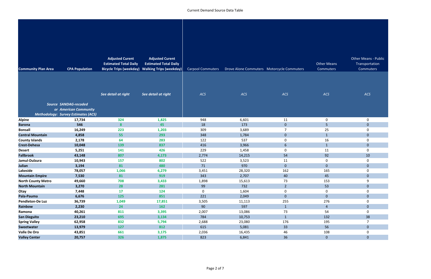| <b>Community Plan Area</b>                         | <b>CPA Population</b>                      | <b>Adjusted Curent</b><br><b>Estimated Total Daily</b> | <b>Adjusted Curent</b><br><b>Estimated Total Daily</b><br><b>Bicycle Trips (weekday) Walking Trips (weekday)</b> | Carpool Commuters | Drove Alone Commuters Motorcycle Commuters |                      | <b>Other Means</b><br>Commuters | <b>Other Means - Public</b><br>Transportation<br><b>Commuters</b> |
|----------------------------------------------------|--------------------------------------------|--------------------------------------------------------|------------------------------------------------------------------------------------------------------------------|-------------------|--------------------------------------------|----------------------|---------------------------------|-------------------------------------------------------------------|
|                                                    |                                            |                                                        |                                                                                                                  |                   |                                            |                      |                                 |                                                                   |
|                                                    |                                            |                                                        |                                                                                                                  |                   |                                            |                      |                                 |                                                                   |
|                                                    |                                            | See detail at right                                    | See detail at right                                                                                              | ACS               | ACS                                        | ACS                  | ACS                             | ACS                                                               |
|                                                    | <b>Source SANDAG-recoded</b>               |                                                        |                                                                                                                  |                   |                                            |                      |                                 |                                                                   |
|                                                    | or American Community                      |                                                        |                                                                                                                  |                   |                                            |                      |                                 |                                                                   |
|                                                    | <b>Methodology: Survey Estimates (ACS)</b> |                                                        |                                                                                                                  |                   |                                            |                      |                                 |                                                                   |
| <b>Alpine</b>                                      | 17,734                                     | 324                                                    | 1,825                                                                                                            | 948               | 6,601                                      | 11                   | $\boldsymbol{0}$                | $\boldsymbol{0}$                                                  |
| <b>Barona</b>                                      | 546                                        | 8                                                      | 45                                                                                                               | 18                | 173                                        | $\mathbf{0}$         | $5\phantom{.}$                  | $\overline{0}$                                                    |
| <b>Bonsall</b>                                     | 16,249                                     | 223                                                    | 1,203                                                                                                            | 309               | 3,689                                      | $\overline{7}$       | 25                              | $\mathbf 0$                                                       |
| <b>Central Mountain</b>                            | 4,858                                      | 55                                                     | 293                                                                                                              | 348               | 1,784                                      | $\bf 0$              | $\mathbf{1}$                    | $\overline{0}$                                                    |
| <b>County Islands</b>                              | 2,178                                      | 64                                                     | 283                                                                                                              | 122               | 537                                        | $\mathbf 0$          | 16                              | $\mathbf 0$                                                       |
| <b>Crest-Dehesa</b>                                | 10,048                                     | <b>139</b>                                             | 837                                                                                                              | 416               | 3,966                                      | $6\phantom{1}6$      | $\mathbf{1}$                    | $\overline{0}$                                                    |
| <b>Desert</b>                                      | 5,251                                      | 141                                                    | 426                                                                                                              | 229               | 1,458                                      | $\mathbf 0$          | 11                              | $\mathbf 0$                                                       |
| <b>Fallbrook</b>                                   | 43,148                                     | 807                                                    | 4,173                                                                                                            | 2,774             | 14,215                                     | 54                   | 92                              | 10                                                                |
| Jamul-Dulzura                                      | 10,943                                     | 157                                                    | 802                                                                                                              | 522               | 3,523                                      | 11                   | $\pmb{0}$                       | $\mathbf 0$                                                       |
| <b>Julian</b>                                      | 3,194                                      | 81                                                     | 480                                                                                                              | 71                | 970                                        | $\bf 0$              | $\overline{0}$                  | $\mathbf{0}$                                                      |
| Lakeside                                           | 78,057                                     | 1,066                                                  | 6,279                                                                                                            | 3,451             | 28,320                                     | 162                  | 165                             | 0                                                                 |
| <b>Mountain Empire</b>                             | 7,530                                      | 81                                                     | 919                                                                                                              | 343               | 2,707                                      | 40                   | 45                              | $\overline{0}$                                                    |
| <b>North County Metro</b><br><b>North Mountain</b> | 49,660<br>3,270                            | 708<br>28                                              | 3,433<br>281                                                                                                     | 1,898<br>99       | 15,613<br>732                              | 73<br>2 <sup>1</sup> | 153<br>53                       | 9<br>$\overline{0}$                                               |
| Otay                                               | 7,448                                      | 17                                                     | 124                                                                                                              | 0                 | 1,604                                      | $\mathbf 0$          | $\mathbf 0$                     | $\overline{0}$                                                    |
| Pala-Pauma                                         | 6,676                                      | 125                                                    | 851                                                                                                              | 221               | 2,049                                      | $\mathbf{0}$         | $\overline{0}$                  | $\overline{0}$                                                    |
| <b>Pendleton-De Luz</b>                            | 36,739                                     | 1,049                                                  | 17,851                                                                                                           | 3,505             | 11,113                                     | 255                  | 276                             | $\mathbf 0$                                                       |
| Rainbow                                            | 2,230                                      | 24                                                     | 162                                                                                                              | 90                | 597                                        | $\boxed{1}$          | $\overline{4}$                  | $\mathbf{0}$                                                      |
| Ramona                                             | 40,261                                     | 811                                                    | 3,395                                                                                                            | 2,007             | 13,086                                     | 73                   | 54                              | $\mathbf 0$                                                       |
| <b>San Dieguito</b>                                | 23,210                                     | 695                                                    | 3,134                                                                                                            | 784               | 10,753                                     | $\mathbf{1}$         | 132                             | 38                                                                |
| <b>Spring Valley</b>                               | 62,958                                     | 832                                                    | 5,794                                                                                                            | 2,688             | 23,080                                     | 176                  | 195                             | $\overline{7}$                                                    |
| Sweetwater                                         | 13,979                                     | 127                                                    | 812                                                                                                              | 615               | 5,081                                      | 33                   | 56                              | $\overline{0}$                                                    |
|                                                    |                                            |                                                        |                                                                                                                  |                   |                                            |                      |                                 |                                                                   |
| <b>Valle De Oro</b>                                | 43,851                                     | 661                                                    | 3,175                                                                                                            | 2,036             | 16,435                                     | 46                   | 108                             | $\mathbf 0$                                                       |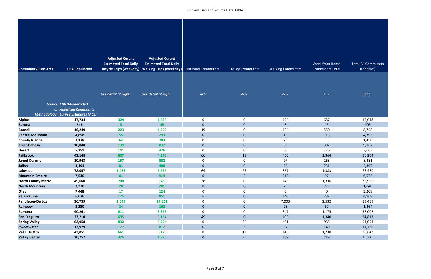| <b>Community Plan Area</b> | <b>CPA Population</b>                                                                               | <b>Adjusted Curent</b><br><b>Estimated Total Daily</b> | <b>Adjusted Curent</b><br><b>Estimated Total Daily</b><br>Bicycle Trips (weekday) Walking Trips (weekday) | <b>Railroad Commuters</b> | <b>Trolley Commuters</b> | <b>Walking Commuters</b> | Work from Home<br><b>Commuters Total</b> | <b>Total All Commuters</b><br>(for calcs) |
|----------------------------|-----------------------------------------------------------------------------------------------------|--------------------------------------------------------|-----------------------------------------------------------------------------------------------------------|---------------------------|--------------------------|--------------------------|------------------------------------------|-------------------------------------------|
|                            |                                                                                                     | See detail at right                                    | See detail at right                                                                                       | ACS                       | ACS                      | ACS                      | ACS                                      | ACS                                       |
|                            | <b>Source SANDAG-recoded</b><br>or American Community<br><b>Methodology: Survey Estimates (ACS)</b> |                                                        |                                                                                                           |                           |                          |                          |                                          |                                           |
| <b>Alpine</b>              | 17,734                                                                                              | 324                                                    | 1,825                                                                                                     | $\mathbf 0$               | $\mathbf 0$              | 124                      | 687                                      | 16,048                                    |
| <b>Barona</b>              | 546                                                                                                 | 8                                                      | 45                                                                                                        | $\mathbf{0}$              | $\mathbf{0}$             | $\overline{3}$           | 15                                       | 405                                       |
| <b>Bonsall</b>             | 16,249                                                                                              | 223                                                    | 1,203                                                                                                     | 19                        | $\mathbf 0$              | 134                      | 560                                      | 8,745                                     |
| <b>Central Mountain</b>    | 4,858                                                                                               | 55                                                     | 293                                                                                                       | $\mathbf{0}$              | $\mathbf 0$              | 15                       | 113                                      | 4,393                                     |
| <b>County Islands</b>      | 2,178                                                                                               | 64                                                     | 283                                                                                                       | $\mathbf 0$               | 0                        | 26                       | 23                                       | 1,456                                     |
| <b>Crest-Dehesa</b>        | 10,048                                                                                              | <b>139</b>                                             | 837                                                                                                       | $\mathbf{0}$              | $\mathbf{0}$             | 93                       | 302                                      | 9,167                                     |
| <b>Desert</b>              | 5,251                                                                                               | 141                                                    | 426                                                                                                       | 0                         | 0                        | 66                       | 176                                      | 3,663                                     |
| <b>Fallbrook</b>           | 43,148                                                                                              | 807                                                    | 4,173                                                                                                     | 66                        | 19                       | 456                      | 1,364                                    | 36,204                                    |
| Jamul-Dulzura              | 10,943                                                                                              | 157                                                    | 802                                                                                                       | $\pmb{0}$                 | $\mathbf 0$              | 97                       | 268                                      | 8,481                                     |
| <b>Julian</b>              | 3,194                                                                                               | 81                                                     | 480                                                                                                       | $\mathbf{0}$              | $\mathbf 0$              | 84                       | 231                                      | 2,397                                     |
| Lakeside                   | 78,057                                                                                              | 1,066                                                  | 6,279                                                                                                     | 69                        | 25                       | 367                      | 1,383                                    | 66,470                                    |
| <b>Mountain Empire</b>     | 7,530                                                                                               | 81                                                     | 919                                                                                                       | $\mathbf{0}$              | 2 <sup>2</sup>           | 215                      | 97                                       | 6,574                                     |
| <b>North County Metro</b>  | 49,660                                                                                              | 708                                                    | 3,433                                                                                                     | 38                        | $\mathbf 0$              | 145                      | 1,336                                    | 36,996                                    |
| <b>North Mountain</b>      | 3,270                                                                                               | 28                                                     | 281                                                                                                       | $\mathbf{0}$              | $\overline{0}$           | 73                       | 58                                       | 1,848                                     |
| Otay                       | 7,448                                                                                               | 17                                                     | 124                                                                                                       | $\pmb{0}$                 | $\mathbf 0$              | $\pmb{0}$                | $\mathbf 0$                              | 3,208                                     |
| Pala-Pauma                 | 6,676                                                                                               | 125                                                    | 851                                                                                                       | 6                         | $\overline{0}$           | 140                      | 282                                      | 4,968                                     |
| <b>Pendleton-De Luz</b>    | 36,739                                                                                              | 1,049                                                  | 17,851                                                                                                    | $\pmb{0}$                 | $\pmb{0}$                | 7,003                    | 2,532                                    | 39,459                                    |
| Rainbow                    | 2,230                                                                                               | 24                                                     | 162                                                                                                       | $\mathbf{0}$              | $\overline{0}$           | 28                       | 57                                       | 1,464                                     |
| Ramona                     | 40,261                                                                                              | 811                                                    | 3,395                                                                                                     | $\pmb{0}$                 | $\pmb{0}$                | 347                      | 1,175                                    | 32,007                                    |
| <b>San Dieguito</b>        | 23,210                                                                                              | 695                                                    | 3,134                                                                                                     | 49                        | $\overline{0}$           | 105                      | 1,340                                    | 24,817                                    |
| <b>Spring Valley</b>       | 62,958                                                                                              | 832                                                    | 5,794                                                                                                     | $\pmb{0}$                 | 30                       | 401                      | 985                                      | 54,054                                    |
| <b>Sweetwater</b>          | 13,979                                                                                              | 127                                                    | 812                                                                                                       | $\mathbf 0$               | $\overline{3}$           | 37                       | 149                                      | 11,766                                    |
| <b>Valle De Oro</b>        | 43,851                                                                                              | 661                                                    | 3,175                                                                                                     | $\mathbf 0$               | 12                       | 143                      | 1,230                                    | 38,643                                    |
| <b>Valley Center</b>       | 20,757                                                                                              | 326                                                    | 1,875                                                                                                     | 25                        | $\overline{0}$           | 189                      | 719                                      | 16,326                                    |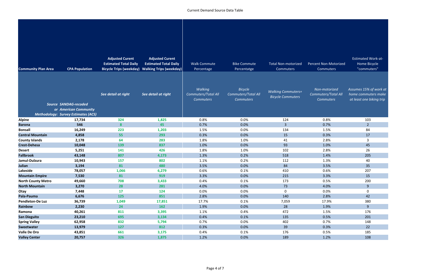| <b>Community Plan Area</b> | <b>CPA Population</b>                          | <b>Adjusted Curent</b><br><b>Estimated Total Daily</b> | <b>Adjusted Curent</b><br><b>Estimated Total Daily</b><br>Bicycle Trips (weekday) Walking Trips (weekday) | <b>Walk Commute</b><br>Percentage                  | <b>Bike Commute</b><br>Percentatge                        | <b>Total Non-motorized</b><br><b>Commuters</b>        | <b>Percent Non-Motorized</b><br><b>Commuters</b>  | <b>Estimated Work-at-</b><br>Home Bicycle<br>"commuters"                  |
|----------------------------|------------------------------------------------|--------------------------------------------------------|-----------------------------------------------------------------------------------------------------------|----------------------------------------------------|-----------------------------------------------------------|-------------------------------------------------------|---------------------------------------------------|---------------------------------------------------------------------------|
|                            |                                                |                                                        |                                                                                                           |                                                    |                                                           |                                                       |                                                   |                                                                           |
|                            |                                                | See detail at right                                    | See detail at right                                                                                       | Walking<br>Commuters/Total All<br><b>Commuters</b> | <b>Bicycle</b><br>Commuters/Total All<br><b>Commuters</b> | <b>Walking Commuters+</b><br><b>Bicycle Commuters</b> | Non-motorized<br>Commuters/Total All<br>Commuters | Assumes 15% of work at<br>home commuters make<br>at least one biking trip |
|                            | Source SANDAG-recoded<br>or American Community |                                                        |                                                                                                           |                                                    |                                                           |                                                       |                                                   |                                                                           |
|                            | <b>Methodology: Survey Estimates (ACS)</b>     |                                                        |                                                                                                           |                                                    |                                                           |                                                       |                                                   |                                                                           |
| <b>Alpine</b>              | 17,734                                         | 324                                                    | 1,825                                                                                                     | 0.8%                                               | 0.0%                                                      | 124                                                   | 0.8%                                              | 103                                                                       |
| <b>Barona</b>              | 546                                            | 8                                                      | 45                                                                                                        | 0.7%                                               | 0.0%                                                      | $\overline{3}$                                        | 0.7%                                              | $\overline{2}$                                                            |
| <b>Bonsall</b>             | 16,249                                         | 223                                                    | 1,203                                                                                                     | 1.5%                                               | 0.0%                                                      | 134                                                   | 1.5%                                              | 84                                                                        |
| <b>Central Mountain</b>    | 4,858                                          | 55                                                     | 293                                                                                                       | 0.3%                                               | 0.0%                                                      | 15                                                    | 0.3%                                              | 17                                                                        |
| <b>County Islands</b>      | 2,178                                          | 64                                                     | 283                                                                                                       | 1.8%                                               | 1.0%                                                      | 41                                                    | 2.8%                                              | 3                                                                         |
| <b>Crest-Dehesa</b>        | 10,048                                         | 139                                                    | 837                                                                                                       | 1.0%                                               | 0.0%                                                      | 93                                                    | 1.0%                                              | 45                                                                        |
| <b>Desert</b>              | 5,251                                          | 141                                                    | 426                                                                                                       | 1.8%                                               | 1.0%                                                      | 102                                                   | 2.8%                                              | 26                                                                        |
| <b>Fallbrook</b>           | 43,148                                         | 807                                                    | 4,173                                                                                                     | 1.3%                                               | 0.2%                                                      | 518                                                   | 1.4%                                              | 205                                                                       |
| Jamul-Dulzura              | 10,943                                         | 157                                                    | 802                                                                                                       | 1.1%                                               | 0.2%                                                      | 112                                                   | 1.3%                                              | 40                                                                        |
| Julian                     | 3,194                                          | 81                                                     | 480                                                                                                       | 3.5%                                               | 0.0%                                                      | 84                                                    | 3.5%                                              | 35                                                                        |
| Lakeside                   | 78,057                                         | 1,066                                                  | 6,279                                                                                                     | 0.6%                                               | 0.1%                                                      | 410                                                   | 0.6%                                              | 207                                                                       |
| <b>Mountain Empire</b>     | 7,530                                          | 81                                                     | 919                                                                                                       | 3.3%                                               | 0.0%                                                      | 215                                                   | 3.3%                                              | 15                                                                        |
| <b>North County Metro</b>  | 49,660                                         | 708                                                    | 3,433                                                                                                     | 0.4%                                               | 0.1%                                                      | 173                                                   | 0.5%                                              | 200                                                                       |
| <b>North Mountain</b>      | 3,270                                          | 28                                                     | 281                                                                                                       | 4.0%                                               | 0.0%                                                      | 73                                                    | 4.0%                                              | 9                                                                         |
| Otay                       | 7,448                                          | 17                                                     | 124                                                                                                       | 0.0%                                               | 0.0%                                                      | 0                                                     | 0.0%                                              | $\boldsymbol{0}$                                                          |
| Pala-Pauma                 | 6,676                                          | 125                                                    | 851                                                                                                       | 2.8%                                               | 0.0%                                                      | 140                                                   | 2.8%                                              | 42                                                                        |
| <b>Pendleton-De Luz</b>    | 36,739                                         | 1,049                                                  | 17,851                                                                                                    | 17.7%                                              | 0.1%                                                      | 7,059                                                 | 17.9%                                             | 380                                                                       |
| Rainbow                    | 2,230                                          | 24                                                     | 162                                                                                                       | 1.9%                                               | 0.0%                                                      | 28                                                    | 1.9%                                              | 9                                                                         |
| Ramona                     | 40,261                                         | 811                                                    | 3,395                                                                                                     | 1.1%                                               | 0.4%                                                      | 472                                                   | 1.5%                                              | 176                                                                       |
| <b>San Dieguito</b>        | 23,210                                         | 695                                                    | 3,134                                                                                                     | 0.4%                                               | 0.1%                                                      | 135                                                   | 0.5%                                              | 201                                                                       |
| <b>Spring Valley</b>       | 62,958                                         | 832                                                    | 5,794                                                                                                     | 0.7%                                               | 0.0%                                                      | 402                                                   | 0.7%                                              | 148                                                                       |
| Sweetwater                 | 13,979                                         | 127                                                    | 812                                                                                                       | 0.3%                                               | 0.0%                                                      | 39                                                    | 0.3%                                              | 22                                                                        |
| <b>Valle De Oro</b>        | 43,851                                         | 661                                                    | 3,175                                                                                                     | 0.4%                                               | 0.1%                                                      | 176                                                   | 0.5%                                              | 185                                                                       |
| <b>Valley Center</b>       | 20,757                                         | 326                                                    | 1,875                                                                                                     | 1.2%                                               | 0.0%                                                      | 189                                                   | 1.2%                                              | 108                                                                       |

|                 | <b>Estimated W</b> |
|-----------------|--------------------|
| t Non-Motorized | Home Bic           |
| ommuters:       | "commut            |
|                 |                    |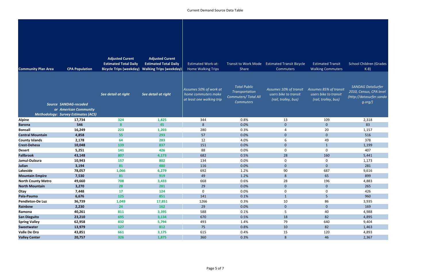| <b>Community Plan Area</b>                   | <b>CPA Population</b>                      | <b>Adjusted Curent</b><br><b>Estimated Total Daily</b> | <b>Adjusted Curent</b><br><b>Estimated Total Daily</b><br><b>Bicycle Trips (weekday) Walking Trips (weekday)</b> | <b>Estimated Work-at-</b><br>Home Walking Trips                            | Share                                                                | Transit to Work Mode Estimated Transit Bicycle<br><b>Commuters</b>      | <b>Estimated Transit</b><br><b>Walking Commuters</b>                    | <b>School Children (Grades</b><br>$K-8$                                         |
|----------------------------------------------|--------------------------------------------|--------------------------------------------------------|------------------------------------------------------------------------------------------------------------------|----------------------------------------------------------------------------|----------------------------------------------------------------------|-------------------------------------------------------------------------|-------------------------------------------------------------------------|---------------------------------------------------------------------------------|
|                                              |                                            | See detail at right                                    | See detail at right                                                                                              | Assumes 50% of work at<br>home commuters make<br>at least one walking trip | <b>Total Public</b><br>Transportation<br><b>Commuters/ Total All</b> | Assumes 10% of transit<br>users bike to transit<br>(rail, trolley, bus) | Assumes 85% of transit<br>users bike to transit<br>(rail, trolley, bus) | <b>SANDAG DataSurfer</b><br>2010, Census, CPA level<br>(http://datasurfer.sanda |
|                                              | <b>Source SANDAG-recoded</b>               |                                                        |                                                                                                                  |                                                                            | <b>Commuters</b>                                                     |                                                                         |                                                                         | g.org                                                                           |
|                                              | or American Community                      |                                                        |                                                                                                                  |                                                                            |                                                                      |                                                                         |                                                                         |                                                                                 |
|                                              | <b>Methodology: Survey Estimates (ACS)</b> |                                                        |                                                                                                                  |                                                                            |                                                                      |                                                                         |                                                                         |                                                                                 |
| <b>Alpine</b>                                | 17,734                                     | 324                                                    | 1,825                                                                                                            | 344                                                                        | 0.8%                                                                 | 13                                                                      | 109                                                                     | 2,318                                                                           |
| <b>Barona</b>                                | 546                                        | 8                                                      | 45                                                                                                               | 8<br>280                                                                   | 0.0%<br>0.3%                                                         | $\mathbf{0}$                                                            | $\mathbf{0}$                                                            | 83                                                                              |
| <b>Bonsall</b><br><b>Central Mountain</b>    | 16,249<br>4,858                            | 223<br>55                                              | 1,203<br>293                                                                                                     | 57                                                                         | 0.0%                                                                 | 4<br>$\overline{0}$                                                     | 20<br>$\mathbf{0}$                                                      | 1,157<br>516                                                                    |
|                                              |                                            | 64                                                     | 283                                                                                                              | 12                                                                         | 4.0%                                                                 | 6                                                                       | 49                                                                      | 378                                                                             |
| <b>County Islands</b><br><b>Crest-Dehesa</b> | 2,178<br>10,048                            | 139                                                    | 837                                                                                                              | 151                                                                        | 0.0%                                                                 | $\mathbf{0}$                                                            | $\mathbf{1}$                                                            | 1,199                                                                           |
| <b>Desert</b>                                | 5,251                                      | 141                                                    | 426                                                                                                              | 88                                                                         | 0.0%                                                                 | 0                                                                       | $\boldsymbol{0}$                                                        | 407                                                                             |
| <b>Fallbrook</b>                             | 43,148                                     | 807                                                    | 4,173                                                                                                            | 682                                                                        | 0.5%                                                                 | 28                                                                      | 160                                                                     | 5,441                                                                           |
| Jamul-Dulzura                                | 10,943                                     | 157                                                    | 802                                                                                                              | 134                                                                        | 0.0%                                                                 | 0                                                                       | $\boldsymbol{0}$                                                        | 1,173                                                                           |
| <b>Julian</b>                                | 3,194                                      | 81                                                     | 480                                                                                                              | 116                                                                        | 0.0%                                                                 | $\overline{0}$                                                          | $\mathbf{0}$                                                            | 281                                                                             |
| Lakeside                                     | 78,057                                     | 1,066                                                  | 6,279                                                                                                            | 692                                                                        | 1.2%                                                                 | 90                                                                      | 687                                                                     | 9,616                                                                           |
| <b>Mountain Empire</b>                       | 7,530                                      | 81                                                     | 919                                                                                                              | 49                                                                         | 1.2%                                                                 | 8                                                                       | 65                                                                      | 899                                                                             |
| <b>North County Metro</b>                    | 49,660                                     | 708                                                    | 3,433                                                                                                            | 668                                                                        | 0.6%                                                                 | 28                                                                      | 196                                                                     | 4,883                                                                           |
| <b>North Mountain</b>                        | 3,270                                      | 28                                                     | 281                                                                                                              | 29                                                                         | 0.0%                                                                 | $\mathbf{0}$                                                            | $\overline{0}$                                                          | 265                                                                             |
| Otay                                         | 7,448                                      | 17                                                     | 124                                                                                                              | $\mathbf 0$                                                                | 0.0%                                                                 | $\mathbf 0$                                                             | $\mathbf 0$                                                             | 426                                                                             |
| Pala-Pauma                                   | 6,676                                      | 125                                                    | 851                                                                                                              | 141                                                                        | 0.1%                                                                 | $\mathbf{1}$                                                            | 5                                                                       | 960                                                                             |
| <b>Pendleton-De Luz</b>                      | 36,739                                     | 1,049                                                  | 17,851                                                                                                           | 1266                                                                       | 0.3%                                                                 | 10                                                                      | 86                                                                      | 3,935                                                                           |
| Rainbow                                      | 2,230                                      | 24                                                     | 162                                                                                                              | 29                                                                         | 0.0%                                                                 | $\pmb{0}$                                                               | $\overline{0}$                                                          | 169                                                                             |
| Ramona                                       | 40,261                                     | 811                                                    | 3,395                                                                                                            | 588                                                                        | 0.1%                                                                 | 5                                                                       | 40                                                                      | 4,988                                                                           |
| <b>San Dieguito</b>                          | 23,210                                     | 695                                                    | 3,134                                                                                                            | 670                                                                        | 0.5%                                                                 | 18                                                                      | 82                                                                      | 4,895                                                                           |
| <b>Spring Valley</b>                         | 62,958                                     | 832                                                    | 5,794                                                                                                            | 493                                                                        | 1.4%                                                                 | 79                                                                      | 640                                                                     | 9,404                                                                           |
| <b>Sweetwater</b>                            | 13,979                                     | 127                                                    | 812                                                                                                              | 75                                                                         | 0.8%                                                                 | 10                                                                      | 82                                                                      | 1,463                                                                           |
| <b>Valle De Oro</b>                          | 43,851                                     | 661                                                    | 3,175                                                                                                            | 615                                                                        | 0.4%                                                                 | 15                                                                      | 120                                                                     | 4,893                                                                           |
| <b>Valley Center</b>                         | 20,757                                     | 326                                                    | 1,875                                                                                                            | 360                                                                        | 0.3%                                                                 | $\bf{8}$                                                                | 46                                                                      | 2,367                                                                           |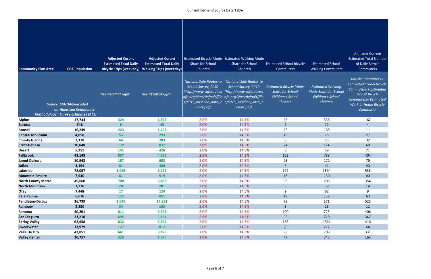| <b>Community Plan Area</b> | <b>CPA Population</b>                                                                               | <b>Adjusted Curent</b><br><b>Estimated Total Daily</b><br><b>Bicycle Trips (weekday)</b> | <b>Adjusted Curent</b><br><b>Estimated Total Daily</b><br><b>Walking Trips (weekday)</b> | Share for School<br>Children                                        | Estimated Bicycle Mode Estimated Walking Mode<br><b>Share for School</b><br>Children                                                                                                                                             | <b>Estimated School Bicycle</b><br>Commuters                                              | <b>Estimated School</b><br><b>Walking Commuters</b>                                       | <b>Adjusted Current</b><br><b>Estimated Total Number</b><br>of Daily Bicycle<br><b>Commuters</b>                                                                             |
|----------------------------|-----------------------------------------------------------------------------------------------------|------------------------------------------------------------------------------------------|------------------------------------------------------------------------------------------|---------------------------------------------------------------------|----------------------------------------------------------------------------------------------------------------------------------------------------------------------------------------------------------------------------------|-------------------------------------------------------------------------------------------|-------------------------------------------------------------------------------------------|------------------------------------------------------------------------------------------------------------------------------------------------------------------------------|
|                            | <b>Source SANDAG-recoded</b><br>or American Community<br><b>Methodology: Survey Estimates (ACS)</b> | See detail at right                                                                      | See detail at right                                                                      | <b>National Safe Routes to</b><br>School Survey, 2010<br>eport.pdf) | <b>National Safe Routes to</b><br>School Survey, 2010<br>(http://www.saferoutesi (http://www.saferoutesi<br>nfo.org/sites/default/file nfo.org/sites/default/file<br>s/SRTS_baseline_data_r s/SRTS_baseline_data_r<br>eport.pdf) | <b>Estimated Bicycle Mode</b><br><b>Share for School</b><br>Children x School<br>Children | <b>Estimated Walking</b><br><b>Mode Share for School</b><br>Children x School<br>Children | <b>Bicycle Commuters +</b><br><b>Estimated School Bicycle</b><br>Commuters + Estimated<br><b>Transit Bicycle</b><br>Commuters+ Estimated<br>Work at Home Bicycle<br>Commuter |
| <b>Alpine</b>              | 17,734                                                                                              | 324                                                                                      | 1,825                                                                                    | 2.0%                                                                | 14.5%                                                                                                                                                                                                                            | 46                                                                                        | 336                                                                                       | 162                                                                                                                                                                          |
| <b>Barona</b>              | 546                                                                                                 | 8                                                                                        | 45                                                                                       | 2.0%                                                                | 14.5%                                                                                                                                                                                                                            | $\overline{2}$                                                                            | 12                                                                                        | $\overline{4}$                                                                                                                                                               |
| <b>Bonsall</b>             | 16,249                                                                                              | 223                                                                                      | 1,203                                                                                    | 2.0%                                                                | 14.5%                                                                                                                                                                                                                            | 23                                                                                        | 168                                                                                       | 111                                                                                                                                                                          |
| <b>Central Mountain</b>    | 4,858                                                                                               | 55                                                                                       | 293                                                                                      | 2.0%                                                                | 14.5%                                                                                                                                                                                                                            | 10                                                                                        | 75                                                                                        | 27                                                                                                                                                                           |
| <b>County Islands</b>      | 2,178                                                                                               | 64                                                                                       | 283                                                                                      | 2.0%                                                                | 14.5%                                                                                                                                                                                                                            | 8                                                                                         | 55                                                                                        | 32                                                                                                                                                                           |
| <b>Crest-Dehesa</b>        | 10,048                                                                                              | 139                                                                                      | 837                                                                                      | 2.0%                                                                | 14.5%                                                                                                                                                                                                                            | 24                                                                                        | 174                                                                                       | 69                                                                                                                                                                           |
| <b>Desert</b>              | 5,251                                                                                               | 141                                                                                      | 426                                                                                      | 2.0%                                                                | 14.5%                                                                                                                                                                                                                            | 8                                                                                         | 59                                                                                        | 71                                                                                                                                                                           |
| <b>Fallbrook</b>           | 43,148                                                                                              | 807                                                                                      | 4,173                                                                                    | 2.0%                                                                | 14.5%                                                                                                                                                                                                                            | 109                                                                                       | 789                                                                                       | 404                                                                                                                                                                          |
| Jamul-Dulzura              | 10,943                                                                                              | 157                                                                                      | 802                                                                                      | 2.0%                                                                | 14.5%                                                                                                                                                                                                                            | 23                                                                                        | 170                                                                                       | 79                                                                                                                                                                           |
| <b>Julian</b>              | 3,194                                                                                               | 81                                                                                       | 480                                                                                      | 2.0%                                                                | 14.5%                                                                                                                                                                                                                            | $\sqrt{6}$                                                                                | 41                                                                                        | 40                                                                                                                                                                           |
| Lakeside                   | 78,057                                                                                              | 1,066                                                                                    | 6,279                                                                                    | 2.0%                                                                | 14.5%                                                                                                                                                                                                                            | 192                                                                                       | 1394                                                                                      | 533                                                                                                                                                                          |
| <b>Mountain Empire</b>     | 7,530                                                                                               | 81                                                                                       | 919                                                                                      | 2.0%                                                                | 14.5%                                                                                                                                                                                                                            | 18                                                                                        | 130                                                                                       | 40                                                                                                                                                                           |
| <b>North County Metro</b>  | 49,660                                                                                              | 708                                                                                      | 3,433                                                                                    | 2.0%                                                                | 14.5%                                                                                                                                                                                                                            | 98                                                                                        | 708                                                                                       | 354                                                                                                                                                                          |
| <b>North Mountain</b>      | 3,270                                                                                               | 28                                                                                       | 281                                                                                      | 2.0%                                                                | 14.5%                                                                                                                                                                                                                            | $\overline{5}$                                                                            | 38                                                                                        | 14                                                                                                                                                                           |
| Otay                       | 7,448                                                                                               | 17                                                                                       | 124                                                                                      | 2.0%                                                                | 14.5%                                                                                                                                                                                                                            | 9                                                                                         | 62                                                                                        | 9                                                                                                                                                                            |
| Pala-Pauma                 | 6,676                                                                                               | 125                                                                                      | 851                                                                                      | 2.0%                                                                | 14.5%                                                                                                                                                                                                                            | 19                                                                                        | 139                                                                                       | 63                                                                                                                                                                           |
| <b>Pendleton-De Luz</b>    | 36,739                                                                                              | 1,049                                                                                    | 17,851                                                                                   | 2.0%                                                                | 14.5%                                                                                                                                                                                                                            | 79                                                                                        | 571                                                                                       | 525                                                                                                                                                                          |
| Rainbow                    | 2,230                                                                                               | 24                                                                                       | 162                                                                                      | 2.0%                                                                | 14.5%                                                                                                                                                                                                                            | $\overline{3}$                                                                            | 25                                                                                        | 12                                                                                                                                                                           |
| Ramona                     | 40,261                                                                                              | 811                                                                                      | 3,395                                                                                    | 2.0%                                                                | 14.5%                                                                                                                                                                                                                            | 100                                                                                       | 723                                                                                       | 406                                                                                                                                                                          |
| <b>San Dieguito</b>        | 23,210                                                                                              | 695                                                                                      | 3,134                                                                                    | 2.0%                                                                | 14.5%                                                                                                                                                                                                                            | 98                                                                                        | 710                                                                                       | 347                                                                                                                                                                          |
| <b>Spring Valley</b>       | 62,958                                                                                              | 832                                                                                      | 5,794                                                                                    | 2.0%                                                                | 14.5%                                                                                                                                                                                                                            | 188                                                                                       | 1364                                                                                      | 416                                                                                                                                                                          |
| <b>Sweetwater</b>          | 13,979                                                                                              | 127                                                                                      | 812                                                                                      | 2.0%                                                                | 14.5%                                                                                                                                                                                                                            | 29                                                                                        | 212                                                                                       | 64                                                                                                                                                                           |
| <b>Valle De Oro</b>        | 43,851                                                                                              | 661                                                                                      | 3,175                                                                                    | 2.0%                                                                | 14.5%                                                                                                                                                                                                                            | 98                                                                                        | 709                                                                                       | 331                                                                                                                                                                          |
| <b>Valley Center</b>       | 20,757                                                                                              | 326                                                                                      | 1,875                                                                                    | 2.0%                                                                | 14.5%                                                                                                                                                                                                                            | 47                                                                                        | 343                                                                                       | 163                                                                                                                                                                          |

| imated School: |  |
|----------------|--|
| sing Commuters |  |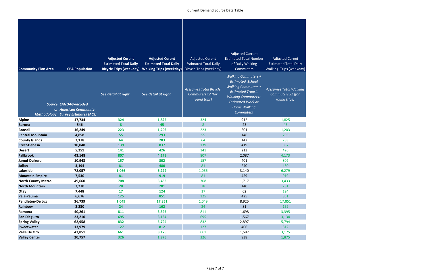|                            |                                                                                                     | <b>Adjusted Curent</b>       | <b>Adjusted Curent</b>                                                                 | <b>Adjusted Curent</b>                                             | <b>Adjusted Current</b><br><b>Estimated Total Number</b>                                                                                                                                                            | <b>Adjusted Curent</b>                                             |
|----------------------------|-----------------------------------------------------------------------------------------------------|------------------------------|----------------------------------------------------------------------------------------|--------------------------------------------------------------------|---------------------------------------------------------------------------------------------------------------------------------------------------------------------------------------------------------------------|--------------------------------------------------------------------|
| <b>Community Plan Area</b> | <b>CPA Population</b>                                                                               | <b>Estimated Total Daily</b> | <b>Estimated Total Daily</b><br><b>Bicycle Trips (weekday) Walking Trips (weekday)</b> | <b>Estimated Total Daily</b><br><b>Bicycle Trips (weekday)</b>     | of Daily Walking<br><b>Commuters</b>                                                                                                                                                                                | <b>Estimated Total Daily</b><br><b>Walking Trips (weekday)</b>     |
|                            | <b>Source SANDAG-recoded</b><br>or American Community<br><b>Methodology: Survey Estimates (ACS)</b> | See detail at right          | See detail at right                                                                    | <b>Asssumes Total Bicycle</b><br>Commuters x2 (for<br>round trips) | <b>Walking Commuters +</b><br><b>Estimated School</b><br><b>Walking Commuters +</b><br><b>Estimated Transit</b><br><b>Walking Commuters+</b><br><b>Estimated Work at</b><br><b>Home Walking</b><br><b>Commuters</b> | <b>Asssumes Total Walking</b><br>Commuters x2 (for<br>round trips) |
| <b>Alpine</b>              | 17,734                                                                                              | 324                          | 1,825                                                                                  | 324                                                                | 912                                                                                                                                                                                                                 | 1,825                                                              |
| <b>Barona</b>              | 546                                                                                                 | 8                            | 45                                                                                     | 8                                                                  | 23                                                                                                                                                                                                                  | 45                                                                 |
| <b>Bonsall</b>             | 16,249                                                                                              | 223                          | 1,203                                                                                  | 223                                                                | 601                                                                                                                                                                                                                 | 1,203                                                              |
| <b>Central Mountain</b>    | 4,858                                                                                               | 55                           | 293                                                                                    | 55                                                                 | 146                                                                                                                                                                                                                 | 293                                                                |
| <b>County Islands</b>      | 2,178                                                                                               | 64                           | 283                                                                                    | 64                                                                 | 142                                                                                                                                                                                                                 | 283                                                                |
| <b>Crest-Dehesa</b>        | 10,048                                                                                              | 139                          | 837                                                                                    | 139                                                                | 419                                                                                                                                                                                                                 | 837                                                                |
| <b>Desert</b>              | 5,251                                                                                               | 141                          | 426                                                                                    | 141                                                                | 213                                                                                                                                                                                                                 | 426                                                                |
| <b>Fallbrook</b>           | 43,148                                                                                              | 807                          | 4,173                                                                                  | 807                                                                | 2,087                                                                                                                                                                                                               | 4,173                                                              |
| Jamul-Dulzura              | 10,943                                                                                              | 157                          | 802                                                                                    | 157                                                                | 401                                                                                                                                                                                                                 | 802                                                                |
| Julian                     | 3,194                                                                                               | 81                           | 480                                                                                    | 81                                                                 | 240                                                                                                                                                                                                                 | 480                                                                |
| Lakeside                   | 78,057                                                                                              | 1,066                        | 6,279                                                                                  | 1,066                                                              | 3,140                                                                                                                                                                                                               | 6,279                                                              |
| <b>Mountain Empire</b>     | 7,530                                                                                               | 81                           | 919                                                                                    | 81                                                                 | 459                                                                                                                                                                                                                 | 919                                                                |
| <b>North County Metro</b>  | 49,660                                                                                              | 708                          | 3,433                                                                                  | 708                                                                | 1,717                                                                                                                                                                                                               | 3,433                                                              |
| <b>North Mountain</b>      | 3,270                                                                                               | 28                           | 281                                                                                    | 28                                                                 | 140                                                                                                                                                                                                                 | 281                                                                |
| Otay                       | 7,448                                                                                               | 17                           | 124                                                                                    | 17                                                                 | 62                                                                                                                                                                                                                  | 124                                                                |
| Pala-Pauma                 | 6,676                                                                                               | 125                          | 851                                                                                    | 125                                                                | 425                                                                                                                                                                                                                 | 851                                                                |
| <b>Pendleton-De Luz</b>    | 36,739                                                                                              | 1,049                        | 17,851                                                                                 | 1,049                                                              | 8,925                                                                                                                                                                                                               | 17,851                                                             |
| Rainbow                    | 2,230                                                                                               | 24                           | 162                                                                                    | 24                                                                 | 81                                                                                                                                                                                                                  | 162                                                                |
| Ramona                     | 40,261                                                                                              | 811                          | 3,395                                                                                  | 811                                                                | 1,698                                                                                                                                                                                                               | 3,395                                                              |
| <b>San Dieguito</b>        | 23,210                                                                                              | 695                          | 3,134                                                                                  | 695                                                                | 1,567                                                                                                                                                                                                               | 3,134                                                              |
| <b>Spring Valley</b>       | 62,958                                                                                              | 832                          | 5,794                                                                                  | 832                                                                | 2,897                                                                                                                                                                                                               | 5,794                                                              |
| <b>Sweetwater</b>          | 13,979                                                                                              | 127                          | 812                                                                                    | 127                                                                | 406                                                                                                                                                                                                                 | 812                                                                |
| <b>Valle De Oro</b>        | 43,851                                                                                              | 661                          | 3,175                                                                                  | 661                                                                | 1,587                                                                                                                                                                                                               | 3,175                                                              |
| <b>Valley Center</b>       | 20,757                                                                                              | 326                          | 1,875                                                                                  | 326                                                                | 938                                                                                                                                                                                                                 | 1,875                                                              |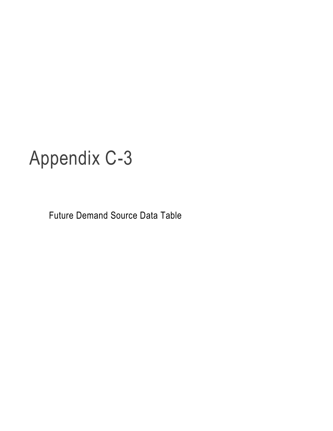Future Demand Source Data Table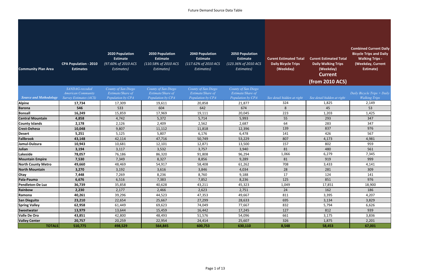| <b>Community Plan Area</b>    | <b>CPA Population - 2010</b><br><b>Estimates</b>           | <b>2020 Population</b><br><b>Estimate</b><br>(97.60% of 2010 ACS<br>Estimates) | 2030 Population<br><b>Estimate</b><br>(110.58% of 2010 ACS<br>Estimates) | <b>2040 Population</b><br><b>Estimate</b><br>(117.62% of 2010 ACS<br>Estimates) | <b>2050 Population</b><br><b>Estimate</b><br>(123.36% of 2010 ACS<br>Estimates) | <b>Curent Estimated Total</b><br><b>Daily Bicycle Trips</b><br>(Weekday) | <b>Curent Estimated Total</b><br><b>Daily Walking Trips</b><br>(Weekday)<br><b>Current</b><br>(from 2010 ACS) | <b>Combined Current Daily</b><br><b>Bicycle Trips and Daily</b><br><b>Walking Trips -</b><br>(Weekday, Current<br>Estimate) |
|-------------------------------|------------------------------------------------------------|--------------------------------------------------------------------------------|--------------------------------------------------------------------------|---------------------------------------------------------------------------------|---------------------------------------------------------------------------------|--------------------------------------------------------------------------|---------------------------------------------------------------------------------------------------------------|-----------------------------------------------------------------------------------------------------------------------------|
|                               | SANDAG-recoded                                             | County of San Diego                                                            | County of San Diego                                                      | County of San Diego                                                             | County of San Diego                                                             |                                                                          |                                                                                                               |                                                                                                                             |
| <b>Source and Methodology</b> | <b>American Community</b><br><b>Survey Estimates (ACS)</b> | Estimate/Share of<br>Population by CPA                                         | Estimate/Share of<br>Population by CPA                                   | Estimate/Share of<br>Population by CPA                                          | Estimate/Share of<br>Population by CPA                                          | See detail hidden at right                                               | See detail hidden at right                                                                                    | Daily Bicycle Trips + Daily<br><b>Walking Trips</b>                                                                         |
| <b>Alpine</b>                 | 17,734                                                     | 17,309                                                                         | 19,611                                                                   | 20,858                                                                          | 21,877                                                                          | 324                                                                      | 1,825                                                                                                         | 2,149                                                                                                                       |
| <b>Barona</b>                 | 546                                                        | 533                                                                            | 604                                                                      | 642                                                                             | 674                                                                             | 8                                                                        | 45                                                                                                            | 53                                                                                                                          |
| <b>Bonsall</b>                | 16,249                                                     | 15,859                                                                         | 17,969                                                                   | 19,111                                                                          | 20,045                                                                          | 223                                                                      | 1,203                                                                                                         | 1,425                                                                                                                       |
| <b>Central Mountain</b>       | 4,858                                                      | 4,742                                                                          | 5,372                                                                    | 5,714                                                                           | 5,993                                                                           | 55                                                                       | 293                                                                                                           | 347                                                                                                                         |
| <b>County Islands</b>         | 2,178                                                      | 2,126                                                                          | 2,409                                                                    | 2,562                                                                           | 2,687                                                                           | 64                                                                       | 283                                                                                                           | 347                                                                                                                         |
| <b>Crest-Dehesa</b>           | 10,048                                                     | 9,807                                                                          | 11,112                                                                   | 11,818                                                                          | 12,396                                                                          | 139                                                                      | 837                                                                                                           | 976                                                                                                                         |
| <b>Desert</b>                 | 5,251                                                      | 5,125                                                                          | 5,807                                                                    | 6,176                                                                           | 6,478                                                                           | 141                                                                      | 426                                                                                                           | 567                                                                                                                         |
| <b>Fallbrook</b>              | 43,148                                                     | 42,114                                                                         | 47,716                                                                   | 50,749                                                                          | 53,229                                                                          | 807                                                                      | 4,173                                                                                                         | 4,981                                                                                                                       |
| Jamul-Dulzura                 | 10,943                                                     | 10,681                                                                         | 12,101                                                                   | 12,871                                                                          | 13,500                                                                          | 157                                                                      | 802                                                                                                           | 959                                                                                                                         |
| Julian                        | 3,194                                                      | 3,117                                                                          | 3,532                                                                    | 3,757                                                                           | 3,940                                                                           | 81                                                                       | 480                                                                                                           | 561                                                                                                                         |
| Lakeside                      | 78,057                                                     | 76,186                                                                         | 86,320                                                                   | 91,808                                                                          | 96,294                                                                          | 1,066                                                                    | 6,279                                                                                                         | 7,345                                                                                                                       |
| <b>Mountain Empire</b>        | 7,530                                                      | 7,349                                                                          | 8,327                                                                    | 8,856                                                                           | 9,289                                                                           | 81                                                                       | 919                                                                                                           | 999                                                                                                                         |
| <b>North County Metro</b>     | 49,660                                                     | 48,469                                                                         | 54,917                                                                   | 58,408                                                                          | 61,262                                                                          | 708                                                                      | 3,433                                                                                                         | 4,141                                                                                                                       |
| <b>North Mountain</b>         | 3,270                                                      | 3,192                                                                          | 3,616                                                                    | 3,846                                                                           | 4,034                                                                           | 28                                                                       | 281                                                                                                           | 309                                                                                                                         |
| Otay                          | 7,448                                                      | 7,269                                                                          | 8,236                                                                    | 8,760                                                                           | 9,188                                                                           | 17                                                                       | 124                                                                                                           | 141                                                                                                                         |
| Pala-Pauma                    | 6,676                                                      | 6,516                                                                          | 7,383                                                                    | 7,852                                                                           | 8,236                                                                           | 125                                                                      | 851                                                                                                           | 976                                                                                                                         |
| Pendleton-De Luz              | 36,739                                                     | 35,858                                                                         | 40,628                                                                   | 43,211                                                                          | 45,323                                                                          | 1,049                                                                    | 17,851                                                                                                        | 18,900                                                                                                                      |
| Rainbow                       | 2,230                                                      | 2,177                                                                          | 2,466                                                                    | 2,623                                                                           | 2,751                                                                           | 24                                                                       | 162                                                                                                           | 186                                                                                                                         |
| Ramona                        | 40,261                                                     | 39,296                                                                         | 44,523                                                                   | 47,353                                                                          | 49,667                                                                          | 811                                                                      | 3,395                                                                                                         | 4,207                                                                                                                       |
| <b>San Dieguito</b>           | 23,210                                                     | 22,654                                                                         | 25,667                                                                   | 27,299                                                                          | 28,633                                                                          | 695                                                                      | 3,134                                                                                                         | 3,829                                                                                                                       |
| <b>Spring Valley</b>          | 62,958                                                     | 61,449                                                                         | 69,623                                                                   | 74,049                                                                          | 77,667                                                                          | 832                                                                      | 5,794                                                                                                         | 6,626                                                                                                                       |
| Sweetwater                    | 13,979                                                     | 13,644                                                                         | 15,459                                                                   | 16,442                                                                          | 17,245                                                                          | 127                                                                      | 812                                                                                                           | 939                                                                                                                         |
| <b>Valle De Oro</b>           | 43,851                                                     | 42,800                                                                         | 48,493                                                                   | 51,576                                                                          | 54,096                                                                          | 661                                                                      | 3,175                                                                                                         | 3,836                                                                                                                       |
| <b>Valley Center</b>          | 20,757                                                     | 20,259                                                                         | 22,954                                                                   | 24,414                                                                          | 25,607                                                                          | 326                                                                      | 1,875                                                                                                         | 2,201                                                                                                                       |
| <b>TOTALS</b>                 | 510,775                                                    | 498,529                                                                        | 564,845                                                                  | 600,753                                                                         | 630,110                                                                         | 8,548                                                                    | 58,453                                                                                                        | 67,001                                                                                                                      |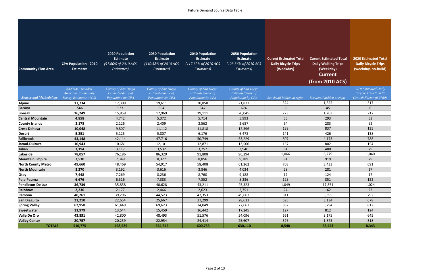| <b>Community Plan Area</b>      | <b>CPA Population - 2010</b><br><b>Estimates</b> | <b>2020 Population</b><br><b>Estimate</b><br>(97.60% of 2010 ACS<br>Estimates) | 2030 Population<br><b>Estimate</b><br>(110.58% of 2010 ACS<br>Estimates) | 2040 Population<br><b>Estimate</b><br>(117.62% of 2010 ACS<br>Estimates) | <b>2050 Population</b><br><b>Estimate</b><br>(123.36% of 2010 ACS<br>Estimates) | <b>Curent Estimated Total</b><br><b>Daily Bicycle Trips</b><br>(Weekday) | <b>Curent Estimated Total</b><br><b>Daily Walking Trips</b><br>(Weekday)<br><b>Current</b><br>(from 2010 ACS) | <b>2020 Estimated Total</b><br><b>Daily Bicycle Trips</b><br>(weekday, no-build) |
|---------------------------------|--------------------------------------------------|--------------------------------------------------------------------------------|--------------------------------------------------------------------------|--------------------------------------------------------------------------|---------------------------------------------------------------------------------|--------------------------------------------------------------------------|---------------------------------------------------------------------------------------------------------------|----------------------------------------------------------------------------------|
|                                 | SANDAG-recoded                                   | County of San Diego                                                            | County of San Diego                                                      | County of San Diego                                                      | County of San Diego                                                             |                                                                          |                                                                                                               | 2010 Estimated Daily                                                             |
|                                 | <b>American Community</b>                        | Estimate/Share of                                                              | Estimate/Share of                                                        | Estimate/Share of                                                        | Estimate/Share of                                                               |                                                                          |                                                                                                               | Bicycle Trips * 2020                                                             |
| <b>Source and Methodology</b>   | <b>Survey Estimates (ACS)</b>                    | Population by CPA                                                              | Population by CPA                                                        | Population by CPA                                                        | Population by CPA                                                               | See detail hidden at right                                               | See detail hidden at right                                                                                    | Growth Factor (0.9760)                                                           |
| <b>Alpine</b>                   | 17,734<br>546                                    | 17,309                                                                         | 19,611<br>604                                                            | 20,858<br>642                                                            | 21,877<br>674                                                                   | 324<br>8                                                                 | 1,825<br>45                                                                                                   | 317<br>8                                                                         |
| <b>Barona</b><br><b>Bonsall</b> | 16,249                                           | 533<br>15,859                                                                  | 17,969                                                                   | 19,111                                                                   | 20,045                                                                          | 223                                                                      | 1,203                                                                                                         | 217                                                                              |
| <b>Central Mountain</b>         | 4,858                                            | 4,742                                                                          | 5,372                                                                    | 5,714                                                                    | 5,993                                                                           | 55                                                                       | 293                                                                                                           | 53                                                                               |
| <b>County Islands</b>           | 2,178                                            | 2,126                                                                          | 2,409                                                                    | 2,562                                                                    | 2,687                                                                           | 64                                                                       | 283                                                                                                           | 62                                                                               |
| <b>Crest-Dehesa</b>             | 10,048                                           | 9,807                                                                          | 11,112                                                                   | 11,818                                                                   | 12,396                                                                          | 139                                                                      | 837                                                                                                           | 135                                                                              |
| <b>Desert</b>                   | 5,251                                            | 5,125                                                                          | 5,807                                                                    | 6,176                                                                    | 6,478                                                                           | 141                                                                      | 426                                                                                                           | 138                                                                              |
| <b>Fallbrook</b>                | 43,148                                           | 42,114                                                                         | 47,716                                                                   | 50,749                                                                   | 53,229                                                                          | 807                                                                      | 4,173                                                                                                         | 788                                                                              |
| Jamul-Dulzura                   | 10,943                                           | 10,681                                                                         | 12,101                                                                   | 12,871                                                                   | 13,500                                                                          | 157                                                                      | 802                                                                                                           | 154                                                                              |
| Julian                          | 3,194                                            | 3,117                                                                          | 3,532                                                                    | 3,757                                                                    | 3,940                                                                           | 81                                                                       | 480                                                                                                           | 79                                                                               |
| Lakeside                        | 78,057                                           | 76,186                                                                         | 86,320                                                                   | 91,808                                                                   | 96,294                                                                          | 1,066                                                                    | 6,279                                                                                                         | 1,040                                                                            |
| <b>Mountain Empire</b>          | 7,530                                            | 7,349                                                                          | 8,327                                                                    | 8,856                                                                    | 9,289                                                                           | 81                                                                       | 919                                                                                                           | 79                                                                               |
| <b>North County Metro</b>       | 49,660                                           | 48,469                                                                         | 54,917                                                                   | 58,408                                                                   | 61,262                                                                          | 708                                                                      | 3,433                                                                                                         | 691                                                                              |
| <b>North Mountain</b>           | 3,270                                            | 3,192                                                                          | 3,616                                                                    | 3,846                                                                    | 4,034                                                                           | 28                                                                       | 281                                                                                                           | 27                                                                               |
| Otay                            | 7,448                                            | 7,269                                                                          | 8,236                                                                    | 8,760                                                                    | 9,188                                                                           | 17                                                                       | 124                                                                                                           | 17                                                                               |
| Pala-Pauma                      | 6,676                                            | 6,516                                                                          | 7,383                                                                    | 7,852                                                                    | 8,236                                                                           | 125                                                                      | 851                                                                                                           | 122                                                                              |
| Pendleton-De Luz                | 36,739                                           | 35,858                                                                         | 40,628                                                                   | 43,211                                                                   | 45,323                                                                          | 1,049                                                                    | 17,851                                                                                                        | 1,024                                                                            |
| Rainbow                         | 2,230                                            | 2,177                                                                          | 2,466                                                                    | 2,623                                                                    | 2,751                                                                           | 24                                                                       | 162                                                                                                           | 23                                                                               |
| Ramona                          | 40,261                                           | 39,296                                                                         | 44,523                                                                   | 47,353                                                                   | 49,667                                                                          | 811                                                                      | 3,395                                                                                                         | 792                                                                              |
| <b>San Dieguito</b>             | 23,210                                           | 22,654                                                                         | 25,667                                                                   | 27,299                                                                   | 28,633                                                                          | 695                                                                      | 3,134                                                                                                         | 678                                                                              |
| <b>Spring Valley</b>            | 62,958                                           | 61,449                                                                         | 69,623                                                                   | 74,049                                                                   | 77,667                                                                          | 832                                                                      | 5,794                                                                                                         | 812                                                                              |
| Sweetwater                      | 13,979                                           | 13,644                                                                         | 15,459                                                                   | 16,442                                                                   | 17,245                                                                          | 127                                                                      | 812                                                                                                           | 124                                                                              |
| <b>Valle De Oro</b>             | 43,851                                           | 42,800                                                                         | 48,493                                                                   | 51,576                                                                   | 54,096                                                                          | 661                                                                      | 3,175                                                                                                         | 645                                                                              |
| <b>Valley Center</b>            | 20,757                                           | 20,259                                                                         | 22,954                                                                   | 24,414                                                                   | 25,607                                                                          | 326                                                                      | 1,875                                                                                                         | 318                                                                              |
| <b>TOTALS</b>                   | 510,775                                          | 498,529                                                                        | 564,845                                                                  | 600,753                                                                  | 630,110                                                                         | 8,548                                                                    | 58,453                                                                                                        | 8,343                                                                            |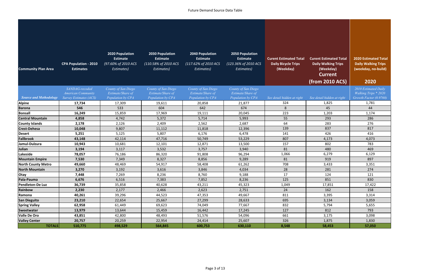| <b>Community Plan Area</b>    | <b>CPA Population - 2010</b><br><b>Estimates</b>                             | <b>2020 Population</b><br><b>Estimate</b><br>(97.60% of 2010 ACS<br>Estimates) | <b>2030 Population</b><br><b>Estimate</b><br>(110.58% of 2010 ACS<br>Estimates) | <b>2040 Population</b><br><b>Estimate</b><br>(117.62% of 2010 ACS<br>Estimates) | <b>2050 Population</b><br><b>Estimate</b><br>(123.36% of 2010 ACS<br>Estimates) | <b>Curent Estimated Total</b><br><b>Daily Bicycle Trips</b><br>(Weekday) | <b>Curent Estimated Total</b><br><b>Daily Walking Trips</b><br>(Weekday)<br><b>Current</b> | <b>2020 Estimated Total</b><br><b>Daily Walking Trips</b><br>(weekday, no-build) |
|-------------------------------|------------------------------------------------------------------------------|--------------------------------------------------------------------------------|---------------------------------------------------------------------------------|---------------------------------------------------------------------------------|---------------------------------------------------------------------------------|--------------------------------------------------------------------------|--------------------------------------------------------------------------------------------|----------------------------------------------------------------------------------|
|                               |                                                                              |                                                                                |                                                                                 |                                                                                 |                                                                                 |                                                                          | (from 2010 ACS)                                                                            | 2020                                                                             |
| <b>Source and Methodology</b> | SANDAG-recoded<br><b>American Community</b><br><b>Survey Estimates (ACS)</b> | County of San Diego<br>Estimate/Share of<br>Population by CPA                  | County of San Diego<br>Estimate/Share of<br>Population by CPA                   | County of San Diego<br>Estimate/Share of<br>Population by CPA                   | County of San Diego<br>Estimate/Share of<br>Population by CPA                   | See detail hidden at right                                               | See detail hidden at right                                                                 | 2010 Estimated Daily<br><b>Walking Trips * 2020</b><br>Growth Factor (0.9760)    |
| <b>Alpine</b>                 | 17,734                                                                       | 17,309                                                                         | 19,611                                                                          | 20,858                                                                          | 21,877                                                                          | 324                                                                      | 1,825                                                                                      | 1,781                                                                            |
| <b>Barona</b>                 | 546                                                                          | 533                                                                            | 604                                                                             | 642                                                                             | 674                                                                             | 8                                                                        | 45                                                                                         | 44                                                                               |
| <b>Bonsall</b>                | 16,249                                                                       | 15,859                                                                         | 17,969                                                                          | 19,111                                                                          | 20,045                                                                          | 223                                                                      | 1,203                                                                                      | 1,174                                                                            |
| <b>Central Mountain</b>       | 4,858                                                                        | 4,742                                                                          | 5,372                                                                           | 5,714                                                                           | 5,993                                                                           | 55                                                                       | 293                                                                                        | 286                                                                              |
| <b>County Islands</b>         | 2,178                                                                        | 2,126                                                                          | 2,409                                                                           | 2,562                                                                           | 2,687                                                                           | 64                                                                       | 283                                                                                        | 276                                                                              |
| <b>Crest-Dehesa</b>           | 10,048                                                                       | 9,807                                                                          | 11,112                                                                          | 11,818                                                                          | 12,396                                                                          | 139                                                                      | 837                                                                                        | 817                                                                              |
| <b>Desert</b>                 | 5,251                                                                        | 5,125                                                                          | 5,807                                                                           | 6,176                                                                           | 6,478                                                                           | 141                                                                      | 426                                                                                        | 416                                                                              |
| <b>Fallbrook</b>              | 43,148                                                                       | 42,114                                                                         | 47,716                                                                          | 50,749                                                                          | 53,229                                                                          | 807                                                                      | 4,173                                                                                      | 4,073                                                                            |
| Jamul-Dulzura                 | 10,943                                                                       | 10,681                                                                         | 12,101                                                                          | 12,871                                                                          | 13,500                                                                          | 157                                                                      | 802                                                                                        | 783                                                                              |
| Julian                        | 3,194                                                                        | 3,117                                                                          | 3,532                                                                           | 3,757                                                                           | 3,940                                                                           | 81                                                                       | 480                                                                                        | 469                                                                              |
| Lakeside                      | 78,057                                                                       | 76,186                                                                         | 86,320                                                                          | 91,808                                                                          | 96,294                                                                          | 1,066                                                                    | 6,279                                                                                      | 6,129                                                                            |
| <b>Mountain Empire</b>        | 7,530                                                                        | 7,349                                                                          | 8,327                                                                           | 8,856                                                                           | 9,289                                                                           | 81                                                                       | 919                                                                                        | 897                                                                              |
| <b>North County Metro</b>     | 49,660                                                                       | 48,469                                                                         | 54,917                                                                          | 58,408                                                                          | 61,262                                                                          | 708                                                                      | 3,433                                                                                      | 3,351                                                                            |
| <b>North Mountain</b>         | 3,270                                                                        | 3,192                                                                          | 3,616                                                                           | 3,846                                                                           | 4,034                                                                           | 28                                                                       | 281                                                                                        | 274                                                                              |
| Otay                          | 7,448                                                                        | 7,269                                                                          | 8,236                                                                           | 8,760                                                                           | 9,188                                                                           | 17                                                                       | 124                                                                                        | 121                                                                              |
| Pala-Pauma                    | 6,676                                                                        | 6,516                                                                          | 7,383                                                                           | 7,852                                                                           | 8,236                                                                           | 125                                                                      | 851                                                                                        | 830                                                                              |
| Pendleton-De Luz              | 36,739                                                                       | 35,858                                                                         | 40,628                                                                          | 43,211                                                                          | 45,323                                                                          | 1,049                                                                    | 17,851                                                                                     | 17,422                                                                           |
| Rainbow                       | 2,230                                                                        | 2,177                                                                          | 2,466                                                                           | 2,623                                                                           | 2,751                                                                           | 24                                                                       | 162                                                                                        | 158                                                                              |
| Ramona                        | 40,261                                                                       | 39,296                                                                         | 44,523                                                                          | 47,353                                                                          | 49,667                                                                          | 811                                                                      | 3,395                                                                                      | 3,314                                                                            |
| <b>San Dieguito</b>           | 23,210                                                                       | 22,654                                                                         | 25,667                                                                          | 27,299                                                                          | 28,633                                                                          | 695                                                                      | 3,134                                                                                      | 3,059                                                                            |
| <b>Spring Valley</b>          | 62,958                                                                       | 61,449                                                                         | 69,623                                                                          | 74,049                                                                          | 77,667                                                                          | 832                                                                      | 5,794                                                                                      | 5,655                                                                            |
| Sweetwater                    | 13,979                                                                       | 13,644                                                                         | 15,459                                                                          | 16,442                                                                          | 17,245                                                                          | 127                                                                      | 812                                                                                        | 793                                                                              |
| <b>Valle De Oro</b>           | 43,851                                                                       | 42,800                                                                         | 48,493                                                                          | 51,576                                                                          | 54,096                                                                          | 661                                                                      | 3,175                                                                                      | 3,098                                                                            |
| <b>Valley Center</b>          | 20,757                                                                       | 20,259                                                                         | 22,954                                                                          | 24,414                                                                          | 25,607                                                                          | 326                                                                      | 1,875                                                                                      | 1,830                                                                            |
| <b>TOTALS</b>                 | 510,775                                                                      | 498,529                                                                        | 564,845                                                                         | 600,753                                                                         | 630,110                                                                         | 8,548                                                                    | 58,453                                                                                     | 57,050                                                                           |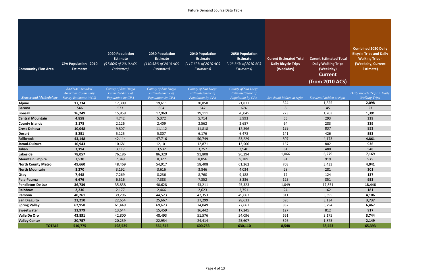| <b>Community Plan Area</b>    | <b>CPA Population - 2010</b><br><b>Estimates</b>           | <b>2020 Population</b><br><b>Estimate</b><br>(97.60% of 2010 ACS<br>Estimates) | <b>2030 Population</b><br><b>Estimate</b><br>(110.58% of 2010 ACS<br>Estimates) | 2040 Population<br><b>Estimate</b><br>(117.62% of 2010 ACS<br><b>Estimates</b> ) | <b>2050 Population</b><br><b>Estimate</b><br>(123.36% of 2010 ACS<br>Estimates) | <b>Curent Estimated Total</b><br><b>Daily Bicycle Trips</b><br>(Weekday) | <b>Curent Estimated Total</b><br><b>Daily Walking Trips</b><br>(Weekday)<br><b>Current</b><br>(from 2010 ACS) | <b>Combined 2020 Daily</b><br><b>Bicycle Trips and Daily</b><br><b>Walking Trips -</b><br>(Weekday, Current<br><b>Estimate)</b> |
|-------------------------------|------------------------------------------------------------|--------------------------------------------------------------------------------|---------------------------------------------------------------------------------|----------------------------------------------------------------------------------|---------------------------------------------------------------------------------|--------------------------------------------------------------------------|---------------------------------------------------------------------------------------------------------------|---------------------------------------------------------------------------------------------------------------------------------|
|                               | SANDAG-recoded                                             | County of San Diego                                                            | County of San Diego                                                             | County of San Diego                                                              | County of San Diego                                                             |                                                                          |                                                                                                               |                                                                                                                                 |
| <b>Source and Methodology</b> | <b>American Community</b><br><b>Survey Estimates (ACS)</b> | Estimate/Share of<br>Population by CPA                                         | Estimate/Share of<br>Population by CPA                                          | Estimate/Share of<br>Population by CPA                                           | Estimate/Share of<br>Population by CPA                                          | See detail hidden at right                                               | See detail hidden at right                                                                                    | Daily Bicycle Trips + Daily<br><b>Walking Trips</b>                                                                             |
| <b>Alpine</b>                 | 17,734                                                     | 17,309                                                                         | 19,611                                                                          | 20,858                                                                           | 21,877                                                                          | 324                                                                      | 1,825                                                                                                         | 2,098                                                                                                                           |
| <b>Barona</b>                 | 546                                                        | 533                                                                            | 604                                                                             | 642                                                                              | 674                                                                             | 8                                                                        | 45                                                                                                            | 52                                                                                                                              |
| <b>Bonsall</b>                | 16,249                                                     | 15,859                                                                         | 17,969                                                                          | 19,111                                                                           | 20,045                                                                          | 223                                                                      | 1,203                                                                                                         | 1,391                                                                                                                           |
| <b>Central Mountain</b>       | 4,858                                                      | 4,742                                                                          | 5,372                                                                           | 5,714                                                                            | 5,993                                                                           | 55                                                                       | 293                                                                                                           | 339                                                                                                                             |
| <b>County Islands</b>         | 2,178                                                      | 2,126                                                                          | 2,409                                                                           | 2,562                                                                            | 2,687                                                                           | 64                                                                       | 283                                                                                                           | 339                                                                                                                             |
| <b>Crest-Dehesa</b>           | 10,048                                                     | 9,807                                                                          | 11,112                                                                          | 11,818                                                                           | 12,396                                                                          | 139                                                                      | 837                                                                                                           | 953                                                                                                                             |
| <b>Desert</b>                 | 5,251                                                      | 5,125                                                                          | 5,807                                                                           | 6,176                                                                            | 6,478                                                                           | 141                                                                      | 426                                                                                                           | 553                                                                                                                             |
| <b>Fallbrook</b>              | 43,148                                                     | 42,114                                                                         | 47,716                                                                          | 50,749                                                                           | 53,229                                                                          | 807                                                                      | 4,173                                                                                                         | 4,861                                                                                                                           |
| Jamul-Dulzura                 | 10,943                                                     | 10,681                                                                         | 12,101                                                                          | 12,871                                                                           | 13,500                                                                          | 157                                                                      | 802                                                                                                           | 936                                                                                                                             |
| Julian                        | 3,194                                                      | 3,117                                                                          | 3,532                                                                           | 3,757                                                                            | 3,940                                                                           | 81                                                                       | 480                                                                                                           | 548                                                                                                                             |
| Lakeside                      | 78,057                                                     | 76,186                                                                         | 86,320                                                                          | 91,808                                                                           | 96,294                                                                          | 1,066                                                                    | 6,279                                                                                                         | 7,169                                                                                                                           |
| <b>Mountain Empire</b>        | 7,530                                                      | 7,349                                                                          | 8,327                                                                           | 8,856                                                                            | 9,289                                                                           | 81                                                                       | 919                                                                                                           | 975                                                                                                                             |
| <b>North County Metro</b>     | 49,660                                                     | 48,469                                                                         | 54,917                                                                          | 58,408                                                                           | 61,262                                                                          | 708                                                                      | 3,433                                                                                                         | 4,041                                                                                                                           |
| <b>North Mountain</b>         | 3,270                                                      | 3,192                                                                          | 3,616                                                                           | 3,846                                                                            | 4,034                                                                           | 28                                                                       | 281                                                                                                           | 301                                                                                                                             |
| Otay                          | 7,448                                                      | 7,269                                                                          | 8,236                                                                           | 8,760                                                                            | 9,188                                                                           | 17                                                                       | 124                                                                                                           | 137                                                                                                                             |
| Pala-Pauma                    | 6,676                                                      | 6,516                                                                          | 7,383                                                                           | 7,852                                                                            | 8,236                                                                           | 125                                                                      | 851                                                                                                           | 953                                                                                                                             |
| Pendleton-De Luz              | 36,739                                                     | 35,858                                                                         | 40,628                                                                          | 43,211                                                                           | 45,323                                                                          | 1,049                                                                    | 17,851                                                                                                        | 18,446                                                                                                                          |
| Rainbow                       | 2,230                                                      | 2,177                                                                          | 2,466                                                                           | 2,623                                                                            | 2,751                                                                           | 24                                                                       | 162                                                                                                           | 181                                                                                                                             |
| Ramona                        | 40,261                                                     | 39,296                                                                         | 44,523                                                                          | 47,353                                                                           | 49,667                                                                          | 811                                                                      | 3,395                                                                                                         | 4,106                                                                                                                           |
| <b>San Dieguito</b>           | 23,210                                                     | 22,654                                                                         | 25,667                                                                          | 27,299                                                                           | 28,633                                                                          | 695                                                                      | 3,134                                                                                                         | 3,737                                                                                                                           |
| <b>Spring Valley</b>          | 62,958                                                     | 61,449                                                                         | 69,623                                                                          | 74,049                                                                           | 77,667                                                                          | 832                                                                      | 5,794                                                                                                         | 6,467                                                                                                                           |
| Sweetwater                    | 13,979                                                     | 13,644                                                                         | 15,459                                                                          | 16,442                                                                           | 17,245                                                                          | 127                                                                      | 812                                                                                                           | 917                                                                                                                             |
| <b>Valle De Oro</b>           | 43,851                                                     | 42,800                                                                         | 48,493                                                                          | 51,576                                                                           | 54,096                                                                          | 661                                                                      | 3,175                                                                                                         | 3,744                                                                                                                           |
| <b>Valley Center</b>          | 20,757                                                     | 20,259                                                                         | 22,954                                                                          | 24,414                                                                           | 25,607                                                                          | 326                                                                      | 1,875                                                                                                         | 2,149                                                                                                                           |
| <b>TOTALS</b>                 | 510,775                                                    | 498,529                                                                        | 564,845                                                                         | 600,753                                                                          | 630,110                                                                         | 8,548                                                                    | 58,453                                                                                                        | 65,393                                                                                                                          |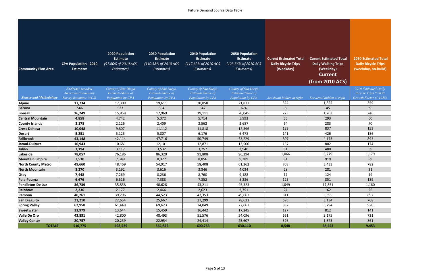| <b>Community Plan Area</b>    | <b>CPA Population - 2010</b><br><b>Estimates</b>           | <b>2020 Population</b><br><b>Estimate</b><br>(97.60% of 2010 ACS<br>Estimates) | <b>2030 Population</b><br><b>Estimate</b><br>(110.58% of 2010 ACS<br>Estimates) | <b>2040 Population</b><br><b>Estimate</b><br>(117.62% of 2010 ACS<br>Estimates) | 2050 Population<br><b>Estimate</b><br>(123.36% of 2010 ACS<br>Estimates) | <b>Curent Estimated Total</b><br><b>Daily Bicycle Trips</b><br>(Weekday) | <b>Curent Estimated Total</b><br><b>Daily Walking Trips</b><br>(Weekday)<br><b>Current</b><br>(from 2010 ACS) |
|-------------------------------|------------------------------------------------------------|--------------------------------------------------------------------------------|---------------------------------------------------------------------------------|---------------------------------------------------------------------------------|--------------------------------------------------------------------------|--------------------------------------------------------------------------|---------------------------------------------------------------------------------------------------------------|
|                               | SANDAG-recoded                                             | County of San Diego                                                            | County of San Diego                                                             | County of San Diego                                                             | County of San Diego                                                      |                                                                          |                                                                                                               |
| <b>Source and Methodology</b> | <b>American Community</b><br><b>Survey Estimates (ACS)</b> | Estimate/Share of<br>Population by CPA                                         | Estimate/Share of<br>Population by CPA                                          | Estimate/Share of<br>Population by CPA                                          | Estimate/Share of<br>Population by CPA                                   | See detail hidden at right                                               | See detail hidden at right                                                                                    |
| <b>Alpine</b>                 | 17,734                                                     | 17,309                                                                         | 19,611                                                                          | 20,858                                                                          | 21,877                                                                   | 324                                                                      | 1,825                                                                                                         |
| <b>Barona</b>                 | 546                                                        | 533                                                                            | 604                                                                             | 642                                                                             | 674                                                                      | 8                                                                        | 45                                                                                                            |
| <b>Bonsall</b>                | 16,249                                                     | 15,859                                                                         | 17,969                                                                          | 19,111                                                                          | 20,045                                                                   | 223                                                                      | 1,203                                                                                                         |
| <b>Central Mountain</b>       | 4,858                                                      | 4,742                                                                          | 5,372                                                                           | 5,714                                                                           | 5,993                                                                    | 55                                                                       | 293                                                                                                           |
| <b>County Islands</b>         | 2,178                                                      | 2,126                                                                          | 2,409                                                                           | 2,562                                                                           | 2,687                                                                    | 64                                                                       | 283                                                                                                           |
| <b>Crest-Dehesa</b>           | 10,048                                                     | 9,807                                                                          | 11,112                                                                          | 11,818                                                                          | 12,396                                                                   | 139                                                                      | 837                                                                                                           |
| <b>Desert</b>                 | 5,251                                                      | 5,125                                                                          | 5,807                                                                           | 6,176                                                                           | 6,478                                                                    | 141                                                                      | 426                                                                                                           |
| <b>Fallbrook</b>              | 43,148                                                     | 42,114                                                                         | 47,716                                                                          | 50,749                                                                          | 53,229                                                                   | 807                                                                      | 4,173                                                                                                         |
| Jamul-Dulzura                 | 10,943                                                     | 10,681                                                                         | 12,101                                                                          | 12,871                                                                          | 13,500                                                                   | 157                                                                      | 802                                                                                                           |
| Julian                        | 3,194                                                      | 3,117                                                                          | 3,532                                                                           | 3,757                                                                           | 3,940                                                                    | 81                                                                       | 480                                                                                                           |
| Lakeside                      | 78,057                                                     | 76,186                                                                         | 86,320                                                                          | 91,808                                                                          | 96,294                                                                   | 1,066                                                                    | 6,279                                                                                                         |
| <b>Mountain Empire</b>        | 7,530                                                      | 7,349                                                                          | 8,327                                                                           | 8,856                                                                           | 9,289                                                                    | 81                                                                       | 919                                                                                                           |
| <b>North County Metro</b>     | 49,660                                                     | 48,469                                                                         | 54,917                                                                          | 58,408                                                                          | 61,262                                                                   | 708                                                                      | 3,433                                                                                                         |
| <b>North Mountain</b>         | 3,270                                                      | 3,192                                                                          | 3,616                                                                           | 3,846                                                                           | 4,034                                                                    | 28                                                                       | 281                                                                                                           |
| Otay                          | 7,448                                                      | 7,269                                                                          | 8,236                                                                           | 8,760                                                                           | 9,188                                                                    | 17                                                                       | 124                                                                                                           |
| Pala-Pauma                    | 6,676                                                      | 6,516                                                                          | 7,383                                                                           | 7,852                                                                           | 8,236                                                                    | 125                                                                      | 851                                                                                                           |
| Pendleton-De Luz              | 36,739                                                     | 35,858                                                                         | 40,628                                                                          | 43,211                                                                          | 45,323                                                                   | 1,049                                                                    | 17,851                                                                                                        |
| Rainbow                       | 2,230                                                      | 2,177                                                                          | 2,466                                                                           | 2,623                                                                           | 2,751                                                                    | 24                                                                       | 162                                                                                                           |
| Ramona                        | 40,261                                                     | 39,296                                                                         | 44,523                                                                          | 47,353                                                                          | 49,667                                                                   | 811                                                                      | 3,395                                                                                                         |
| <b>San Dieguito</b>           | 23,210                                                     | 22,654                                                                         | 25,667                                                                          | 27,299                                                                          | 28,633                                                                   | 695                                                                      | 3,134                                                                                                         |
| <b>Spring Valley</b>          | 62,958                                                     | 61,449                                                                         | 69,623                                                                          | 74,049                                                                          | 77,667                                                                   | 832                                                                      | 5,794                                                                                                         |
| <b>Sweetwater</b>             | 13,979                                                     | 13,644                                                                         | 15,459                                                                          | 16,442                                                                          | 17,245                                                                   | 127                                                                      | 812                                                                                                           |
| <b>Valle De Oro</b>           | 43,851                                                     | 42,800                                                                         | 48,493                                                                          | 51,576                                                                          | 54,096                                                                   | 661                                                                      | 3,175                                                                                                         |
| <b>Valley Center</b>          | 20,757                                                     | 20,259                                                                         | 22,954                                                                          | 24,414                                                                          | 25,607                                                                   | 326                                                                      | 1,875                                                                                                         |
| <b>TOTALS</b>                 | 510,775                                                    | 498,529                                                                        | 564,845                                                                         | 600,753                                                                         | 630,110                                                                  | 8,548                                                                    | 58,453                                                                                                        |

 **2030 Estimated Total Daily Bicycle Trips (weekday, no-build)**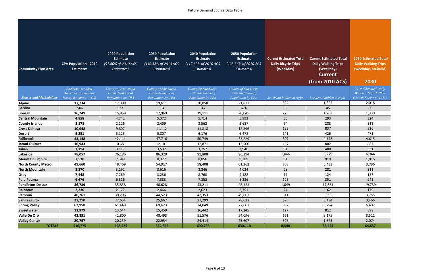|                               |                                                            | <b>2020 Population</b>                               | 2030 Population                                       | <b>2040 Population</b>                                | <b>2050 Population</b>                                |                                                                          |                                                                                            |                                                                                  |
|-------------------------------|------------------------------------------------------------|------------------------------------------------------|-------------------------------------------------------|-------------------------------------------------------|-------------------------------------------------------|--------------------------------------------------------------------------|--------------------------------------------------------------------------------------------|----------------------------------------------------------------------------------|
| <b>Community Plan Area</b>    | <b>CPA Population - 2010</b><br><b>Estimates</b>           | <b>Estimate</b><br>(97.60% of 2010 ACS<br>Estimates) | <b>Estimate</b><br>(110.58% of 2010 ACS<br>Estimates) | <b>Estimate</b><br>(117.62% of 2010 ACS<br>Estimates) | <b>Estimate</b><br>(123.36% of 2010 ACS<br>Estimates) | <b>Curent Estimated Total</b><br><b>Daily Bicycle Trips</b><br>(Weekday) | <b>Curent Estimated Total</b><br><b>Daily Walking Trips</b><br>(Weekday)<br><b>Current</b> | <b>2030 Estimated Total</b><br><b>Daily Walking Trips</b><br>(weekday, no-build) |
|                               |                                                            |                                                      |                                                       |                                                       |                                                       |                                                                          | (from 2010 ACS)                                                                            | 2030                                                                             |
|                               | SANDAG-recoded                                             | County of San Diego                                  | County of San Diego                                   | County of San Diego                                   | County of San Diego                                   |                                                                          |                                                                                            | 2010 Estimated Daily                                                             |
| <b>Source and Methodology</b> | <b>American Community</b><br><b>Survey Estimates (ACS)</b> | Estimate/Share of<br>Population by CPA               | Estimate/Share of<br>Population by CPA                | Estimate/Share of<br>Population by CPA                | Estimate/Share of<br>Population by CPA                | See detail hidden at right                                               | See detail hidden at right                                                                 | <b>Walking Trips * 2030</b><br>Growth Factor (1.1058)                            |
| <b>Alpine</b>                 | 17,734                                                     | 17,309                                               | 19,611                                                | 20,858                                                | 21,877                                                | 324                                                                      | 1,825                                                                                      | 2,018                                                                            |
| <b>Barona</b>                 | 546                                                        | 533                                                  | 604                                                   | 642                                                   | 674                                                   | 8                                                                        | 45                                                                                         | 50                                                                               |
| <b>Bonsall</b>                | 16,249                                                     | 15,859                                               | 17,969                                                | 19,111                                                | 20,045                                                | 223                                                                      | 1,203                                                                                      | 1,330                                                                            |
| <b>Central Mountain</b>       | 4,858                                                      | 4,742                                                | 5,372                                                 | 5,714                                                 | 5,993                                                 | 55                                                                       | 293                                                                                        | 324                                                                              |
| <b>County Islands</b>         | 2,178                                                      | 2,126                                                | 2,409                                                 | 2,562                                                 | 2,687                                                 | 64                                                                       | 283                                                                                        | 313                                                                              |
| <b>Crest-Dehesa</b>           | 10,048                                                     | 9,807                                                | 11,112                                                | 11,818                                                | 12,396                                                | 139                                                                      | 837                                                                                        | 926                                                                              |
| <b>Desert</b>                 | 5,251                                                      | 5,125                                                | 5,807                                                 | 6,176                                                 | 6,478                                                 | 141                                                                      | 426                                                                                        | 471                                                                              |
| <b>Fallbrook</b>              | 43,148                                                     | 42,114                                               | 47,716                                                | 50,749                                                | 53,229                                                | 807                                                                      | 4,173                                                                                      | 4,615                                                                            |
| Jamul-Dulzura                 | 10,943                                                     | 10,681                                               | 12,101                                                | 12,871                                                | 13,500                                                | 157                                                                      | 802                                                                                        | 887                                                                              |
| Julian                        | 3,194                                                      | 3,117                                                | 3,532                                                 | 3,757                                                 | 3,940                                                 | 81                                                                       | 480                                                                                        | 531                                                                              |
| Lakeside                      | 78,057                                                     | 76,186                                               | 86,320                                                | 91,808                                                | 96,294                                                | 1,066                                                                    | 6,279                                                                                      | 6,944                                                                            |
| <b>Mountain Empire</b>        | 7,530                                                      | 7,349                                                | 8,327                                                 | 8,856                                                 | 9,289                                                 | 81                                                                       | 919                                                                                        | 1,016                                                                            |
| <b>North County Metro</b>     | 49,660                                                     | 48,469                                               | 54,917                                                | 58,408                                                | 61,262                                                | 708                                                                      | 3,433                                                                                      | 3,796                                                                            |
| <b>North Mountain</b>         | 3,270                                                      | 3,192                                                | 3,616                                                 | 3,846                                                 | 4,034                                                 | 28                                                                       | 281                                                                                        | 311                                                                              |
| Otay                          | 7,448                                                      | 7,269                                                | 8,236                                                 | 8,760                                                 | 9,188                                                 | 17                                                                       | 124                                                                                        | 137                                                                              |
| Pala-Pauma                    | 6,676                                                      | 6,516                                                | 7,383                                                 | 7,852                                                 | 8,236                                                 | 125                                                                      | 851                                                                                        | 941                                                                              |
| Pendleton-De Luz              | 36,739                                                     | 35,858                                               | 40,628                                                | 43,211                                                | 45,323                                                | 1,049                                                                    | 17,851                                                                                     | 19,739                                                                           |
| Rainbow                       | 2,230                                                      | 2,177                                                | 2,466                                                 | 2,623                                                 | 2,751                                                 | 24                                                                       | 162                                                                                        | 179                                                                              |
| Ramona                        | 40,261                                                     | 39,296                                               | 44,523                                                | 47,353                                                | 49,667                                                | 811                                                                      | 3,395                                                                                      | 3,755                                                                            |
| <b>San Dieguito</b>           | 23,210                                                     | 22,654                                               | 25,667                                                | 27,299                                                | 28,633                                                | 695                                                                      | 3,134                                                                                      | 3,466                                                                            |
| <b>Spring Valley</b>          | 62,958                                                     | 61,449                                               | 69,623                                                | 74,049                                                | 77,667                                                | 832                                                                      | 5,794                                                                                      | 6,407                                                                            |
| Sweetwater                    | 13,979                                                     | 13,644                                               | 15,459                                                | 16,442                                                | 17,245                                                | 127                                                                      | 812                                                                                        | 898                                                                              |
| <b>Valle De Oro</b>           | 43,851                                                     | 42,800                                               | 48,493                                                | 51,576                                                | 54,096                                                | 661                                                                      | 3,175                                                                                      | 3,511                                                                            |
| <b>Valley Center</b>          | 20,757                                                     | 20,259                                               | 22,954                                                | 24,414                                                | 25,607                                                | 326                                                                      | 1,875                                                                                      | 2,074                                                                            |
| <b>TOTALS</b>                 | 510,775                                                    | 498,529                                              | 564,845                                               | 600,753                                               | 630,110                                               | 8,548                                                                    | 58,453                                                                                     | 64,637                                                                           |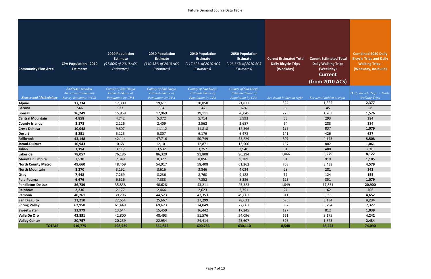| <b>Community Plan Area</b>    | <b>CPA Population - 2010</b><br><b>Estimates</b>           | 2020 Population<br><b>Estimate</b><br>(97.60% of 2010 ACS<br>Estimates) | 2030 Population<br><b>Estimate</b><br>(110.58% of 2010 ACS<br>Estimates) | <b>2040 Population</b><br><b>Estimate</b><br>(117.62% of 2010 ACS<br>Estimates) | <b>2050 Population</b><br><b>Estimate</b><br>(123.36% of 2010 ACS<br>Estimates) | <b>Curent Estimated Total</b><br><b>Daily Bicycle Trips</b><br>(Weekday) | <b>Curent Estimated Total</b><br><b>Daily Walking Trips</b><br>(Weekday)<br><b>Current</b><br>(from 2010 ACS) | <b>Combined 2030 Daily</b><br><b>Bicycle Trips and Daily</b><br><b>Walking Trips -</b><br>(Weekday, no-build) |
|-------------------------------|------------------------------------------------------------|-------------------------------------------------------------------------|--------------------------------------------------------------------------|---------------------------------------------------------------------------------|---------------------------------------------------------------------------------|--------------------------------------------------------------------------|---------------------------------------------------------------------------------------------------------------|---------------------------------------------------------------------------------------------------------------|
|                               | SANDAG-recoded                                             | County of San Diego                                                     | County of San Diego                                                      | County of San Diego                                                             | County of San Diego                                                             |                                                                          |                                                                                                               |                                                                                                               |
| <b>Source and Methodology</b> | <b>American Community</b><br><b>Survey Estimates (ACS)</b> | Estimate/Share of<br>Population by CPA                                  | Estimate/Share of<br>Population by CPA                                   | Estimate/Share of<br>Population by CPA                                          | Estimate/Share of<br>Population by CPA                                          | See detail hidden at right                                               | See detail hidden at right                                                                                    | Daily Bicycle Trips + Daily<br><b>Walking Trips</b>                                                           |
| <b>Alpine</b>                 | 17,734                                                     | 17,309                                                                  | 19,611                                                                   | 20,858                                                                          | 21,877                                                                          | 324                                                                      | 1,825                                                                                                         | 2,377                                                                                                         |
| <b>Barona</b>                 | 546                                                        | 533                                                                     | 604                                                                      | 642                                                                             | 674                                                                             | 8                                                                        | 45                                                                                                            | 58                                                                                                            |
| <b>Bonsall</b>                | 16,249                                                     | 15,859                                                                  | 17,969                                                                   | 19,111                                                                          | 20,045                                                                          | 223                                                                      | 1,203                                                                                                         | 1,576                                                                                                         |
| <b>Central Mountain</b>       | 4,858                                                      | 4,742                                                                   | 5,372                                                                    | 5,714                                                                           | 5,993                                                                           | 55                                                                       | 293                                                                                                           | 384                                                                                                           |
| <b>County Islands</b>         | 2,178                                                      | 2,126                                                                   | 2,409                                                                    | 2,562                                                                           | 2,687                                                                           | 64                                                                       | 283                                                                                                           | 384                                                                                                           |
| <b>Crest-Dehesa</b>           | 10,048                                                     | 9,807                                                                   | 11,112                                                                   | 11,818                                                                          | 12,396                                                                          | 139                                                                      | 837                                                                                                           | 1,079                                                                                                         |
| <b>Desert</b>                 | 5,251                                                      | 5,125                                                                   | 5,807                                                                    | 6,176                                                                           | 6,478                                                                           | 141                                                                      | 426                                                                                                           | 627                                                                                                           |
| <b>Fallbrook</b>              | 43,148                                                     | 42,114                                                                  | 47,716                                                                   | 50,749                                                                          | 53,229                                                                          | 807                                                                      | 4,173                                                                                                         | 5,508                                                                                                         |
| Jamul-Dulzura                 | 10,943                                                     | 10,681                                                                  | 12,101                                                                   | 12,871                                                                          | 13,500                                                                          | 157                                                                      | 802                                                                                                           | 1,061                                                                                                         |
| Julian                        | 3,194                                                      | 3,117                                                                   | 3,532                                                                    | 3,757                                                                           | 3,940                                                                           | 81                                                                       | 480                                                                                                           | 620                                                                                                           |
| Lakeside                      | 78,057                                                     | 76,186                                                                  | 86,320                                                                   | 91,808                                                                          | 96,294                                                                          | 1,066                                                                    | 6,279                                                                                                         | 8,122                                                                                                         |
| <b>Mountain Empire</b>        | 7,530                                                      | 7,349                                                                   | 8,327                                                                    | 8,856                                                                           | 9,289                                                                           | 81                                                                       | 919                                                                                                           | 1,105                                                                                                         |
| <b>North County Metro</b>     | 49,660                                                     | 48,469                                                                  | 54,917                                                                   | 58,408                                                                          | 61,262                                                                          | 708                                                                      | 3,433                                                                                                         | 4,579                                                                                                         |
| <b>North Mountain</b>         | 3,270                                                      | 3,192                                                                   | 3,616                                                                    | 3,846                                                                           | 4,034                                                                           | 28                                                                       | 281                                                                                                           | 342                                                                                                           |
| Otay                          | 7,448                                                      | 7,269                                                                   | 8,236                                                                    | 8,760                                                                           | 9,188                                                                           | 17                                                                       | 124                                                                                                           | 155                                                                                                           |
| Pala-Pauma                    | 6,676                                                      | 6,516                                                                   | 7,383                                                                    | 7,852                                                                           | 8,236                                                                           | 125                                                                      | 851                                                                                                           | 1,079                                                                                                         |
| Pendleton-De Luz              | 36,739                                                     | 35,858                                                                  | 40,628                                                                   | 43,211                                                                          | 45,323                                                                          | 1,049                                                                    | 17,851                                                                                                        | 20,900                                                                                                        |
| Rainbow                       | 2,230                                                      | 2,177                                                                   | 2,466                                                                    | 2,623                                                                           | 2,751                                                                           | 24                                                                       | 162                                                                                                           | 206                                                                                                           |
| Ramona                        | 40,261                                                     | 39,296                                                                  | 44,523                                                                   | 47,353                                                                          | 49,667                                                                          | 811                                                                      | 3,395                                                                                                         | 4,652                                                                                                         |
| <b>San Dieguito</b>           | 23,210                                                     | 22,654                                                                  | 25,667                                                                   | 27,299                                                                          | 28,633                                                                          | 695                                                                      | 3,134                                                                                                         | 4,234                                                                                                         |
| <b>Spring Valley</b>          | 62,958                                                     | 61,449                                                                  | 69,623                                                                   | 74,049                                                                          | 77,667                                                                          | 832                                                                      | 5,794                                                                                                         | 7,327                                                                                                         |
| Sweetwater                    | 13,979                                                     | 13,644                                                                  | 15,459                                                                   | 16,442                                                                          | 17,245                                                                          | 127                                                                      | 812                                                                                                           | 1,039                                                                                                         |
| <b>Valle De Oro</b>           | 43,851                                                     | 42,800                                                                  | 48,493                                                                   | 51,576                                                                          | 54,096                                                                          | 661                                                                      | 3,175                                                                                                         | 4,242                                                                                                         |
| <b>Valley Center</b>          | 20,757                                                     | 20,259                                                                  | 22,954                                                                   | 24,414                                                                          | 25,607                                                                          | 326                                                                      | 1,875                                                                                                         | 2,434                                                                                                         |
| <b>TOTALS</b>                 | 510,775                                                    | 498,529                                                                 | 564,845                                                                  | 600,753                                                                         | 630,110                                                                         | 8,548                                                                    | 58,453                                                                                                        | 74,090                                                                                                        |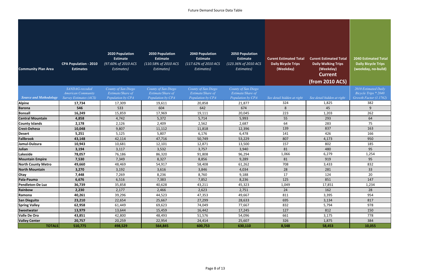| <b>Community Plan Area</b>    | <b>CPA Population - 2010</b><br><b>Estimates</b>           | <b>2020 Population</b><br><b>Estimate</b><br>(97.60% of 2010 ACS<br>Estimates) | 2030 Population<br><b>Estimate</b><br>(110.58% of 2010 ACS<br>Estimates) | <b>2040 Population</b><br>Estimate<br>(117.62% of 2010 ACS<br>Estimates) | 2050 Population<br><b>Estimate</b><br>(123.36% of 2010 ACS<br>Estimates) | <b>Curent Estimated Total</b><br><b>Daily Bicycle Trips</b><br>(Weekday) | <b>Curent Estimated Total</b><br><b>Daily Walking Trips</b><br>(Weekday)<br><b>Current</b><br>(from 2010 ACS) | <b>2040 Estimated Total</b><br><b>Daily Bicycle Trips</b><br>(weekday, no-build) |
|-------------------------------|------------------------------------------------------------|--------------------------------------------------------------------------------|--------------------------------------------------------------------------|--------------------------------------------------------------------------|--------------------------------------------------------------------------|--------------------------------------------------------------------------|---------------------------------------------------------------------------------------------------------------|----------------------------------------------------------------------------------|
|                               | SANDAG-recoded                                             | County of San Diego                                                            | County of San Diego                                                      | County of San Diego                                                      | County of San Diego                                                      |                                                                          |                                                                                                               | 2010 Estimated Daily                                                             |
| <b>Source and Methodology</b> | <b>American Community</b><br><b>Survey Estimates (ACS)</b> | Estimate/Share of<br>Population by CPA                                         | Estimate/Share of<br>Population by CPA                                   | Estimate/Share of<br>Population by CPA                                   | Estimate/Share of<br>Population by CPA                                   | See detail hidden at right                                               | See detail hidden at right                                                                                    | Bicycle Trips * 2040<br>Growth Factor (1.1762)                                   |
| <b>Alpine</b>                 | 17,734                                                     | 17,309                                                                         | 19,611                                                                   | 20,858                                                                   | 21,877                                                                   | 324                                                                      | 1,825                                                                                                         | 382                                                                              |
| <b>Barona</b>                 | 546                                                        | 533                                                                            | 604                                                                      | 642                                                                      | 674                                                                      | 8                                                                        | 45                                                                                                            | 9                                                                                |
| <b>Bonsall</b>                | 16,249                                                     | 15,859                                                                         | 17,969                                                                   | 19,111                                                                   | 20,045                                                                   | 223                                                                      | 1,203                                                                                                         | 262                                                                              |
| <b>Central Mountain</b>       | 4,858                                                      | 4,742                                                                          | 5,372                                                                    | 5,714                                                                    | 5,993                                                                    | 55                                                                       | 293                                                                                                           | 64                                                                               |
| <b>County Islands</b>         | 2,178                                                      | 2,126                                                                          | 2,409                                                                    | 2,562                                                                    | 2,687                                                                    | 64                                                                       | 283                                                                                                           | 75                                                                               |
| <b>Crest-Dehesa</b>           | 10,048                                                     | 9,807                                                                          | 11,112                                                                   | 11,818                                                                   | 12,396                                                                   | 139                                                                      | 837                                                                                                           | 163                                                                              |
| <b>Desert</b>                 | 5,251                                                      | 5,125                                                                          | 5,807                                                                    | 6,176                                                                    | 6,478                                                                    | 141                                                                      | 426                                                                                                           | 166                                                                              |
| <b>Fallbrook</b>              | 43,148                                                     | 42,114                                                                         | 47,716                                                                   | 50,749                                                                   | 53,229                                                                   | 807                                                                      | 4,173                                                                                                         | 950                                                                              |
| Jamul-Dulzura                 | 10,943                                                     | 10,681                                                                         | 12,101                                                                   | 12,871                                                                   | 13,500                                                                   | 157                                                                      | 802                                                                                                           | 185                                                                              |
| Julian                        | 3,194                                                      | 3,117                                                                          | 3,532                                                                    | 3,757                                                                    | 3,940                                                                    | 81                                                                       | 480                                                                                                           | 95                                                                               |
| Lakeside                      | 78,057                                                     | 76,186                                                                         | 86,320                                                                   | 91,808                                                                   | 96,294                                                                   | 1,066                                                                    | 6,279                                                                                                         | 1,254                                                                            |
| <b>Mountain Empire</b>        | 7,530                                                      | 7,349                                                                          | 8,327                                                                    | 8,856                                                                    | 9,289                                                                    | 81                                                                       | 919                                                                                                           | 95                                                                               |
| <b>North County Metro</b>     | 49,660                                                     | 48,469                                                                         | 54,917                                                                   | 58,408                                                                   | 61,262                                                                   | 708                                                                      | 3,433                                                                                                         | 832                                                                              |
| <b>North Mountain</b>         | 3,270                                                      | 3,192                                                                          | 3,616                                                                    | 3,846                                                                    | 4,034                                                                    | 28                                                                       | 281                                                                                                           | 33                                                                               |
| Otay                          | 7,448                                                      | 7,269                                                                          | 8,236                                                                    | 8,760                                                                    | 9,188                                                                    | 17                                                                       | 124                                                                                                           | 20                                                                               |
| Pala-Pauma                    | 6,676                                                      | 6,516                                                                          | 7,383                                                                    | 7,852                                                                    | 8,236                                                                    | 125                                                                      | 851                                                                                                           | 147                                                                              |
| Pendleton-De Luz              | 36,739                                                     | 35,858                                                                         | 40,628                                                                   | 43,211                                                                   | 45,323                                                                   | 1,049                                                                    | 17,851                                                                                                        | 1,234                                                                            |
| Rainbow                       | 2,230                                                      | 2,177                                                                          | 2,466                                                                    | 2,623                                                                    | 2,751                                                                    | 24                                                                       | 162                                                                                                           | 28                                                                               |
| Ramona                        | 40,261                                                     | 39,296                                                                         | 44,523                                                                   | 47,353                                                                   | 49,667                                                                   | 811                                                                      | 3,395                                                                                                         | 954                                                                              |
| <b>San Dieguito</b>           | 23,210                                                     | 22,654                                                                         | 25,667                                                                   | 27,299                                                                   | 28,633                                                                   | 695                                                                      | 3,134                                                                                                         | 817                                                                              |
| <b>Spring Valley</b>          | 62,958                                                     | 61,449                                                                         | 69,623                                                                   | 74,049                                                                   | 77,667                                                                   | 832                                                                      | 5,794                                                                                                         | 978                                                                              |
| Sweetwater                    | 13,979                                                     | 13,644                                                                         | 15,459                                                                   | 16,442                                                                   | 17,245                                                                   | 127                                                                      | 812                                                                                                           | 150                                                                              |
| <b>Valle De Oro</b>           | 43,851                                                     | 42,800                                                                         | 48,493                                                                   | 51,576                                                                   | 54,096                                                                   | 661                                                                      | 3,175                                                                                                         | 778                                                                              |
| <b>Valley Center</b>          | 20,757                                                     | 20,259                                                                         | 22,954                                                                   | 24,414                                                                   | 25,607                                                                   | 326                                                                      | 1,875                                                                                                         | 384                                                                              |
| <b>TOTALS</b>                 | 510,775                                                    | 498,529                                                                        | 564,845                                                                  | 600,753                                                                  | 630,110                                                                  | 8,548                                                                    | 58,453                                                                                                        | 10,055                                                                           |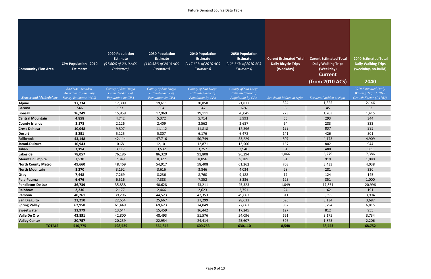|                               | <b>CPA Population - 2010</b>                               | <b>2020 Population</b><br><b>Estimate</b><br>(97.60% of 2010 ACS | 2030 Population<br><b>Estimate</b><br>(110.58% of 2010 ACS | <b>2040 Population</b><br><b>Estimate</b><br>(117.62% of 2010 ACS | <b>2050 Population</b><br><b>Estimate</b><br>(123.36% of 2010 ACS | <b>Curent Estimated Total</b><br><b>Daily Bicycle Trips</b> | <b>Curent Estimated Total</b><br><b>Daily Walking Trips</b> | <b>2040 Estimated Total</b><br><b>Daily Walking Trips</b> |
|-------------------------------|------------------------------------------------------------|------------------------------------------------------------------|------------------------------------------------------------|-------------------------------------------------------------------|-------------------------------------------------------------------|-------------------------------------------------------------|-------------------------------------------------------------|-----------------------------------------------------------|
| <b>Community Plan Area</b>    | <b>Estimates</b>                                           | Estimates)                                                       | Estimates)                                                 | Estimates)                                                        | Estimates)                                                        | (Weekday)                                                   | (Weekday)<br><b>Current</b>                                 | (weekday, no-build)                                       |
|                               |                                                            |                                                                  |                                                            |                                                                   |                                                                   |                                                             | (from 2010 ACS)                                             | 2040                                                      |
|                               | SANDAG-recoded                                             | County of San Diego                                              | County of San Diego                                        | County of San Diego                                               | County of San Diego                                               |                                                             |                                                             | 2010 Estimated Daily                                      |
| <b>Source and Methodology</b> | <b>American Community</b><br><b>Survey Estimates (ACS)</b> | Estimate/Share of                                                | Estimate/Share of<br>Population by CPA                     | Estimate/Share of                                                 | Estimate/Share of                                                 | See detail hidden at right                                  | See detail hidden at right                                  | <b>Walking Trips * 2040</b><br>Growth Factor (1.1762)     |
| <b>Alpine</b>                 | 17,734                                                     | Population by CPA<br>17,309                                      | 19,611                                                     | Population by CPA<br>20,858                                       | Population by CPA<br>21,877                                       | 324                                                         | 1,825                                                       | 2,146                                                     |
| <b>Barona</b>                 | 546                                                        | 533                                                              | 604                                                        | 642                                                               | 674                                                               | 8                                                           | 45                                                          | 53                                                        |
| <b>Bonsall</b>                | 16,249                                                     | 15,859                                                           | 17,969                                                     | 19,111                                                            | 20,045                                                            | 223                                                         | 1,203                                                       | 1,415                                                     |
| <b>Central Mountain</b>       | 4,858                                                      | 4,742                                                            | 5,372                                                      | 5,714                                                             | 5,993                                                             | 55                                                          | 293                                                         | 344                                                       |
| <b>County Islands</b>         | 2,178                                                      | 2,126                                                            | 2,409                                                      | 2,562                                                             | 2,687                                                             | 64                                                          | 283                                                         | 333                                                       |
| <b>Crest-Dehesa</b>           | 10,048                                                     | 9,807                                                            | 11,112                                                     | 11,818                                                            | 12,396                                                            | 139                                                         | 837                                                         | 985                                                       |
| <b>Desert</b>                 | 5,251                                                      | 5,125                                                            | 5,807                                                      | 6,176                                                             | 6,478                                                             | 141                                                         | 426                                                         | 501                                                       |
| <b>Fallbrook</b>              | 43,148                                                     | 42,114                                                           | 47,716                                                     | 50,749                                                            | 53,229                                                            | 807                                                         | 4,173                                                       | 4,909                                                     |
| Jamul-Dulzura                 | 10,943                                                     | 10,681                                                           | 12,101                                                     | 12,871                                                            | 13,500                                                            | 157                                                         | 802                                                         | 944                                                       |
| Julian                        | 3,194                                                      | 3,117                                                            | 3,532                                                      | 3,757                                                             | 3,940                                                             | 81                                                          | 480                                                         | 565                                                       |
| Lakeside                      | 78,057                                                     | 76,186                                                           | 86,320                                                     | 91,808                                                            | 96,294                                                            | 1,066                                                       | 6,279                                                       | 7,386                                                     |
| <b>Mountain Empire</b>        | 7,530                                                      | 7,349                                                            | 8,327                                                      | 8,856                                                             | 9,289                                                             | 81                                                          | 919                                                         | 1,080                                                     |
| <b>North County Metro</b>     | 49,660                                                     | 48,469                                                           | 54,917                                                     | 58,408                                                            | 61,262                                                            | 708                                                         | 3,433                                                       | 4,038                                                     |
| <b>North Mountain</b>         | 3,270                                                      | 3,192                                                            | 3,616                                                      | 3,846                                                             | 4,034                                                             | 28                                                          | 281                                                         | 330                                                       |
| Otay                          | 7,448                                                      | 7,269                                                            | 8,236                                                      | 8,760                                                             | 9,188                                                             | 17                                                          | 124                                                         | 145                                                       |
| Pala-Pauma                    | 6,676                                                      | 6,516                                                            | 7,383                                                      | 7,852                                                             | 8,236                                                             | 125                                                         | 851                                                         | 1,000                                                     |
| Pendleton-De Luz              | 36,739                                                     | 35,858                                                           | 40,628                                                     | 43,211                                                            | 45,323                                                            | 1,049                                                       | 17,851                                                      | 20,996                                                    |
| Rainbow                       | 2,230                                                      | 2,177                                                            | 2,466                                                      | 2,623                                                             | 2,751                                                             | 24                                                          | 162                                                         | 191                                                       |
| Ramona                        | 40,261                                                     | 39,296                                                           | 44,523                                                     | 47,353                                                            | 49,667                                                            | 811                                                         | 3,395                                                       | 3,994                                                     |
| <b>San Dieguito</b>           | 23,210                                                     | 22,654                                                           | 25,667                                                     | 27,299                                                            | 28,633                                                            | 695                                                         | 3,134                                                       | 3,687                                                     |
| <b>Spring Valley</b>          | 62,958                                                     | 61,449                                                           | 69,623                                                     | 74,049                                                            | 77,667                                                            | 832                                                         | 5,794                                                       | 6,815                                                     |
| Sweetwater                    | 13,979                                                     | 13,644                                                           | 15,459                                                     | 16,442                                                            | 17,245                                                            | 127                                                         | 812                                                         | 955                                                       |
| <b>Valle De Oro</b>           | 43,851                                                     | 42,800                                                           | 48,493                                                     | 51,576                                                            | 54,096                                                            | 661                                                         | 3,175                                                       | 3,734                                                     |
| <b>Valley Center</b>          | 20,757                                                     | 20,259                                                           | 22,954                                                     | 24,414                                                            | 25,607                                                            | 326                                                         | 1,875                                                       | 2,206                                                     |
| <b>TOTALS</b>                 | 510,775                                                    | 498,529                                                          | 564,845                                                    | 600,753                                                           | 630,110                                                           | 8,548                                                       | 58,453                                                      | 68,752                                                    |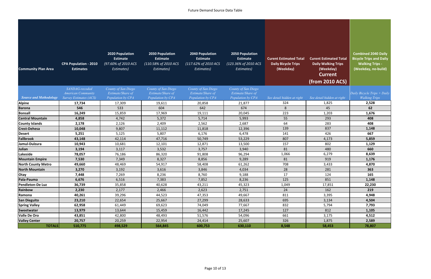| <b>Community Plan Area</b>    | <b>CPA Population - 2010</b><br><b>Estimates</b> | <b>2020 Population</b><br><b>Estimate</b><br>(97.60% of 2010 ACS<br>Estimates) | <b>2030 Population</b><br><b>Estimate</b><br>(110.58% of 2010 ACS<br>Estimates) | 2040 Population<br><b>Estimate</b><br>(117.62% of 2010 ACS<br>Estimates) | <b>2050 Population</b><br><b>Estimate</b><br>(123.36% of 2010 ACS<br>Estimates) | <b>Curent Estimated Total</b><br><b>Daily Bicycle Trips</b><br>(Weekday) | <b>Curent Estimated Total</b><br><b>Daily Walking Trips</b><br>(Weekday)<br><b>Current</b><br>(from 2010 ACS) | <b>Combined 2040 Daily</b><br><b>Bicycle Trips and Daily</b><br><b>Walking Trips -</b><br>(Weekday, no-build) |
|-------------------------------|--------------------------------------------------|--------------------------------------------------------------------------------|---------------------------------------------------------------------------------|--------------------------------------------------------------------------|---------------------------------------------------------------------------------|--------------------------------------------------------------------------|---------------------------------------------------------------------------------------------------------------|---------------------------------------------------------------------------------------------------------------|
|                               | SANDAG-recoded                                   | County of San Diego                                                            | County of San Diego                                                             | County of San Diego                                                      | County of San Diego                                                             |                                                                          |                                                                                                               |                                                                                                               |
|                               | <b>American Community</b>                        | Estimate/Share of                                                              | Estimate/Share of                                                               | Estimate/Share of                                                        | Estimate/Share of                                                               |                                                                          |                                                                                                               | Daily Bicycle Trips + Daily                                                                                   |
| <b>Source and Methodology</b> | <b>Survey Estimates (ACS)</b>                    | Population by CPA                                                              | Population by CPA                                                               | Population by CPA                                                        | Population by CPA                                                               | See detail hidden at right                                               | See detail hidden at right                                                                                    | <b>Walking Trips</b>                                                                                          |
| <b>Alpine</b>                 | 17,734                                           | 17,309                                                                         | 19,611                                                                          | 20,858                                                                   | 21,877                                                                          | 324                                                                      | 1,825                                                                                                         | 2,528                                                                                                         |
| <b>Barona</b>                 | 546                                              | 533                                                                            | 604                                                                             | 642                                                                      | 674                                                                             | 8                                                                        | 45                                                                                                            | 62                                                                                                            |
| <b>Bonsall</b>                | 16,249                                           | 15,859                                                                         | 17,969                                                                          | 19,111                                                                   | 20,045                                                                          | 223                                                                      | 1,203                                                                                                         | 1,676                                                                                                         |
| <b>Central Mountain</b>       | 4,858                                            | 4,742                                                                          | 5,372                                                                           | 5,714                                                                    | 5,993                                                                           | 55                                                                       | 293                                                                                                           | 408                                                                                                           |
| <b>County Islands</b>         | 2,178                                            | 2,126                                                                          | 2,409                                                                           | 2,562                                                                    | 2,687                                                                           | 64                                                                       | 283                                                                                                           | 408                                                                                                           |
| <b>Crest-Dehesa</b>           | 10,048                                           | 9,807                                                                          | 11,112                                                                          | 11,818                                                                   | 12,396                                                                          | 139                                                                      | 837                                                                                                           | 1,148                                                                                                         |
| <b>Desert</b>                 | 5,251                                            | 5,125                                                                          | 5,807                                                                           | 6,176                                                                    | 6,478                                                                           | 141                                                                      | 426                                                                                                           | 667                                                                                                           |
| <b>Fallbrook</b>              | 43,148                                           | 42,114                                                                         | 47,716                                                                          | 50,749                                                                   | 53,229                                                                          | 807                                                                      | 4,173                                                                                                         | 5,859                                                                                                         |
| Jamul-Dulzura                 | 10,943                                           | 10,681                                                                         | 12,101                                                                          | 12,871                                                                   | 13,500                                                                          | 157                                                                      | 802                                                                                                           | 1,129                                                                                                         |
| <b>Julian</b>                 | 3,194                                            | 3,117                                                                          | 3,532                                                                           | 3,757                                                                    | 3,940                                                                           | 81                                                                       | 480                                                                                                           | 660                                                                                                           |
| Lakeside                      | 78,057                                           | 76,186                                                                         | 86,320                                                                          | 91,808                                                                   | 96,294                                                                          | 1,066                                                                    | 6,279                                                                                                         | 8,639                                                                                                         |
| <b>Mountain Empire</b>        | 7,530                                            | 7,349                                                                          | 8,327                                                                           | 8,856                                                                    | 9,289                                                                           | 81                                                                       | 919                                                                                                           | 1,176                                                                                                         |
| <b>North County Metro</b>     | 49,660                                           | 48,469                                                                         | 54,917                                                                          | 58,408                                                                   | 61,262                                                                          | 708                                                                      | 3,433                                                                                                         | 4,870                                                                                                         |
| <b>North Mountain</b>         | 3,270                                            | 3,192                                                                          | 3,616                                                                           | 3,846                                                                    | 4,034                                                                           | 28                                                                       | 281                                                                                                           | 363                                                                                                           |
| Otay                          | 7,448                                            | 7,269                                                                          | 8,236                                                                           | 8,760                                                                    | 9,188                                                                           | 17                                                                       | 124                                                                                                           | 165                                                                                                           |
| Pala-Pauma                    | 6,676                                            | 6,516                                                                          | 7,383                                                                           | 7,852                                                                    | 8,236                                                                           | 125                                                                      | 851                                                                                                           | 1,148                                                                                                         |
| Pendleton-De Luz              | 36,739                                           | 35,858                                                                         | 40,628                                                                          | 43,211                                                                   | 45,323                                                                          | 1,049                                                                    | 17,851                                                                                                        | 22,230                                                                                                        |
| Rainbow                       | 2,230                                            | 2,177                                                                          | 2,466                                                                           | 2,623                                                                    | 2,751                                                                           | 24                                                                       | 162                                                                                                           | 219                                                                                                           |
| Ramona                        | 40,261                                           | 39,296                                                                         | 44,523                                                                          | 47,353                                                                   | 49,667                                                                          | 811                                                                      | 3,395                                                                                                         | 4,948                                                                                                         |
| <b>San Dieguito</b>           | 23,210                                           | 22,654                                                                         | 25,667                                                                          | 27,299                                                                   | 28,633                                                                          | 695                                                                      | 3,134                                                                                                         | 4,504                                                                                                         |
| <b>Spring Valley</b>          | 62,958                                           | 61,449                                                                         | 69,623                                                                          | 74,049                                                                   | 77,667                                                                          | 832                                                                      | 5,794                                                                                                         | 7,793                                                                                                         |
| <b>Sweetwater</b>             | 13,979                                           | 13,644                                                                         | 15,459                                                                          | 16,442                                                                   | 17,245                                                                          | 127                                                                      | 812                                                                                                           | 1,105                                                                                                         |
| <b>Valle De Oro</b>           | 43,851                                           | 42,800                                                                         | 48,493                                                                          | 51,576                                                                   | 54,096                                                                          | 661                                                                      | 3,175                                                                                                         | 4,512                                                                                                         |
| <b>Valley Center</b>          | 20,757                                           | 20,259                                                                         | 22,954                                                                          | 24,414                                                                   | 25,607                                                                          | 326                                                                      | 1,875                                                                                                         | 2,589                                                                                                         |
| <b>TOTALS</b>                 | 510,775                                          | 498,529                                                                        | 564,845                                                                         | 600,753                                                                  | 630,110                                                                         | 8,548                                                                    | 58,453                                                                                                        | 78,807                                                                                                        |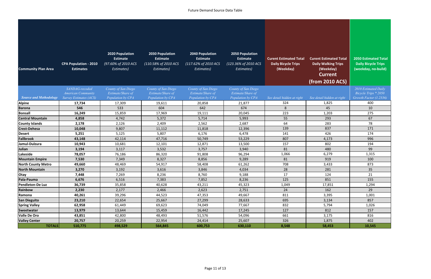| <b>Community Plan Area</b>    | <b>CPA Population - 2010</b><br><b>Estimates</b>           | <b>2020 Population</b><br><b>Estimate</b><br>(97.60% of 2010 ACS<br>Estimates) | 2030 Population<br><b>Estimate</b><br>(110.58% of 2010 ACS<br>Estimates) | <b>2040 Population</b><br>Estimate<br>(117.62% of 2010 ACS<br>Estimates) | 2050 Population<br><b>Estimate</b><br>(123.36% of 2010 ACS<br>Estimates) | <b>Curent Estimated Total</b><br><b>Daily Bicycle Trips</b><br>(Weekday) | <b>Curent Estimated Total</b><br><b>Daily Walking Trips</b><br>(Weekday)<br><b>Current</b> | <b>2050 Estimated Total</b><br><b>Daily Bicycle Trips</b><br>(weekday, no-build) |
|-------------------------------|------------------------------------------------------------|--------------------------------------------------------------------------------|--------------------------------------------------------------------------|--------------------------------------------------------------------------|--------------------------------------------------------------------------|--------------------------------------------------------------------------|--------------------------------------------------------------------------------------------|----------------------------------------------------------------------------------|
|                               |                                                            |                                                                                |                                                                          |                                                                          |                                                                          |                                                                          | (from 2010 ACS)                                                                            |                                                                                  |
|                               | SANDAG-recoded                                             | County of San Diego                                                            | County of San Diego                                                      | County of San Diego                                                      | County of San Diego                                                      |                                                                          |                                                                                            | 2010 Estimated Daily                                                             |
| <b>Source and Methodology</b> | <b>American Community</b><br><b>Survey Estimates (ACS)</b> | Estimate/Share of<br>Population by CPA                                         | Estimate/Share of<br>Population by CPA                                   | Estimate/Share of<br>Population by CPA                                   | Estimate/Share of<br>Population by CPA                                   | See detail hidden at right                                               | See detail hidden at right                                                                 | Bicycle Trips * 2050<br>Growth Factor (1.2336)                                   |
| <b>Alpine</b>                 | 17,734                                                     | 17,309                                                                         | 19,611                                                                   | 20,858                                                                   | 21,877                                                                   | 324                                                                      | 1,825                                                                                      | 400                                                                              |
| <b>Barona</b>                 | 546                                                        | 533                                                                            | 604                                                                      | 642                                                                      | 674                                                                      | 8                                                                        | 45                                                                                         | 10                                                                               |
| <b>Bonsall</b>                | 16,249                                                     | 15,859                                                                         | 17,969                                                                   | 19,111                                                                   | 20,045                                                                   | 223                                                                      | 1,203                                                                                      | 275                                                                              |
| <b>Central Mountain</b>       | 4,858                                                      | 4,742                                                                          | 5,372                                                                    | 5,714                                                                    | 5,993                                                                    | 55                                                                       | 293                                                                                        | 67                                                                               |
| <b>County Islands</b>         | 2,178                                                      | 2,126                                                                          | 2,409                                                                    | 2,562                                                                    | 2,687                                                                    | 64                                                                       | 283                                                                                        | 78                                                                               |
| <b>Crest-Dehesa</b>           | 10,048                                                     | 9,807                                                                          | 11,112                                                                   | 11,818                                                                   | 12,396                                                                   | 139                                                                      | 837                                                                                        | 171                                                                              |
| <b>Desert</b>                 | 5,251                                                      | 5,125                                                                          | 5,807                                                                    | 6,176                                                                    | 6,478                                                                    | 141                                                                      | 426                                                                                        | 174                                                                              |
| <b>Fallbrook</b>              | 43,148                                                     | 42,114                                                                         | 47,716                                                                   | 50,749                                                                   | 53,229                                                                   | 807                                                                      | 4,173                                                                                      | 996                                                                              |
| Jamul-Dulzura                 | 10,943                                                     | 10,681                                                                         | 12,101                                                                   | 12,871                                                                   | 13,500                                                                   | 157                                                                      | 802                                                                                        | 194                                                                              |
| <b>Julian</b>                 | 3,194                                                      | 3,117                                                                          | 3,532                                                                    | 3,757                                                                    | 3,940                                                                    | 81                                                                       | 480                                                                                        | 99                                                                               |
| Lakeside                      | 78,057                                                     | 76,186                                                                         | 86,320                                                                   | 91,808                                                                   | 96,294                                                                   | 1,066                                                                    | 6,279                                                                                      | 1,315                                                                            |
| <b>Mountain Empire</b>        | 7,530                                                      | 7,349                                                                          | 8,327                                                                    | 8,856                                                                    | 9,289                                                                    | 81                                                                       | 919                                                                                        | 100                                                                              |
| <b>North County Metro</b>     | 49,660                                                     | 48,469                                                                         | 54,917                                                                   | 58,408                                                                   | 61,262                                                                   | 708                                                                      | 3,433                                                                                      | 873                                                                              |
| <b>North Mountain</b>         | 3,270                                                      | 3,192                                                                          | 3,616                                                                    | 3,846                                                                    | 4,034                                                                    | 28                                                                       | 281                                                                                        | 35                                                                               |
| Otay                          | 7,448                                                      | 7,269                                                                          | 8,236                                                                    | 8,760                                                                    | 9,188                                                                    | 17                                                                       | 124                                                                                        | 21                                                                               |
| Pala-Pauma                    | 6,676                                                      | 6,516                                                                          | 7,383                                                                    | 7,852                                                                    | 8,236                                                                    | 125                                                                      | 851                                                                                        | 155                                                                              |
| Pendleton-De Luz              | 36,739                                                     | 35,858                                                                         | 40,628                                                                   | 43,211                                                                   | 45,323                                                                   | 1,049                                                                    | 17,851                                                                                     | 1,294                                                                            |
| Rainbow                       | 2,230                                                      | 2,177                                                                          | 2,466                                                                    | 2,623                                                                    | 2,751                                                                    | 24                                                                       | 162                                                                                        | 29                                                                               |
| Ramona                        | 40,261                                                     | 39,296                                                                         | 44,523                                                                   | 47,353                                                                   | 49,667                                                                   | 811                                                                      | 3,395                                                                                      | 1,001                                                                            |
| <b>San Dieguito</b>           | 23,210                                                     | 22,654                                                                         | 25,667                                                                   | 27,299                                                                   | 28,633                                                                   | 695                                                                      | 3,134                                                                                      | 857                                                                              |
| <b>Spring Valley</b>          | 62,958                                                     | 61,449                                                                         | 69,623                                                                   | 74,049                                                                   | 77,667                                                                   | 832                                                                      | 5,794                                                                                      | 1,026                                                                            |
| Sweetwater                    | 13,979                                                     | 13,644                                                                         | 15,459                                                                   | 16,442                                                                   | 17,245                                                                   | 127                                                                      | 812                                                                                        | 157                                                                              |
| <b>Valle De Oro</b>           | 43,851                                                     | 42,800                                                                         | 48,493                                                                   | 51,576                                                                   | 54,096                                                                   | 661                                                                      | 3,175                                                                                      | 816                                                                              |
| <b>Valley Center</b>          | 20,757                                                     | 20,259                                                                         | 22,954                                                                   | 24,414                                                                   | 25,607                                                                   | 326                                                                      | 1,875                                                                                      | 402                                                                              |
| <b>TOTALS</b>                 | 510,775                                                    | 498,529                                                                        | 564,845                                                                  | 600,753                                                                  | 630,110                                                                  | 8,548                                                                    | 58,453                                                                                     | 10,545                                                                           |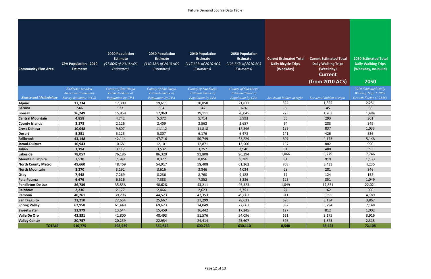| <b>Community Plan Area</b>    | <b>CPA Population - 2010</b><br><b>Estimates</b> | <b>2020 Population</b><br><b>Estimate</b><br>(97.60% of 2010 ACS<br>Estimates) | <b>2030 Population</b><br><b>Estimate</b><br>(110.58% of 2010 ACS<br>Estimates) | 2040 Population<br>Estimate<br>(117.62% of 2010 ACS<br>Estimates) | <b>2050 Population</b><br><b>Estimate</b><br>(123.36% of 2010 ACS<br>Estimates) | <b>Curent Estimated Total</b><br><b>Daily Bicycle Trips</b><br>(Weekday) | <b>Curent Estimated Total</b><br><b>Daily Walking Trips</b><br>(Weekday)<br><b>Current</b><br>(from 2010 ACS) | <b>2050 Estimated Total</b><br><b>Daily Walking Trips</b><br>(Weekday, no-build)<br>2050 |
|-------------------------------|--------------------------------------------------|--------------------------------------------------------------------------------|---------------------------------------------------------------------------------|-------------------------------------------------------------------|---------------------------------------------------------------------------------|--------------------------------------------------------------------------|---------------------------------------------------------------------------------------------------------------|------------------------------------------------------------------------------------------|
|                               | SANDAG-recoded                                   | County of San Diego                                                            | County of San Diego                                                             | County of San Diego                                               | County of San Diego                                                             |                                                                          |                                                                                                               | 2010 Estimated Daily                                                                     |
|                               | <b>American Community</b>                        | Estimate/Share of                                                              | Estimate/Share of                                                               | Estimate/Share of                                                 | Estimate/Share of                                                               |                                                                          |                                                                                                               | <b>Walking Trips * 2050</b>                                                              |
| <b>Source and Methodology</b> | <b>Survey Estimates (ACS)</b>                    | Population by CPA                                                              | Population by CPA                                                               | Population by CPA                                                 | Population by CPA                                                               | See detail hidden at right                                               | See detail hidden at right                                                                                    | Growth Factor (1.2336)                                                                   |
| <b>Alpine</b>                 | 17,734                                           | 17,309                                                                         | 19,611                                                                          | 20,858                                                            | 21,877                                                                          | 324                                                                      | 1,825                                                                                                         | 2,251                                                                                    |
| <b>Barona</b>                 | 546                                              | 533                                                                            | 604                                                                             | 642                                                               | 674                                                                             | 8                                                                        | 45                                                                                                            | 56                                                                                       |
| <b>Bonsall</b>                | 16,249                                           | 15,859                                                                         | 17,969                                                                          | 19,111                                                            | 20,045                                                                          | 223                                                                      | 1,203                                                                                                         | 1,484                                                                                    |
| <b>Central Mountain</b>       | 4,858                                            | 4,742                                                                          | 5,372                                                                           | 5,714                                                             | 5,993                                                                           | 55                                                                       | 293                                                                                                           | 361                                                                                      |
| <b>County Islands</b>         | 2,178                                            | 2,126                                                                          | 2,409                                                                           | 2,562                                                             | 2,687                                                                           | 64                                                                       | 283                                                                                                           | 349                                                                                      |
| <b>Crest-Dehesa</b>           | 10,048                                           | 9,807                                                                          | 11,112                                                                          | 11,818                                                            | 12,396                                                                          | 139                                                                      | 837                                                                                                           | 1,033                                                                                    |
| <b>Desert</b>                 | 5,251                                            | 5,125                                                                          | 5,807                                                                           | 6,176                                                             | 6,478                                                                           | 141                                                                      | 426                                                                                                           | 526                                                                                      |
| <b>Fallbrook</b>              | 43,148                                           | 42,114                                                                         | 47,716                                                                          | 50,749                                                            | 53,229                                                                          | 807                                                                      | 4,173                                                                                                         | 5,148                                                                                    |
| Jamul-Dulzura                 | 10,943                                           | 10,681                                                                         | 12,101                                                                          | 12,871                                                            | 13,500                                                                          | 157                                                                      | 802                                                                                                           | 990                                                                                      |
| <b>Julian</b>                 | 3,194                                            | 3,117                                                                          | 3,532                                                                           | 3,757                                                             | 3,940                                                                           | 81                                                                       | 480                                                                                                           | 593                                                                                      |
| Lakeside                      | 78,057                                           | 76,186                                                                         | 86,320                                                                          | 91,808                                                            | 96,294                                                                          | 1,066                                                                    | 6,279                                                                                                         | 7,746                                                                                    |
| <b>Mountain Empire</b>        | 7,530                                            | 7,349                                                                          | 8,327                                                                           | 8,856                                                             | 9,289                                                                           | 81                                                                       | 919                                                                                                           | 1,133                                                                                    |
| <b>North County Metro</b>     | 49,660                                           | 48,469                                                                         | 54,917                                                                          | 58,408                                                            | 61,262                                                                          | 708                                                                      | 3,433                                                                                                         | 4,235                                                                                    |
| <b>North Mountain</b>         | 3,270                                            | 3,192                                                                          | 3,616                                                                           | 3,846                                                             | 4,034                                                                           | 28                                                                       | 281                                                                                                           | 346                                                                                      |
| Otay                          | 7,448                                            | 7,269                                                                          | 8,236                                                                           | 8,760                                                             | 9,188                                                                           | 17                                                                       | 124                                                                                                           | 152                                                                                      |
| Pala-Pauma                    | 6,676                                            | 6,516                                                                          | 7,383                                                                           | 7,852                                                             | 8,236                                                                           | 125                                                                      | 851                                                                                                           | 1,049                                                                                    |
| Pendleton-De Luz              | 36,739                                           | 35,858                                                                         | 40,628                                                                          | 43,211                                                            | 45,323                                                                          | 1,049                                                                    | 17,851                                                                                                        | 22,021                                                                                   |
| Rainbow                       | 2,230                                            | 2,177                                                                          | 2,466                                                                           | 2,623                                                             | 2,751                                                                           | 24                                                                       | 162                                                                                                           | 200                                                                                      |
| Ramona                        | 40,261                                           | 39,296                                                                         | 44,523                                                                          | 47,353                                                            | 49,667                                                                          | 811                                                                      | 3,395                                                                                                         | 4,189                                                                                    |
| <b>San Dieguito</b>           | 23,210                                           | 22,654                                                                         | 25,667                                                                          | 27,299                                                            | 28,633                                                                          | 695                                                                      | 3,134                                                                                                         | 3,867                                                                                    |
| <b>Spring Valley</b>          | 62,958                                           | 61,449                                                                         | 69,623                                                                          | 74,049                                                            | 77,667                                                                          | 832                                                                      | 5,794                                                                                                         | 7,148                                                                                    |
| Sweetwater                    | 13,979                                           | 13,644                                                                         | 15,459                                                                          | 16,442                                                            | 17,245                                                                          | 127                                                                      | 812                                                                                                           | 1,002                                                                                    |
| <b>Valle De Oro</b>           | 43,851                                           | 42,800                                                                         | 48,493                                                                          | 51,576                                                            | 54,096                                                                          | 661                                                                      | 3,175                                                                                                         | 3,916                                                                                    |
| <b>Valley Center</b>          | 20,757                                           | 20,259                                                                         | 22,954                                                                          | 24,414                                                            | 25,607                                                                          | 326                                                                      | 1,875                                                                                                         | 2,313                                                                                    |
| <b>TOTALS</b>                 | 510,775                                          | 498,529                                                                        | 564,845                                                                         | 600,753                                                           | 630,110                                                                         | 8,548                                                                    | 58,453                                                                                                        | 72,108                                                                                   |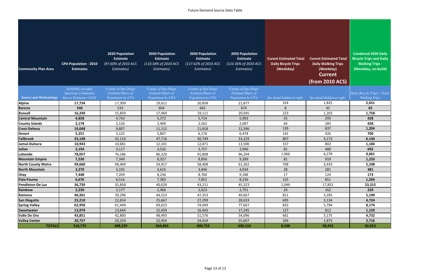| <b>Community Plan Area</b>    | <b>CPA Population - 2010</b><br><b>Estimates</b>           | 2020 Population<br><b>Estimate</b><br>(97.60% of 2010 ACS<br>Estimates) | <b>2030 Population</b><br><b>Estimate</b><br>(110.58% of 2010 ACS<br>Estimates) | <b>2040 Population</b><br><b>Estimate</b><br>(117.62% of 2010 ACS<br><b>Estimates</b> ) | <b>2050 Population</b><br><b>Estimate</b><br>(123.36% of 2010 ACS<br>Estimates) | <b>Curent Estimated Total</b><br><b>Daily Bicycle Trips</b><br>(Weekday) | <b>Curent Estimated Total</b><br><b>Daily Walking Trips</b><br>(Weekday)<br><b>Current</b><br>(from 2010 ACS) | <b>Combined 2050 Daily</b><br><b>Bicycle Trips and Daily</b><br><b>Walking Trips -</b><br>(Weekday, no-build) |
|-------------------------------|------------------------------------------------------------|-------------------------------------------------------------------------|---------------------------------------------------------------------------------|-----------------------------------------------------------------------------------------|---------------------------------------------------------------------------------|--------------------------------------------------------------------------|---------------------------------------------------------------------------------------------------------------|---------------------------------------------------------------------------------------------------------------|
|                               | SANDAG-recoded                                             | County of San Diego                                                     | County of San Diego                                                             | County of San Diego                                                                     | County of San Diego                                                             |                                                                          |                                                                                                               |                                                                                                               |
| <b>Source and Methodology</b> | <b>American Community</b><br><b>Survey Estimates (ACS)</b> | Estimate/Share of<br>Population by CPA                                  | Estimate/Share of<br>Population by CPA                                          | Estimate/Share of<br>Population by CPA                                                  | Estimate/Share of<br>Population by CPA                                          | See detail hidden at right                                               | See detail hidden at right                                                                                    | Daily Bicycle Trips + Daily<br><b>Walking Trips</b>                                                           |
| <b>Alpine</b>                 | 17,734                                                     | 17,309                                                                  | 19,611                                                                          | 20,858                                                                                  | 21,877                                                                          | 324                                                                      | 1,825                                                                                                         | 2,651                                                                                                         |
| <b>Barona</b>                 | 546                                                        | 533                                                                     | 604                                                                             | 642                                                                                     | 674                                                                             | -8                                                                       | 45                                                                                                            | 65                                                                                                            |
| <b>Bonsall</b>                | 16,249                                                     | 15,859                                                                  | 17,969                                                                          | 19,111                                                                                  | 20,045                                                                          | 223                                                                      | 1,203                                                                                                         | 1,758                                                                                                         |
| <b>Central Mountain</b>       | 4,858                                                      | 4,742                                                                   | 5,372                                                                           | 5,714                                                                                   | 5,993                                                                           | 55                                                                       | 293                                                                                                           | 428                                                                                                           |
| <b>County Islands</b>         | 2,178                                                      | 2,126                                                                   | 2,409                                                                           | 2,562                                                                                   | 2,687                                                                           | 64                                                                       | 283                                                                                                           | 428                                                                                                           |
| <b>Crest-Dehesa</b>           | 10,048                                                     | 9,807                                                                   | 11,112                                                                          | 11,818                                                                                  | 12,396                                                                          | 139                                                                      | 837                                                                                                           | 1,204                                                                                                         |
| <b>Desert</b>                 | 5,251                                                      | 5,125                                                                   | 5,807                                                                           | 6,176                                                                                   | 6,478                                                                           | 141                                                                      | 426                                                                                                           | 700                                                                                                           |
| <b>Fallbrook</b>              | 43,148                                                     | 42,114                                                                  | 47,716                                                                          | 50,749                                                                                  | 53,229                                                                          | 807                                                                      | 4,173                                                                                                         | 6,144                                                                                                         |
| Jamul-Dulzura                 | 10,943                                                     | 10,681                                                                  | 12,101                                                                          | 12,871                                                                                  | 13,500                                                                          | 157                                                                      | 802                                                                                                           | 1,184                                                                                                         |
| <b>Julian</b>                 | 3,194                                                      | 3,117                                                                   | 3,532                                                                           | 3,757                                                                                   | 3,940                                                                           | 81                                                                       | 480                                                                                                           | 692                                                                                                           |
| Lakeside                      | 78,057                                                     | 76,186                                                                  | 86,320                                                                          | 91,808                                                                                  | 96,294                                                                          | 1,066                                                                    | 6,279                                                                                                         | 9,061                                                                                                         |
| <b>Mountain Empire</b>        | 7,530                                                      | 7,349                                                                   | 8,327                                                                           | 8,856                                                                                   | 9,289                                                                           | 81                                                                       | 919                                                                                                           | 1,233                                                                                                         |
| <b>North County Metro</b>     | 49,660                                                     | 48,469                                                                  | 54,917                                                                          | 58,408                                                                                  | 61,262                                                                          | 708                                                                      | 3,433                                                                                                         | 5,108                                                                                                         |
| <b>North Mountain</b>         | 3,270                                                      | 3,192                                                                   | 3,616                                                                           | 3,846                                                                                   | 4,034                                                                           | 28                                                                       | 281                                                                                                           | 381                                                                                                           |
| Otay                          | 7,448                                                      | 7,269                                                                   | 8,236                                                                           | 8,760                                                                                   | 9,188                                                                           | 17                                                                       | 124                                                                                                           | 173                                                                                                           |
| Pala-Pauma                    | 6,676                                                      | 6,516                                                                   | 7,383                                                                           | 7,852                                                                                   | 8,236                                                                           | 125                                                                      | 851                                                                                                           | 1,204                                                                                                         |
| Pendleton-De Luz              | 36,739                                                     | 35,858                                                                  | 40,628                                                                          | 43,211                                                                                  | 45,323                                                                          | 1,049                                                                    | 17,851                                                                                                        | 23,315                                                                                                        |
| Rainbow                       | 2,230                                                      | 2,177                                                                   | 2,466                                                                           | 2,623                                                                                   | 2,751                                                                           | 24                                                                       | 162                                                                                                           | 229                                                                                                           |
| Ramona                        | 40,261                                                     | 39,296                                                                  | 44,523                                                                          | 47,353                                                                                  | 49,667                                                                          | 811                                                                      | 3,395                                                                                                         | 5,190                                                                                                         |
| <b>San Dieguito</b>           | 23,210                                                     | 22,654                                                                  | 25,667                                                                          | 27,299                                                                                  | 28,633                                                                          | 695                                                                      | 3,134                                                                                                         | 4,724                                                                                                         |
| <b>Spring Valley</b>          | 62,958                                                     | 61,449                                                                  | 69,623                                                                          | 74,049                                                                                  | 77,667                                                                          | 832                                                                      | 5,794                                                                                                         | 8,174                                                                                                         |
| <b>Sweetwater</b>             | 13,979                                                     | 13,644                                                                  | 15,459                                                                          | 16,442                                                                                  | 17,245                                                                          | 127                                                                      | 812                                                                                                           | 1,159                                                                                                         |
| <b>Valle De Oro</b>           | 43,851                                                     | 42,800                                                                  | 48,493                                                                          | 51,576                                                                                  | 54,096                                                                          | 661                                                                      | 3,175                                                                                                         | 4,732                                                                                                         |
| <b>Valley Center</b>          | 20,757                                                     | 20,259                                                                  | 22,954                                                                          | 24,414                                                                                  | 25,607                                                                          | 326                                                                      | 1,875                                                                                                         | 2,716                                                                                                         |
| <b>TOTALS</b>                 | 510,775                                                    | 498,529                                                                 | 564,845                                                                         | 600,753                                                                                 | 630,110                                                                         | 8,548                                                                    | 58,453                                                                                                        | 82,653                                                                                                        |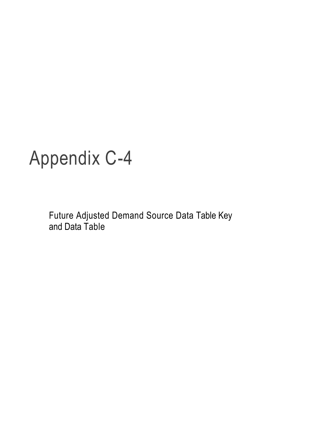Future Adjusted Demand Source Data Table Key and Data Table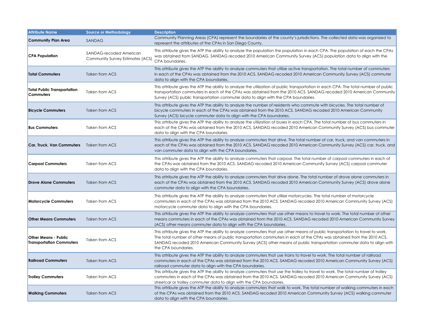| <b>Attribute Name</b>                                          | <b>Source or Methodology</b>                                | <b>Description</b>                                                                                                                                                                                                                                                                                                                                                                                      |
|----------------------------------------------------------------|-------------------------------------------------------------|---------------------------------------------------------------------------------------------------------------------------------------------------------------------------------------------------------------------------------------------------------------------------------------------------------------------------------------------------------------------------------------------------------|
| <b>Community Plan Area</b>                                     | SANDAG                                                      | Community Planning Areas (CPA) represent the boundaries of the county's jurisdictions. The collected data was organized to<br>represent the attributes of the CPAs in San Diego County.                                                                                                                                                                                                                 |
| <b>CPA Population</b>                                          | SANDAG-recoded American<br>Community Survey Estimates (ACS) | This attribute gives the ATP the ability to analyze the population the population in each CPA. The population of each the CPAs<br>was obtained from SANDAG. SANDAG recoded 2010 American Community Survey (ACS) population data to align with the<br>CPA boundaries.                                                                                                                                    |
| <b>Total Commuters</b>                                         | <b>Taken from ACS</b>                                       | This attribute gives the ATP the ability to analyze commuters that utilize active transportation. The total number of commuters<br>in each of the CPAs was obtained from the 2010 ACS. SANDAG recoded 2010 American Community Survey (ACS) commuter<br>data to align with the CPA boundaries.                                                                                                           |
| <b>Total Public Transportation</b><br>Commuters                | Taken from ACS                                              | This attribute gives the ATP the ability to analyze the utilization of public transportation in each CPA. The total number of public<br>transportation commuters in each of the CPAs was obtained from the 2010 ACS. SANDAG recoded 2010 American Community<br>Survey (ACS) public transportation commuter data to align with the CPA boundaries.                                                       |
| <b>Bicycle Commuters</b>                                       | <b>Taken from ACS</b>                                       | This attribute gives the ATP the ability to analyze the number of residents who commute with bicycles. The total number of<br>bicycle commuters in each of the CPAs was obtained from the 2010 ACS. SANDAG recoded 2010 American Community<br>Survey (ACS) bicycle commuter data to align with the CPA boundaries.                                                                                      |
| <b>Bus Commuters</b>                                           | Taken from ACS                                              | This attribute gives the ATP the ability to analyze the utilization of buses in each CPA. The total number of bus commuters in<br>each of the CPAs was obtained from the 2010 ACS. SANDAG recoded 2010 American Community Survey (ACS) bus commuter<br>data to align with the CPA boundaries.                                                                                                           |
| Car, Truck, Van Commuters                                      | Taken from ACS                                              | This attribute gives the ATP the ability to analyze commuters that drive. The total number of car, truck, and van commuters in<br>each of the CPAs was obtained from the 2010 ACS. SANDAG recoded 2010 American Community Survey (ACS) car, truck, and<br>van commuter data to align with the CPA boundaries.                                                                                           |
| <b>Carpool Commuters</b>                                       | Taken from ACS                                              | This attribute gives the ATP the ability to analyze commuters that carpool. The total number of carpool commuters in each of<br>the CPAs was obtained from the 2010 ACS. SANDAG recoded 2010 American Community Survey (ACS) carpool commuter<br>data to align with the CPA boundaries.                                                                                                                 |
| <b>Drove Alone Commuters</b>                                   | Taken from ACS                                              | This attribute gives the ATP the ability to analyze commuters that drive alone. The total number of drove alone commuters in<br>each of the CPAs was obtained from the 2010 ACS. SANDAG recoded 2010 American Community Survey (ACS) drove alone<br>commuter data to align with the CPA boundaries.                                                                                                     |
| <b>Motorcycle Commuters</b>                                    | Taken from ACS                                              | This attribute gives the ATP the ability to analyze commuters that utilize motorcycles. The total number of motorcycle<br>commuters in each of the CPAs was obtained from the 2010 ACS. SANDAG recoded 2010 American Community Survey (ACS)<br>motorcycle commuter data to align with the CPA boundaries.                                                                                               |
| <b>Other Means Commuters</b>                                   | <b>Taken from ACS</b>                                       | This attribute gives the ATP the ability to analyze commuters that use other means to travel to work. The total number of other<br>means commuters in each of the CPAs was obtained from the 2010 ACS. SANDAG recoded 2010 American Community Survey<br>(ACS) other means commuter data to align with the CPA boundaries.                                                                               |
| <b>Other Means - Public</b><br><b>Transportation Commuters</b> | Taken from ACS                                              | This attribute gives the ATP the ability to analyze commuters that use other means of public transportation to travel to work.<br>The total number of other means of public transportation commuters in each of the CPAs was obtained from the 2010 ACS.<br>SANDAG recoded 2010 American Community Survey (ACS) other means of public transportation commuter data to align with<br>the CPA boundaries. |
| <b>Railroad Commuters</b>                                      | <b>Taken from ACS</b>                                       | This attribute gives the ATP the ability to analyze commuters that use trains to travel to work. The total number of railroad<br>commuters in each of the CPAs was obtained from the 2010 ACS. SANDAG recoded 2010 American Community Survey (ACS)<br>railroad commuter data to align with the CPA boundaries.                                                                                          |
| <b>Trolley Commuters</b>                                       | Taken from ACS                                              | This attribute gives the ATP the ability to analyze commuters that use the trolley to travel to work. The total number of trolley<br>commuters in each of the CPAs was obtained from the 2010 ACS. SANDAG recoded 2010 American Community Survey (ACS)<br>streetcar or trolley commuter data to align with the CPA boundaries.                                                                          |
| <b>Walking Commuters</b>                                       | Taken from ACS                                              | This attribute gives the ATP the ability to analyze commuters that walk to work. The total number of walking commuters in each<br>of the CPAs was obtained from the 2010 ACS. SANDAG recoded 2010 American Community Survey (ACS) walking commuter<br>data to align with the CPA boundaries.                                                                                                            |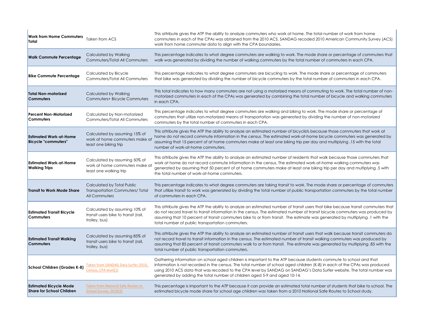| <b>Work from Home Commuters</b><br>Total                          | Taken from ACS                                                                            | This attribute gives the ATP the ability to analyze commuters who work at home. The total number of work from home<br>commuters in each of the CPAs was obtained from the 2010 ACS. SANDAG recoded 2010 American Community Survey (ACS)<br>work from home commuter data to align with the CPA boundaries.                                                                                                                                             |
|-------------------------------------------------------------------|-------------------------------------------------------------------------------------------|-------------------------------------------------------------------------------------------------------------------------------------------------------------------------------------------------------------------------------------------------------------------------------------------------------------------------------------------------------------------------------------------------------------------------------------------------------|
| <b>Walk Commute Percentage</b>                                    | Calculated by Walking<br>Commuters/Total All Commuters                                    | This percentage indicates to what degree commuters are walking to work. The mode share or percentage of commuters that<br>walk was generated by dividing the number of walking commuters by the total number of commuters in each CPA.                                                                                                                                                                                                                |
| <b>Bike Commute Percentage</b>                                    | Calculated by Bicycle<br>Commuters/Total All Commuters                                    | This percentage indicates to what degree commuters are bicycling to work. The mode share or percentage of commuters<br>that bike was generated by dividing the number of bicycle commuters by the total number of commuters in each CPA.                                                                                                                                                                                                              |
| <b>Total Non-motorized</b><br><b>Commuters</b>                    | Calculated by Walking<br>Commuters+ Bicycle Commuters                                     | This total indicates to how many commuters are not using a motorized means of commuting to work. The total number of non-<br>motorized commuters in each of the CPAs was generated by combining the total number of bicycle and walking commuters<br>in each CPA.                                                                                                                                                                                     |
| <b>Percent Non-Motorized</b><br>Commuters                         | Calculated by Non-motorized<br>Commuters/Total All Commuters                              | This percentage indicates to what degree commuters are walking and biking to work. The mode share or percentage of<br>commuters that utilize non-motorized means of transportation was generated by dividing the number of non-motorized<br>commuters by the total number of commuters in each CPA.                                                                                                                                                   |
| <b>Estimated Work-at-Home</b><br><b>Bicycle "commuters"</b>       | Calculated by assuming 15% of<br>work at home commuters make at<br>least one biking trip  | This attribute gives the ATP the ability to analyze an estimated number of bicyclists because those commuters that work at<br>home do not record commute information in the census. The estimated work-at-home bicycle commuters was generated by<br>assuming that 15 percent of at home commuters make at least one biking trip per day and multiplying .15 with the total<br>number of work-at-home commuters.                                      |
| <b>Estimated Work-at-Home</b><br><b>Walking Trips</b>             | Calculated by assuming 50% of<br>work at home commuters make at<br>least one walking trip | This attribute gives the ATP the ability to analyze an estimated number of residents that walk because those commuters that<br>work at home do not record commute information in the census. The estimated work-at-home walking commuters was<br>generated by assuming that 50 percent of at home commuters make at least one biking trip per day and multiplying .5 with<br>the total number of work-at-home commuters.                              |
| <b>Transit to Work Mode Share</b>                                 | Calculated by Total Public<br><b>Transportation Commuters/Total</b><br>All Commuters      | This percentage indicates to what degree commuters are taking transit to work. The mode share or percentage of commuters<br>that utilize transit to work was generated by dividing the total number of public transportation commuters by the total number<br>of commuters in each CPA.                                                                                                                                                               |
| <b>Estimated Transit Bicycle</b><br><b>Commuters</b>              | Calculated by assuming 10% of<br>transit users bike to transit (rail,<br>trolley, bus)    | This attribute gives the ATP the ability to analyze an estimated number of transit users that bike because transit commuters that<br>do not record travel to transit information in the census. The estimated number of transit bicycle commuters was produced by<br>assuming that 10 percent of transit commuters bike to or from transit. The estimate was generated by multiplying 1 with the<br>total number of public transportation commuters.  |
| <b>Estimated Transit Walking</b><br><b>Commuters</b>              | Calculated by assuming 85% of<br>transit users bike to transit (rail,<br>trolley, bus)    | This attribute gives the ATP the ability to analyze an estimated number of transit users that walk because transit commuters do<br>not record travel to transit information in the census. The estimated number of transit walking commuters was produced by<br>assuming that 85 percent of transit commuters walk to or from transit. The estimate was generated by multiplying .85 with the<br>total number of public transportation commuters.     |
| <b>School Children (Grades K-8)</b>                               | Taken from SANDAG Data Surfer 2010,<br>Census, CPA level[1]                               | Gathering information on school aged children is important to the ATP because students commute to school and that<br>information is not recorded in the census. The total number of school aged children (K-8) in each of the CPAs was produced<br>using 2010 ACS data that was recoded to the CPA level by SANDAG on SANDAG's Data Surfer website. The total number was<br>generated by adding the total number of children aged 5-9 and aged 10-14. |
| <b>Estimated Bicycle Mode</b><br><b>Share for School Children</b> | Taken from National Safe Routes to<br>School Survey, 2010[2]                              | This percentage is important to the ATP because it can provide an estimated total number of students that bike to school. The<br>estimated bicycle mode share for school age children was taken from a 2010 National Safe Routes to School study.                                                                                                                                                                                                     |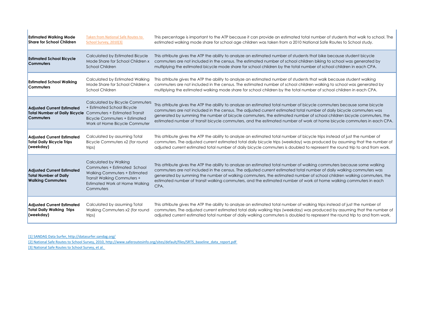| <b>Estimated Walking Mode</b><br><b>Share for School Children</b>                             | <b>Taken from National Safe Routes to</b><br>School Survey, 2010[3]                                                                                                                | This percentage is important to the ATP because it can provide an estimated total number of students that walk to school. The<br>estimated walking mode share for school age children was taken from a 2010 National Safe Routes to School study.                                                                                                                                                                                                                                                    |
|-----------------------------------------------------------------------------------------------|------------------------------------------------------------------------------------------------------------------------------------------------------------------------------------|------------------------------------------------------------------------------------------------------------------------------------------------------------------------------------------------------------------------------------------------------------------------------------------------------------------------------------------------------------------------------------------------------------------------------------------------------------------------------------------------------|
| <b>Estimated School Bicycle</b><br><b>Commuters</b>                                           | Calculated by Estimated Bicycle<br>Mode Share for School Children x<br><b>School Children</b>                                                                                      | This attribute gives the ATP the ability to analyze an estimated number of students that bike because student bicycle<br>commuters are not included in the census. The estimated number of school children biking to school was generated by<br>multiplying the estimated bicycle mode share for school children by the total number of school children in each CPA.                                                                                                                                 |
| <b>Estimated School Walking</b><br>Commuters                                                  | Calculated by Estimated Walking<br>Mode Share for School Children x<br>School Children                                                                                             | This attribute gives the ATP the ability to analyze an estimated number of students that walk because student walking<br>commuters are not included in the census. The estimated number of school children walking to school was generated by<br>multiplying the estimated walking mode share for school children by the total number of school children in each CPA.                                                                                                                                |
| <b>Adjusted Current Estimated</b><br><b>Total Number of Daily Bicycle</b><br><b>Commuters</b> | Calculated by Bicycle Commuters<br>+ Estimated School Bicycle<br>Commuters + Estimated Transit<br><b>Bicycle Commuters + Estimated</b><br>Work at Home Bicycle Commuter            | This attribute gives the ATP the ability to analyze an estimated total number of bicycle commuters because some bicycle<br>commuters are not included in the census. The adjusted current estimated total number of daily bicycle commuters was<br>generated by summing the number of bicycle commuters, the estimated number of school children bicycle commuters, the<br>estimated number of transit bicycle commuters, and the estimated number of work at home bicycle commuters in each CPA.    |
| <b>Adjusted Current Estimated</b><br><b>Total Daily Bicycle Trips</b><br>(weekday)            | Calculated by assuming Total<br>Bicycle Commuters x2 (for round<br>trips)                                                                                                          | This attribute gives the ATP the ability to analyze an estimated total number of bicycle trips instead of just the number of<br>commuters. The adjusted current estimated total daily bicycle trips (weekday) was produced by assuming that the number of<br>adjusted current estimated total number of daily bicycle commuters is doubled to represent the round trip to and from work.                                                                                                             |
| <b>Adjusted Current Estimated</b><br><b>Total Number of Daily</b><br><b>Walking Commuters</b> | Calculated by Walking<br>Commuters + Estimated School<br><b>Walking Commuters + Estimated</b><br><b>Transit Walking Commuters +</b><br>Estimated Work at Home Walking<br>Commuters | This attribute gives the ATP the ability to analyze an estimated total number of walking commuters because some walking<br>commuters are not included in the census. The adjusted current estimated total number of daily walking commuters was<br>generated by summing the number of walking commuters, the estimated number of school children walking commuters, the<br>estimated number of transit walking commuters, and the estimated number of work at home walking commuters in each<br>CPA. |
| <b>Adjusted Current Estimated</b><br><b>Total Daily Walking Trips</b><br>(weekday)            | Calculated by assuming Total<br>Walking Commuters x2 (for round<br>trips)                                                                                                          | This attribute gives the ATP the ability to analyze an estimated total number of walking trips instead of just the number of<br>commuters. The adjusted current estimated total daily walking trips (weekday) was produced by assuming that the number of<br>adjusted current estimated total number of daily walking commuters is doubled to represent the round trip to and from work.                                                                                                             |

[1] SANDAG Data Surfer, http://datasurfer.sandag.org/

 [2] National Safe Routes to School Survey, 2010, http://www.saferoutesinfo.org/sites/default/files/SRTS\_baseline\_data\_report.pdf[3] National Safe Routes to School Survey, et al.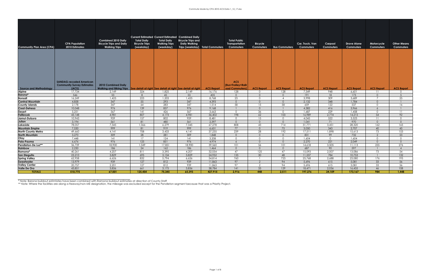| <b>Community Plan Area (CPA)</b> | <b>CPA Population</b><br>2010 Estimates                                      | <b>Combined 2010 Daily</b><br><b>Bicycle Trips and Daily</b><br><b>Walking Trips</b>                        | <b>Current Estimated Current Estimated Combined Daily</b><br><b>Total Daily</b><br><b>Bicycle Trips</b><br>(weekday) | Total Daily<br><b>Walking Trips</b><br>(weekday) | <b>Bicycle Trips and</b><br><b>Daily Walking</b><br>Trips (weekday) Total Commuters |                   | <b>Total Public</b><br><b>Transportation</b><br>Commuters | <b>Bicycle</b><br><b>Commuters</b> | <b>Bus Commuters</b> | Car, Truck, Van<br>Commuters | Carpool<br>Commuters | <b>Drove Alone</b><br><b>Commuters</b> | Motorcycle<br>Commuters | <b>Other Means</b><br><b>Commuters</b> |
|----------------------------------|------------------------------------------------------------------------------|-------------------------------------------------------------------------------------------------------------|----------------------------------------------------------------------------------------------------------------------|--------------------------------------------------|-------------------------------------------------------------------------------------|-------------------|-----------------------------------------------------------|------------------------------------|----------------------|------------------------------|----------------------|----------------------------------------|-------------------------|----------------------------------------|
| Source and Methodology           | <b>SANDAG-recoded American</b><br><b>Community Survey Estimates</b><br>(ACS) | 2010 Combined Daily<br>Walking and Biking Trips See detail at right See detail at right See detail at right |                                                                                                                      |                                                  |                                                                                     | <b>ACS Report</b> | <b>ACS</b><br>(Bus+Trollev+Railr<br>oad Commuters)        | <b>ACS Report</b>                  | <b>ACS Report</b>    | <b>ACS Report</b>            | <b>ACS Report</b>    | <b>ACS Report</b>                      | <b>ACS Report</b>       | <b>ACS Report</b>                      |
| <b>Alpine</b>                    | 17,734                                                                       | 2.149                                                                                                       | 324                                                                                                                  | 1,825                                            | 2,149                                                                               | 16,176            | 128                                                       | $\Omega$                           | 128                  | 7,549                        | 948                  | 6,601                                  | 11                      | $\Omega$                               |
| Barona*                          | 546                                                                          | 53                                                                                                          | 8                                                                                                                    | 45                                               | 53                                                                                  | 405               | $\overline{0}$                                            | $\Omega$                           | $\circ$              | 191                          | 18                   | 173                                    | $\overline{0}$          | $5\overline{)}$                        |
| Bonsall                          | 16.249                                                                       | 1.425                                                                                                       | 223                                                                                                                  | 1.203                                            | 1.425                                                                               | 8.768             | 23                                                        | $\Omega$                           | $\overline{4}$       | 3.998                        | 309                  | 3,689                                  | $\overline{7}$          | 25                                     |
| Central Mountain                 | 4,858                                                                        | 347                                                                                                         | 55                                                                                                                   | 293                                              | 347                                                                                 | 4.393             | $\Omega$                                                  | $\Omega$                           | $\Omega$             | 2,132                        | 348                  | 1,784                                  | $\Omega$                | $\overline{1}$                         |
| <b>County Islands</b>            | 2,178                                                                        | 347                                                                                                         | 64                                                                                                                   | 283                                              | 347                                                                                 | 1,514             | 58                                                        | 15                                 | 58                   | 659                          | 122                  | 537                                    | $\overline{0}$          | 16                                     |
| Crest-Dehesa                     | 10,048                                                                       | 976                                                                                                         | 139                                                                                                                  | 837                                              | 976                                                                                 | 9,168             |                                                           | $\Omega$                           |                      | 4,382                        | 416                  | 3,966                                  | $\overline{6}$          |                                        |
| <b>Desert</b>                    | 5,251                                                                        | 567                                                                                                         | 4                                                                                                                    | 426                                              | 567                                                                                 | 3,663             | $\Omega$                                                  | 36                                 | $\circ$              | 1,687                        | 229                  | 1,458                                  | $\circ$                 | 11                                     |
| Fallbrook                        | 43,148                                                                       | 4.981                                                                                                       | 807                                                                                                                  | 4.173                                            | 4,981                                                                               | 36,402            | 198                                                       | 62                                 | 103                  | 16.989                       | 2.774                | 14,215                                 | 54                      | 92                                     |
| Jamul-Dulzura                    | 10.943                                                                       | 959                                                                                                         | 157                                                                                                                  | 802                                              | 959                                                                                 | 8.481             | $\Omega$                                                  | 15                                 | $\Omega$             | 4.045                        | 522                  | 3.523                                  | 11                      | $\Omega$                               |
| Julian                           | 3,194                                                                        | 561                                                                                                         | 81                                                                                                                   | 480                                              | 561                                                                                 | 2.397             | $\Omega$                                                  | $\Omega$                           | $\overline{0}$       | 1.041                        | 71                   | 970                                    | $\overline{0}$          | $\overline{0}$                         |
| Lakeside                         | 78,057                                                                       | 7,345                                                                                                       | 1.066                                                                                                                | 6,279                                            | 7,345                                                                               | 67.278            | 808                                                       | 43                                 | 714                  | 31,771                       | 3.451                | 28,320                                 | 162                     | 165                                    |
| <b>Mountain Empire</b>           | 7,530                                                                        | 999                                                                                                         | 81                                                                                                                   | 919                                              | 999                                                                                 | 6,651             | 77                                                        | $\Omega$                           | 75                   | 3,050                        | 343                  | 2,707                                  | 40                      | 45                                     |
| <b>North County Metro</b>        | 49,660                                                                       | 4.141                                                                                                       | 708                                                                                                                  | 3,433                                            | 4,141                                                                               | 37,235            | 239                                                       | 28                                 | 192                  | 17.511                       | 1,898                | 15,613                                 | $\overline{73}$         | 153                                    |
| <b>North Mountain</b>            | 3,270                                                                        | 309                                                                                                         | 28                                                                                                                   | 281                                              | 309                                                                                 | 1,848             | $\Omega$                                                  | $\Omega$                           | $\Omega$             | 831                          | 99                   | 732                                    | 2                       | 53                                     |
| Otay                             | 7,448                                                                        | 4                                                                                                           | 17                                                                                                                   | 124                                              | 4                                                                                   | 3,208             | $\cap$                                                    | $\Omega$                           | $\overline{0}$       | 1,604                        | $\overline{0}$       | 1,604                                  | $\overline{0}$          | $\Omega$                               |
| Pala-Pauma                       | 6,676                                                                        | 976                                                                                                         | 125                                                                                                                  | 851                                              | 976                                                                                 | 4.974             | $\overline{a}$                                            | $\cap$                             | $\Omega$             | 2.270                        | 221                  | 2.049                                  | $\Omega$                | $\Omega$                               |
| Pendleton-De Luz**               | 36.739                                                                       | 18,900                                                                                                      | 1.049                                                                                                                | 17,851                                           | 18,900                                                                              | 39,560            | 101                                                       | 56                                 | 101                  | 14,618                       | 3.505                | 11.113                                 | 255                     | $\overline{276}$                       |
| Rainbow                          | 2,230                                                                        | 186                                                                                                         | 24                                                                                                                   | 162                                              | 186                                                                                 | 1.464             | $\Omega$                                                  | $\Omega$                           | $\Omega$             | 687                          | 90                   | 597                                    |                         | $\overline{A}$                         |
| Ramona*                          | 40.261                                                                       | 4,207                                                                                                       | 811                                                                                                                  | 3,395                                            | 4,207                                                                               | 32.054            | 47                                                        | 125                                | 47                   | 15,093                       | 2.007                | 13,086                                 | 73                      | 54                                     |
| <b>San Dieguito</b>              | 23,210                                                                       | 3,829                                                                                                       | 695                                                                                                                  | 3,134                                            | 3,829                                                                               | 24,952            | 135                                                       | 30                                 | 48                   | 11,537                       | 784                  | 10,753                                 |                         | $\overline{132}$                       |
| <b>Spring Valley</b>             | 62,958                                                                       | 6,626                                                                                                       | 832                                                                                                                  | 5,794                                            | 6,626                                                                               | 54.814            | 760                                                       |                                    | 723                  | 25,768                       | 2.688                | 23,080                                 | 176                     | $\overline{195}$                       |
| <b>Sweetwater</b>                | 13,979                                                                       | 939                                                                                                         | 127                                                                                                                  | 812                                              | 939                                                                                 | 11,863            | 97                                                        | $\Omega$                           | 94                   | 5,696                        | 615                  | 5,081                                  | 33                      | 56                                     |
| <b>Valley Center</b>             | 20.757                                                                       | 2.201                                                                                                       | 127                                                                                                                  | 812                                              | 939                                                                                 | 11,863            | 97                                                        | 2                                  | 94                   | 5.696                        | 615                  | 5.081                                  | 33                      | 56                                     |
| Valle De Oro                     | 43.851                                                                       | 3.836                                                                                                       | 661                                                                                                                  | 3,175                                            | 3,836                                                                               | 38,784            | 141                                                       | 33                                 | 129                  | 18.471                       | 2.036                | 16,435                                 | 46                      | 108                                    |
| <b>TOTALS</b>                    | 510,775                                                                      | 67,001                                                                                                      | 125,454                                                                                                              | 75,345                                           | 65,393                                                                              | 427,915           | 2,916                                                     | 448                                | 2,511                | 197,276                      | 24,109               | 173,167                                | 984                     | 1.448                                  |
|                                  |                                                                              |                                                                                                             |                                                                                                                      |                                                  |                                                                                     |                   |                                                           |                                    |                      |                              |                      |                                        |                         |                                        |

\* Note: Barona buildout estimtates have been combined with Ramona buildout estimates at direction of County Staff<br>\*\* Note: Where the facilities are along a freeway/non-ME designation, the mileage was excluded except for th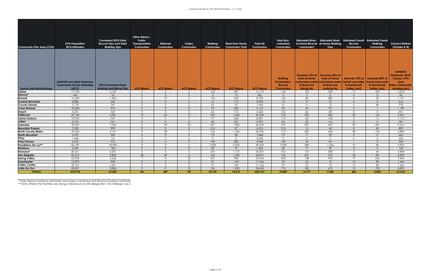| <b>Community Plan Area (CPA)</b> | <b>CPA Population</b><br>2010 Estimates<br><b>SANDAG-recoded American</b><br><b>Community Survey Estimates</b> | <b>Combined 2010 Daily</b><br><b>Bicycle Trips and Daily</b><br><b>Walking Trips</b><br>2010 Combined Daily | Other Means -<br>Public<br><b>Transportation</b><br>Commuters | <b>Railroad</b><br>Commuters | <b>Trolley</b><br>Commuters | <b>Walking</b><br>Commuters | <b>Work from Home</b><br><b>Commuters Total</b> | <b>Total All</b><br><b>Commuters</b> | <b>Total Non-</b><br>motorized<br>Commuters<br><b>Walking</b><br>Commuters+<br><b>Bicycle</b> | at-Home Bicycle at-Home Walking<br>"commuters"<br>Assumes 15% of<br>work at home<br>:ommuters make <br>at least one | <b>Trips</b><br>Assumes 50% of<br>work at home<br>commuters make<br>at least one | Estimated Work- Estimated Work- Estimated Transit Estimated Transit<br><b>Bicycle</b><br>Commuters<br>Assumes 10% of<br>transit users bike<br>to transit (rail, | <b>Walking</b><br>Commuters<br>Assumes 85% of<br>transit users walk<br>to transit (rail, | <b>School Children</b><br>(Grades K-8)<br><b>SANDAG</b><br>DataSurfer 2010<br><b>Census, CPA</b><br>level<br>http://datasurfer. |
|----------------------------------|----------------------------------------------------------------------------------------------------------------|-------------------------------------------------------------------------------------------------------------|---------------------------------------------------------------|------------------------------|-----------------------------|-----------------------------|-------------------------------------------------|--------------------------------------|-----------------------------------------------------------------------------------------------|---------------------------------------------------------------------------------------------------------------------|----------------------------------------------------------------------------------|-----------------------------------------------------------------------------------------------------------------------------------------------------------------|------------------------------------------------------------------------------------------|---------------------------------------------------------------------------------------------------------------------------------|
| Source and Methodology           | (ACS)                                                                                                          | <b>Walking and Biking Trips</b>                                                                             | <b>ACS Report</b>                                             | <b>ACS Report</b>            | <b>ACS Report</b>           | <b>ACS Report</b>           | <b>ACS Report</b>                               | <b>ACS Report</b>                    | <b>Commuters</b>                                                                              | biking trip                                                                                                         | walking trip                                                                     | trolley, bus)                                                                                                                                                   | trolley, bus)                                                                            | sandag.org/)                                                                                                                    |
| <b>Alpine</b>                    | 17,734                                                                                                         | 2,149                                                                                                       | $\circ$                                                       | $\Omega$                     | $\Omega$                    | 124                         | 687                                             | 16,176                               | 124                                                                                           | 103                                                                                                                 | 344                                                                              | 13                                                                                                                                                              | 109                                                                                      | 2,318                                                                                                                           |
| Barona*                          | 546                                                                                                            | 53                                                                                                          | $\overline{0}$                                                | $\circ$                      | $\circ$                     | $\mathcal{A}$               | 15                                              | 405                                  | $\mathbf{3}$                                                                                  | $\overline{2}$                                                                                                      | 8                                                                                | $\overline{0}$                                                                                                                                                  | $\overline{0}$                                                                           | 83                                                                                                                              |
| <b>Bonsall</b>                   | 16.249                                                                                                         | 1.425                                                                                                       | $\Omega$                                                      | 19                           | $\Omega$                    | 134                         | 560                                             | 8.745                                | 134                                                                                           | 84                                                                                                                  | 280                                                                              | $\overline{4}$                                                                                                                                                  | 20                                                                                       | 1.157                                                                                                                           |
| <b>Central Mountain</b>          | 4,858                                                                                                          | 347                                                                                                         | $\Omega$                                                      | $\Omega$                     | $\Omega$                    | 15                          | 113                                             | 4.393                                | 15                                                                                            | 17                                                                                                                  | 57                                                                               | $\Omega$                                                                                                                                                        | $\Omega$                                                                                 | 516                                                                                                                             |
| <b>County Islands</b>            | 2,178                                                                                                          | 347                                                                                                         | $\circ$                                                       | $\Omega$                     | $\circ$                     | 26                          | 23                                              | 1,456                                | 41                                                                                            | -3                                                                                                                  | 12                                                                               | 6                                                                                                                                                               | 49                                                                                       | 378                                                                                                                             |
| Crest-Dehesa                     | 10,048                                                                                                         | 976                                                                                                         | $\Omega$                                                      | $\Omega$                     | $\Omega$                    | 93                          | 302                                             | 9,167                                | 93                                                                                            | 45                                                                                                                  | 151                                                                              | $\Omega$                                                                                                                                                        |                                                                                          | 1,199                                                                                                                           |
| Desert                           | 5,251                                                                                                          | 567                                                                                                         | $\overline{0}$                                                | $\circ$                      | $\overline{0}$              | 66                          | 176                                             | 3,663                                | 102                                                                                           | 26                                                                                                                  | 88                                                                               | $\circ$                                                                                                                                                         | $\circ$                                                                                  | 407                                                                                                                             |
| <b>Fallbrook</b>                 | 43,148                                                                                                         | 4,981                                                                                                       | 10 <sup>°</sup>                                               | 66                           | 19                          | 456                         | 1.364                                           | 36,204                               | 518                                                                                           | 205                                                                                                                 | 682                                                                              | 28                                                                                                                                                              | 160                                                                                      | 5.441                                                                                                                           |
| Jamul-Dulzura                    | 10.943                                                                                                         | 959                                                                                                         | $\Omega$                                                      | $\Omega$                     | $\Omega$                    | 97                          | 268                                             | 8.481                                | 112                                                                                           | 40                                                                                                                  | 134                                                                              | $\Omega$                                                                                                                                                        | $\circ$                                                                                  | 1.173                                                                                                                           |
| Julian                           | 3,194                                                                                                          | 561                                                                                                         | $\Omega$                                                      | $\Omega$                     | $\Omega$                    | 84                          | 231                                             | 2.397                                | 84                                                                                            | 35                                                                                                                  | 116                                                                              | $\Omega$                                                                                                                                                        | $\Omega$                                                                                 | 281                                                                                                                             |
| Lakeside                         | 78,057                                                                                                         | 7,345                                                                                                       | $\Omega$                                                      | 69                           | 25                          | 367                         | 1.383                                           | 66,470                               | 410                                                                                           | 207                                                                                                                 | 692                                                                              | 90                                                                                                                                                              | 687                                                                                      | 9,616                                                                                                                           |
| <b>Mountain Empire</b>           | 7,530                                                                                                          | 999                                                                                                         | $\overline{0}$                                                | $\Omega$                     | 2                           | 215                         | 97                                              | 6,574                                | 215                                                                                           | 15                                                                                                                  | 49                                                                               | 8                                                                                                                                                               | 65                                                                                       | 899                                                                                                                             |
| North County Metro               | 49.660                                                                                                         | 4.141                                                                                                       | 9                                                             | 38                           | $\Omega$                    | 145                         | 1,336                                           | 36.996                               | 173                                                                                           | 200                                                                                                                 | 668                                                                              | 28                                                                                                                                                              | 196                                                                                      | 4,883                                                                                                                           |
| <b>North Mountain</b>            | 3,270                                                                                                          | 309                                                                                                         | $\Omega$                                                      | $\Omega$                     | $\Omega$                    | 73                          | 58                                              | 1,848                                | 73                                                                                            | $\circ$                                                                                                             | 29                                                                               | $\cap$                                                                                                                                                          | $\Omega$                                                                                 | 265                                                                                                                             |
| Otay                             | 7,448                                                                                                          | 141                                                                                                         | $\overline{0}$                                                | $\Omega$                     | $\Omega$                    | $\Omega$                    | $\circ$                                         | 3,208                                | $\overline{0}$                                                                                | $\circ$                                                                                                             | $\overline{0}$                                                                   | $\circ$                                                                                                                                                         | $\circ$                                                                                  | 426                                                                                                                             |
| Pala-Pauma                       | 6,676                                                                                                          | 976                                                                                                         | $\Omega$                                                      |                              | $\Omega$                    | 140                         | 282                                             | 4.968                                | 140                                                                                           | 42                                                                                                                  | 141                                                                              |                                                                                                                                                                 | $\sqrt{5}$                                                                               | 960                                                                                                                             |
| Pendleton-De Luz**               | 36,739                                                                                                         | 18,900                                                                                                      | $\circ$                                                       | $\circ$                      | $\overline{0}$              | 7,003                       | 2,532                                           | 39,459                               | 7,059                                                                                         | 380                                                                                                                 | 1.266                                                                            | 10                                                                                                                                                              | 86                                                                                       | 3,935                                                                                                                           |
| <b>Rainbow</b>                   | 2,230                                                                                                          | 186                                                                                                         | $\Omega$                                                      | $\Omega$                     | $\Omega$                    | 28                          | 57                                              | 1.464                                | 28                                                                                            | $\overline{9}$                                                                                                      | 29                                                                               | $\Omega$                                                                                                                                                        | $\Omega$                                                                                 | 169                                                                                                                             |
| Ramona*                          | 40,261                                                                                                         | 4,207                                                                                                       | $\Omega$                                                      | $\cap$                       | $\Omega$                    | 347                         | 1.175                                           | 32.007                               | 472                                                                                           | 176                                                                                                                 | 588                                                                              | .5                                                                                                                                                              | 40                                                                                       | 4,988                                                                                                                           |
| San Dieguito                     | 23,210                                                                                                         | 3,829                                                                                                       | 38                                                            | 49                           | $\Omega$                    | 105                         | 1,340                                           | 24,817                               | 135                                                                                           | 201                                                                                                                 | 670                                                                              | 18                                                                                                                                                              | 82                                                                                       | 4,895                                                                                                                           |
| <b>Spring Valley</b>             | 62,958                                                                                                         | 6,626                                                                                                       |                                                               | $\Omega$                     | 30                          | 401                         | 985                                             | 54,054                               | 402                                                                                           | 148                                                                                                                 | 493                                                                              | 79                                                                                                                                                              | 640                                                                                      | 9,404                                                                                                                           |
| <b>Sweetwater</b>                | 13,979                                                                                                         | 939                                                                                                         | $\circ$                                                       | $\Omega$                     | $\mathbf{3}$                | 37                          | 149                                             | 11,766                               | 39                                                                                            | 22                                                                                                                  | 75                                                                               | 10                                                                                                                                                              | 82                                                                                       | 1,463                                                                                                                           |
| <b>Valley Center</b>             | 20.757                                                                                                         | 2.201                                                                                                       | $\Omega$                                                      | $\Omega$                     | $\mathbf{3}$                | 37                          | 149                                             | 11.766                               | 39                                                                                            | 22                                                                                                                  | 75                                                                               | 10                                                                                                                                                              | 82                                                                                       | 1.463                                                                                                                           |
| <b>Valle De Oro</b>              | 43,851                                                                                                         | 3,836                                                                                                       | $\overline{0}$                                                | $\Omega$                     | 12                          | 143                         | 1,230                                           | 38,643                               | 176                                                                                           | 185                                                                                                                 | 615                                                                              | 15                                                                                                                                                              | 120                                                                                      | 4,893                                                                                                                           |
| <b>TOTALS</b>                    | 510,775                                                                                                        | 67,001                                                                                                      | 64                                                            | 247                          | 94                          | 10,139                      | 14,512                                          | 425,127                              | 10,587                                                                                        | 2,177                                                                                                               | 7.256                                                                            | 326                                                                                                                                                             | 2.424                                                                                    | 61,212                                                                                                                          |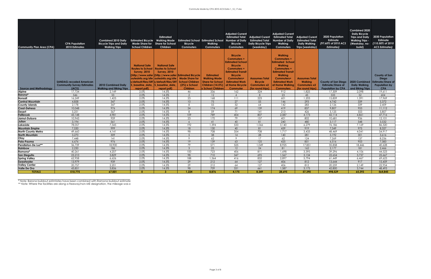| <b>Community Plan Area (CPA)</b> | <b>CPA Population</b><br>2010 Estimates                             | <b>Combined 2010 Daily</b><br><b>Bicycle Trips and Daily</b><br><b>Walking Trips</b> | <b>Estimated Bicycle Walking Mode</b><br><b>School Children</b>                         | <b>Estimated</b><br>Mode Share for Share for School<br>Children                                                                                                                                                                           | <b>Bicycle</b><br>Commuters                                         | <b>Estimated School Estimated School Number of Daily</b><br><b>Walking</b><br>Commuters       | <b>Adjusted Current</b><br><b>Estimated Total</b><br><b>Bicycle</b><br><b>Commuters</b>                                                                                                           | <b>Estimated Total</b><br><b>Daily Bicycle Trips</b><br>(weekday) | <b>Adjusted Current</b><br><b>Adjusted Curent Estimated Total</b><br><b>Number of Daily</b><br>Walking<br><b>Commuters</b>                                                                       | <b>Adjusted Curent</b><br><b>Estimated Total</b><br><b>Daily Walking</b><br>Trips (weekday) | <b>2020 Population</b><br><b>Estimate</b><br>(97.60% of 2010 ACS<br><b>Estimates)</b> | Combined 2020<br><b>Daily Bicycle</b><br><b>Trips and Daily</b><br><b>Walking Trips -</b><br>(Weekday, no-<br>build) | 2030 Population<br><b>Estimate</b><br>(110.58% of 2010)<br><b>ACS Estimates)</b> |
|----------------------------------|---------------------------------------------------------------------|--------------------------------------------------------------------------------------|-----------------------------------------------------------------------------------------|-------------------------------------------------------------------------------------------------------------------------------------------------------------------------------------------------------------------------------------------|---------------------------------------------------------------------|-----------------------------------------------------------------------------------------------|---------------------------------------------------------------------------------------------------------------------------------------------------------------------------------------------------|-------------------------------------------------------------------|--------------------------------------------------------------------------------------------------------------------------------------------------------------------------------------------------|---------------------------------------------------------------------------------------------|---------------------------------------------------------------------------------------|----------------------------------------------------------------------------------------------------------------------|----------------------------------------------------------------------------------|
|                                  | <b>SANDAG-recoded American</b><br><b>Community Survey Estimates</b> | <b>2010 Combined Daily</b>                                                           | <b>National Safe</b><br><b>Routes to School</b><br><b>Survey, 2010</b><br>baseline data | <b>National Safe</b><br><b>Routes to School</b><br><b>Survey, 2010</b><br>(http://www.safer (http://www.safer Estimated Bicycle <br>outesinfo.org/site   outesinfo.org/site<br>s/default/files/SRT s/default/files/SRT<br>S baseline data | <b>Mode Share for</b><br><b>School Children</b><br>$(2\%)$ x School | <b>Estimated</b><br><b>Walking Mode</b><br><b>Share for School</b><br><b>Children (14.5%)</b> | <b>Bicycle</b><br>Commuters +<br><b>Estimated School</b><br><b>Bicycle</b><br>Commuters +<br><b>Estimated Transit</b><br><b>Bicycle</b><br>Commuters+<br><b>Estimated Work</b><br>at Home Bicycle | Asssumes Total<br><b>Bicycle</b><br><b>Commuters x2</b>           | <b>Walkina</b><br>Commuters +<br><b>Estimated Schoo</b><br><b>Walking</b><br>Commuters +<br><b>Estimated Transit</b><br><b>Walking</b><br>Commuters+<br><b>Estimated Work</b><br>at Home Walking | Asssumes Total<br><b>Walkina</b><br><b>Commuters x2</b>                                     | County of San Diego<br><b>Estimate/Share of</b>                                       | 2020 Combined<br><b>Daily Walking</b>                                                                                | County of San<br><b>Diego</b><br><b>Estimate/Share of</b><br>Population by       |
| Source and Methodology           | (ACS)                                                               | <b>Walking and Biking Trips</b>                                                      | report.pdf)                                                                             | report.pdf)                                                                                                                                                                                                                               | Children                                                            | x School Children                                                                             | Commuter                                                                                                                                                                                          | (for round trips)                                                 | <b>Commuters</b>                                                                                                                                                                                 | (for round trips)                                                                           | <b>Population by CPA</b>                                                              | and Biking Trips                                                                                                     | <b>CPA</b>                                                                       |
| <b>Alpine</b>                    | 17,734<br>546                                                       | 2,149                                                                                | 2.0%<br>2.0%                                                                            | 14.5%<br>14.5%                                                                                                                                                                                                                            | 46                                                                  | 336                                                                                           | 162                                                                                                                                                                                               | 324                                                               | 912                                                                                                                                                                                              | 1,825                                                                                       | 17,309                                                                                | 2,098                                                                                                                | 19,611                                                                           |
| Barona*<br><b>Bonsall</b>        | 16,249                                                              | 53<br>1,425                                                                          | 2.0%                                                                                    | 14.5%                                                                                                                                                                                                                                     | $\overline{2}$<br>23                                                | 12<br>168                                                                                     | $\overline{4}$<br>111                                                                                                                                                                             | 8<br>223                                                          | 23<br>601                                                                                                                                                                                        | 45<br>1,203                                                                                 | 533<br>15,859                                                                         | 52<br>1,391                                                                                                          | 604<br>17,969                                                                    |
| <b>Central Mountain</b>          | 4,858                                                               | 347                                                                                  | 2.0%                                                                                    | 14.5%                                                                                                                                                                                                                                     | 10                                                                  | 75                                                                                            | 27                                                                                                                                                                                                | 55                                                                | 146                                                                                                                                                                                              | 293                                                                                         | 4.742                                                                                 | 339                                                                                                                  | 5,372                                                                            |
| <b>County Islands</b>            | 2.178                                                               | 347                                                                                  | 2.0%                                                                                    | 14.5%                                                                                                                                                                                                                                     | 8                                                                   | 55                                                                                            | 32                                                                                                                                                                                                | 64                                                                | 142                                                                                                                                                                                              | 283                                                                                         | 2.126                                                                                 | 339                                                                                                                  | 2.409                                                                            |
| <b>Crest-Dehesa</b>              | 10.048                                                              | 976                                                                                  | 2.0%                                                                                    | 14.5%                                                                                                                                                                                                                                     | 24                                                                  | 174                                                                                           | 69                                                                                                                                                                                                | 139                                                               | 419                                                                                                                                                                                              | 837                                                                                         | 9.807                                                                                 | 953                                                                                                                  | 11.112                                                                           |
| Desert                           | 5,251                                                               | 567                                                                                  | 2.0%                                                                                    | 14.5%                                                                                                                                                                                                                                     | 8                                                                   | 59                                                                                            | 71                                                                                                                                                                                                | 141                                                               | 213                                                                                                                                                                                              | 426                                                                                         | 5,125                                                                                 | 553                                                                                                                  | 5,807                                                                            |
| Fallbrook                        | 43,148                                                              | 4,981                                                                                | 2.0%                                                                                    | 14.5%                                                                                                                                                                                                                                     | 109                                                                 | 789                                                                                           | 404                                                                                                                                                                                               | 807                                                               | 2,087                                                                                                                                                                                            | 4.173                                                                                       | 42,114                                                                                | 4,861                                                                                                                | 47,716                                                                           |
| Jamul-Dulzura                    | 10.943                                                              | 959                                                                                  | 2.0%                                                                                    | 14.5%                                                                                                                                                                                                                                     | 23                                                                  | 170                                                                                           | 79                                                                                                                                                                                                | 157                                                               | 401                                                                                                                                                                                              | 802                                                                                         | 10,681                                                                                | 936                                                                                                                  | 12,101                                                                           |
| Julian                           | 3.194                                                               | 561                                                                                  | 2.0%                                                                                    | 14.5%                                                                                                                                                                                                                                     | 6                                                                   | 41                                                                                            | 40                                                                                                                                                                                                | 81                                                                | 240                                                                                                                                                                                              | 480                                                                                         | 3.117                                                                                 | 548                                                                                                                  | 3.532                                                                            |
| Lakeside                         | 78.057                                                              | 7,345                                                                                | 2.0%                                                                                    | 14.5%                                                                                                                                                                                                                                     | 192                                                                 | 1.394                                                                                         | 533                                                                                                                                                                                               | 1,066                                                             | 3.140                                                                                                                                                                                            | 6,279                                                                                       | 76,186                                                                                | 7.169                                                                                                                | 86,320                                                                           |
| <b>Mountain Empire</b>           | 7,530                                                               | 999                                                                                  | 2.0%                                                                                    | 14.5%                                                                                                                                                                                                                                     | 18                                                                  | 130                                                                                           | 40                                                                                                                                                                                                | 81                                                                | 459                                                                                                                                                                                              | 919                                                                                         | 7.349                                                                                 | 975                                                                                                                  | 8,327                                                                            |
| North County Metro               | 49,660                                                              | 4,141                                                                                | 2.0%                                                                                    | 14.5%                                                                                                                                                                                                                                     | 98                                                                  | 708                                                                                           | 354                                                                                                                                                                                               | 708                                                               | 1.717                                                                                                                                                                                            | 3,433                                                                                       | 48,469                                                                                | 4,041                                                                                                                | 54,917                                                                           |
| <b>North Mountain</b>            | 3,270                                                               | 309                                                                                  | 2.0%                                                                                    | 14.5%                                                                                                                                                                                                                                     | $\overline{5}$                                                      | 38                                                                                            | 14                                                                                                                                                                                                | 28                                                                | 140                                                                                                                                                                                              | 281                                                                                         | 3.192                                                                                 | 301                                                                                                                  | 3.616                                                                            |
| Otav                             | 7.448                                                               | 141                                                                                  | 2.0%                                                                                    | 14.5%                                                                                                                                                                                                                                     | 9                                                                   | 62                                                                                            | $\overline{Q}$                                                                                                                                                                                    | 17                                                                | 62                                                                                                                                                                                               | 124                                                                                         | 7.269                                                                                 | 137                                                                                                                  | 8.236                                                                            |
| Pala-Pauma                       | 6.676                                                               | 976                                                                                  | 2.0%                                                                                    | 14.5%                                                                                                                                                                                                                                     | 19                                                                  | 139                                                                                           | 63                                                                                                                                                                                                | 125                                                               | 425                                                                                                                                                                                              | 851                                                                                         | 6.516                                                                                 | 953                                                                                                                  | 7,383                                                                            |
| Pendleton-De Luz**               | 36.739                                                              | 18,900                                                                               | 2.0%                                                                                    | 14.5%                                                                                                                                                                                                                                     | 79                                                                  | 571                                                                                           | 525                                                                                                                                                                                               | 1.049                                                             | 8.925                                                                                                                                                                                            | 17,851                                                                                      | 35,858                                                                                | 18,446                                                                                                               | 40.628                                                                           |
| <b>Rainbow</b>                   | 2,230                                                               | 186                                                                                  | 2.0%                                                                                    | 14.5%                                                                                                                                                                                                                                     | $\mathbf{3}$                                                        | 25                                                                                            | 12                                                                                                                                                                                                | 24                                                                | 81                                                                                                                                                                                               | 162                                                                                         | 2,177                                                                                 | 181                                                                                                                  | 2,466                                                                            |
| Ramona*                          | 40.261                                                              | 4.207                                                                                | 2.0%                                                                                    | 14.5%                                                                                                                                                                                                                                     | 100                                                                 | 723                                                                                           | 406                                                                                                                                                                                               | 811                                                               | 1.698                                                                                                                                                                                            | 3.395                                                                                       | 39,296                                                                                | 4,106                                                                                                                | 44,523                                                                           |
| <b>San Dieguito</b>              | 23,210                                                              | 3,829                                                                                | 2.0%                                                                                    | 14.5%                                                                                                                                                                                                                                     | 98                                                                  | 710                                                                                           | 347                                                                                                                                                                                               | 695                                                               | 1,567                                                                                                                                                                                            | 3,134                                                                                       | 22,654                                                                                | 3,737                                                                                                                | 25,667                                                                           |
| <b>Spring Valley</b>             | 62,958                                                              | 6,626                                                                                | 2.0%                                                                                    | 14.5%                                                                                                                                                                                                                                     | 188                                                                 | 1.364                                                                                         | 416                                                                                                                                                                                               | 832                                                               | 2.897                                                                                                                                                                                            | 5.794                                                                                       | 61,449                                                                                | 6,467                                                                                                                | 69,623                                                                           |
| <b>Sweetwater</b>                | 13.979                                                              | 939                                                                                  | 2.0%                                                                                    | 14.5%                                                                                                                                                                                                                                     | 29                                                                  | 212                                                                                           | 64                                                                                                                                                                                                | 127                                                               | 406                                                                                                                                                                                              | 812                                                                                         | 13,644                                                                                | 917                                                                                                                  | 15,459                                                                           |
| <b>Valley Center</b>             | 20.757                                                              | 2.201                                                                                | 2.0%                                                                                    | 14.5%                                                                                                                                                                                                                                     | 29                                                                  | 212                                                                                           | 64                                                                                                                                                                                                | 127                                                               | 406                                                                                                                                                                                              | 812                                                                                         | 20.259                                                                                | 2.149                                                                                                                | 22.954                                                                           |
| <b>Valle De Oro</b>              | 43,851                                                              | 3,836                                                                                | 2.0%                                                                                    | 14.5%                                                                                                                                                                                                                                     | 98                                                                  | 709                                                                                           | 331                                                                                                                                                                                               | 661                                                               | 1,587                                                                                                                                                                                            | 3,175                                                                                       | 42,800                                                                                | 3.744                                                                                                                | 48,493                                                                           |
| <b>TOTALS</b>                    | 510,775                                                             | 67,001                                                                               | $\Omega$                                                                                | $\mathbf{3}$                                                                                                                                                                                                                              | 1,224                                                               | 8.876                                                                                         | 4.175                                                                                                                                                                                             | 8.349                                                             | 28.695                                                                                                                                                                                           | 57,390                                                                                      | 498,529                                                                               | 65,393                                                                                                               | 564.845                                                                          |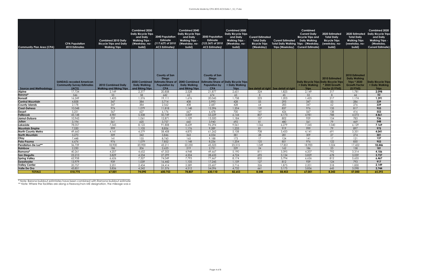| <b>Community Plan Area (CPA)</b> | <b>CPA Population</b><br>2010 Estimates                                      | <b>Combined 2010 Daily</b><br><b>Bicycle Trips and Daily</b><br><b>Walking Trips</b> | <b>Combined 2030</b><br><b>Daily Bicycle Trips</b><br>and Daily<br><b>Walking Trips -</b><br>(Weekday, no-<br>build) | 2040 Population<br><b>Estimate</b><br>(117.62% of 2010<br><b>ACS Estimates)</b>                                 | Combined 2040<br><b>Daily Bicycle Trips</b><br>and Daily<br><b>Walking Trips -</b><br>(Weekday, no-<br>build) | 2050 Population<br><b>Estimate</b><br>(123.36% of 2010)<br><b>ACS Estimates)</b> | <b>Combined 2050</b><br><b>Daily Bicycle Trips</b><br>and Daily<br><b>Walking Trips -</b><br>(Weekday, no-<br>build) | <b>Curent Estimated</b><br><b>Total Daily</b><br><b>Bicycle Trips</b><br>(Weekdav) | <b>Curent Estimated</b><br>Total Daily Walking Trips - (Weekday,<br>Trips (Weekday) Current Estimate) | Combined<br><b>Current Daily</b><br><b>Bicycle Trips and</b><br>Daily Walking     | 2020 Estimated<br><b>Total Daily</b><br><b>Bicycle Trips</b><br>(weekday, no-<br>build) | <b>Total Daily</b><br><b>Walking Trips</b><br>(weekday, no-<br>build)                             | <b>Combined 2020</b><br>2020 Estimated Daily Bicycle Trips<br>and Daily<br><b>Walking Trips -</b><br>(Weekday,<br><b>Current Estimate)</b> |
|----------------------------------|------------------------------------------------------------------------------|--------------------------------------------------------------------------------------|----------------------------------------------------------------------------------------------------------------------|-----------------------------------------------------------------------------------------------------------------|---------------------------------------------------------------------------------------------------------------|----------------------------------------------------------------------------------|----------------------------------------------------------------------------------------------------------------------|------------------------------------------------------------------------------------|-------------------------------------------------------------------------------------------------------|-----------------------------------------------------------------------------------|-----------------------------------------------------------------------------------------|---------------------------------------------------------------------------------------------------|--------------------------------------------------------------------------------------------------------------------------------------------|
| Source and Methodology           | <b>SANDAG-recoded American</b><br><b>Community Survey Estimates</b><br>(ACS) | 2010 Combined Daily<br><b>Walking and Biking Trips</b>                               | Daily Walking<br>and Biking Trips                                                                                    | <b>County of San</b><br><b>Diego</b><br>2030 Combined   Estimate/Share of<br><b>Population by</b><br><b>CPA</b> | 2040 Combined Estimate/Share of Daily Bicycle Trips<br><b>Daily Walking</b><br>and Biking Trips               | County of San<br><b>Diego</b><br><b>Population by</b><br><b>CPA</b>              | + Daily Walking<br><b>Trips</b>                                                                                      |                                                                                    | See detail at right  See detail at right                                                              | <b>Daily Bicycle Trips Daily Bicycle Trips</b><br>+ Daily Walking<br><b>Trips</b> | <b>2010 Estimated</b><br>* 2020 Growth<br><b>Factor (0.9760)</b>                        | 2010 Estimated<br><b>Daily Walking</b><br><b>Trips * 2020</b><br><b>Growth Factor</b><br>(0.9760) | <b>Daily Bicycle Trips</b><br>+ Daily Walking<br><b>Trips</b>                                                                              |
| Alpine                           | 17.734                                                                       | 2,149                                                                                | 2,377                                                                                                                | 20.858                                                                                                          | 2,528                                                                                                         | 21,877                                                                           | 2,651                                                                                                                | 324                                                                                | 1.825                                                                                                 | 2.149                                                                             | 317                                                                                     | 1.781                                                                                             | 2.098                                                                                                                                      |
| Barona*                          | 546                                                                          | 53                                                                                   | 58                                                                                                                   | 642                                                                                                             | 62                                                                                                            | 674                                                                              | 65                                                                                                                   | 8                                                                                  | 45                                                                                                    | 53                                                                                | 8                                                                                       | 44                                                                                                | 52                                                                                                                                         |
| <b>Bonsall</b>                   | 16.249                                                                       | 1.425                                                                                | 1.576                                                                                                                | 19.111                                                                                                          | 1.676                                                                                                         | 20,045                                                                           | 1,758                                                                                                                | 223                                                                                | 1.203                                                                                                 | 1.425                                                                             | 217                                                                                     | 1.174                                                                                             | 1.391                                                                                                                                      |
| Central Mountain                 | 4,858                                                                        | 347                                                                                  | 384                                                                                                                  | 5.714                                                                                                           | 408                                                                                                           | 5.993                                                                            | 428                                                                                                                  | 55                                                                                 | 293                                                                                                   | 347                                                                               | 53                                                                                      | 286                                                                                               | 339                                                                                                                                        |
| County Islands                   | 2.178                                                                        | 347                                                                                  | 384                                                                                                                  | 2.562                                                                                                           | 408                                                                                                           | 2.687                                                                            | 428                                                                                                                  | 64                                                                                 | 283                                                                                                   | 347                                                                               | 62                                                                                      | 276                                                                                               | 339                                                                                                                                        |
| Crest-Dehesa                     | 10.048                                                                       | 976                                                                                  | 1,079                                                                                                                | 11,818                                                                                                          | 1.148                                                                                                         | 12,396                                                                           | 1,204                                                                                                                | 139                                                                                | 837                                                                                                   | 976                                                                               | 135                                                                                     | 817                                                                                               | 953                                                                                                                                        |
| Desert                           | 5,251                                                                        | 567                                                                                  | 627                                                                                                                  | 6.176                                                                                                           | 667                                                                                                           | 6,478                                                                            | 700                                                                                                                  | 4                                                                                  | 426                                                                                                   | 567                                                                               | 138                                                                                     | 416                                                                                               | 553                                                                                                                                        |
| Fallbrook                        | 43,148                                                                       | 4,981                                                                                | 5,508                                                                                                                | 50,749                                                                                                          | 5,859                                                                                                         | 53,229                                                                           | 6.144                                                                                                                | 807                                                                                | 4,173                                                                                                 | 4,981                                                                             | 788                                                                                     | 4,073                                                                                             | 4,861                                                                                                                                      |
| Jamul-Dulzura                    | 10,943                                                                       | 959                                                                                  | 1,061                                                                                                                | 12.871                                                                                                          | 1.129                                                                                                         | 13,500                                                                           | 1.184                                                                                                                | 157                                                                                | 802                                                                                                   | 959                                                                               | 154                                                                                     | 783                                                                                               | 936                                                                                                                                        |
| Julian                           | 3.194                                                                        | 561                                                                                  | 620                                                                                                                  | 3.757                                                                                                           | 660                                                                                                           | 3,940                                                                            | 692                                                                                                                  | 81                                                                                 | 480                                                                                                   | 561                                                                               | 79                                                                                      | 469                                                                                               | 548                                                                                                                                        |
| Lakeside                         | 78,057                                                                       | 7.345                                                                                | 8.122                                                                                                                | 91.808                                                                                                          | 8.639                                                                                                         | 96.294                                                                           | 9.061                                                                                                                | 1,066                                                                              | 6.279                                                                                                 | 7.345                                                                             | 1.040                                                                                   | 6.129                                                                                             | 7,169                                                                                                                                      |
| <b>Mountain Empire</b>           | 7,530                                                                        | 999                                                                                  | 1.105                                                                                                                | 8,856                                                                                                           | 1.176                                                                                                         | 9.289                                                                            | 1,233                                                                                                                | 81                                                                                 | 919                                                                                                   | 999                                                                               | 79                                                                                      | 897                                                                                               | 975                                                                                                                                        |
| <b>North County Metro</b>        | 49,660                                                                       | 4.141                                                                                | 4,579                                                                                                                | 58,408                                                                                                          | 4,870                                                                                                         | 61,262                                                                           | 5,108                                                                                                                | 708                                                                                | 3,433                                                                                                 | 4,141                                                                             | 691                                                                                     | 3,351                                                                                             | 4.041                                                                                                                                      |
| <b>North Mountain</b>            | 3.270                                                                        | 309                                                                                  | 342                                                                                                                  | 3.846                                                                                                           | 363                                                                                                           | 4.034                                                                            | 381                                                                                                                  | 28                                                                                 | 281                                                                                                   | 309                                                                               | 27                                                                                      | 274                                                                                               | 301                                                                                                                                        |
| Otay                             | 7.448                                                                        | 141                                                                                  | 155                                                                                                                  | 8.760                                                                                                           | 165                                                                                                           | 9.188                                                                            | 173                                                                                                                  | 17                                                                                 | 124                                                                                                   | 4                                                                                 | 17                                                                                      | 121                                                                                               | $\overline{137}$                                                                                                                           |
| Pala-Pauma                       | 6.676                                                                        | 976                                                                                  | 1.079                                                                                                                | 7,852                                                                                                           | 1.148                                                                                                         | 8.236                                                                            | 1,204                                                                                                                | 125                                                                                | 851                                                                                                   | 976                                                                               | 122                                                                                     | 830                                                                                               | 953                                                                                                                                        |
| Pendleton-De Luz**               | 36.739                                                                       | 18,900                                                                               | 20,900                                                                                                               | 43.211                                                                                                          | 22,230                                                                                                        | 45.323                                                                           | 23,315                                                                                                               | 1,049                                                                              | 17,851                                                                                                | 18,900                                                                            | 1,024                                                                                   | 17.422                                                                                            | 18.446                                                                                                                                     |
| Rainbow                          | 2.230                                                                        | 186                                                                                  | 206                                                                                                                  | 2.623                                                                                                           | 219                                                                                                           | 2.751                                                                            | 229                                                                                                                  | 24                                                                                 | 162                                                                                                   | 186                                                                               | 23                                                                                      | 158                                                                                               | 181                                                                                                                                        |
| Ramona*                          | 40.261                                                                       | 4,207                                                                                | 4,652                                                                                                                | 47.353                                                                                                          | 4.948                                                                                                         | 49.667                                                                           | 5,190                                                                                                                | 811                                                                                | 3,395                                                                                                 | 4,207                                                                             | 792                                                                                     | 3,314                                                                                             | 4.106                                                                                                                                      |
| <b>San Dieguito</b>              | 23,210                                                                       | 3,829                                                                                | 4,234                                                                                                                | 27.299                                                                                                          | 4,504                                                                                                         | 28,633                                                                           | 4.724                                                                                                                | 695                                                                                | 3.134                                                                                                 | 3,829                                                                             | 678                                                                                     | 3,059                                                                                             | 3.737                                                                                                                                      |
| <b>Spring Valley</b>             | 62,958                                                                       | 6.626                                                                                | 7,327                                                                                                                | 74,049                                                                                                          | 7,793                                                                                                         | 77,667                                                                           | 8.174                                                                                                                | 832                                                                                | 5.794                                                                                                 | 6,626                                                                             | 812                                                                                     | 5,655                                                                                             | 6,467                                                                                                                                      |
| Sweetwater                       | 13.979                                                                       | 939                                                                                  | 1.039                                                                                                                | 16.442                                                                                                          | 1.105                                                                                                         | 17.245                                                                           | 1.159                                                                                                                | 127                                                                                | 812                                                                                                   | 939                                                                               | 124                                                                                     | 793                                                                                               | 917                                                                                                                                        |
| <b>Valley Center</b>             | 20,757                                                                       | 2,201                                                                                | 2,434                                                                                                                | 24,414                                                                                                          | 2,589                                                                                                         | 25,607                                                                           | 2,716                                                                                                                | 326                                                                                | 1.875                                                                                                 | 2,201                                                                             | 318                                                                                     | 1,830                                                                                             | 2,149                                                                                                                                      |
| Valle De Oro                     | 43,851                                                                       | 3.836                                                                                | 4.242                                                                                                                | 51,576                                                                                                          | 4.512                                                                                                         | 54.096                                                                           | 4.732                                                                                                                | 661                                                                                | 3.175                                                                                                 | 3.836                                                                             | 645                                                                                     | 3.098                                                                                             | 3.744                                                                                                                                      |
| <b>TOTALS</b>                    | 510.775                                                                      | 67.001                                                                               | 74.090                                                                                                               | 600.753                                                                                                         | 78,807                                                                                                        | 630.110                                                                          | 82.653                                                                                                               | 8.548                                                                              | 58.453                                                                                                | 67.001                                                                            | 8.343                                                                                   | 57.050                                                                                            | 65.393                                                                                                                                     |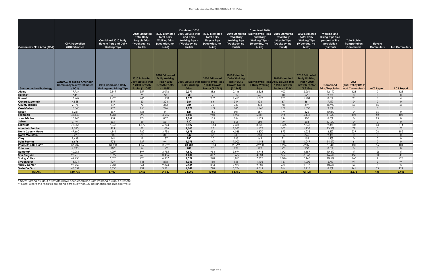| <b>Community Plan Area (CPA)</b>        | <b>CPA Population</b><br>2010 Estimates                             | <b>Combined 2010 Daily</b><br><b>Bicycle Trips and Daily</b><br><b>Walking Trips</b> | 2030 Estimated<br><b>Total Daily</b><br><b>Bicycle Trips</b><br>(weekday, no-<br>build) | <b>Total Daily</b><br><b>Walking Trips</b><br>(weekday, no-<br>build)                      | Combined 2030<br>2030 Estimated Daily Bicycle Trips 2040 Estimated<br>and Daily<br><b>Walking Trips -</b><br>(Weekday, no-<br>build) | <b>Total Daily</b><br><b>Bicycle Trips</b><br>(weekday, no-<br>build) | <b>Total Daily</b><br><b>Walking Trips</b><br>(weekday, no-<br>build)                             | <b>Combined 2040</b><br>2040 Estimated Daily Bicycle Trips<br>and Daily<br><b>Walking Trips -</b><br>(Weekday, no-<br>build) | 2050 Estimated<br><b>Total Daily</b><br><b>Bicycle Trips</b><br>(weekday, no-<br>build) | 2050 Estimated<br><b>Total Daily</b><br><b>Walking Trips</b><br>(Weekday, no-<br>build)    | Walking and<br><b>Biking Trips as a</b><br>percent of the<br>population<br>(current) | <b>Total Public</b><br>Transportation<br><b>Commuters</b> | <b>Bicycle</b><br><b>Commuters</b> | <b>Bus Commuters</b>     |
|-----------------------------------------|---------------------------------------------------------------------|--------------------------------------------------------------------------------------|-----------------------------------------------------------------------------------------|--------------------------------------------------------------------------------------------|--------------------------------------------------------------------------------------------------------------------------------------|-----------------------------------------------------------------------|---------------------------------------------------------------------------------------------------|------------------------------------------------------------------------------------------------------------------------------|-----------------------------------------------------------------------------------------|--------------------------------------------------------------------------------------------|--------------------------------------------------------------------------------------|-----------------------------------------------------------|------------------------------------|--------------------------|
|                                         | <b>SANDAG-recoded American</b><br><b>Community Survey Estimates</b> | 2010 Combined Daily<br><b>Walking and Biking Trips</b>                               | 2010 Estimated<br><b>Daily Bicycle Trips</b><br>* 2030 Growth                           | 2010 Estimated<br><b>Daily Walking</b><br>Trips * 2030<br><b>Growth Factor</b><br>(1.1058) | <b>Daily Bicycle Trips Daily Bicycle Trips</b><br>+ Daily Walking                                                                    | 2010 Estimated<br>* 2040 Growth<br><b>Factor (1.1762)</b>             | 2010 Estimated<br><b>Daily Walking</b><br><b>Trips * 2040</b><br><b>Growth Factor</b><br>(1.1762) | <b>Daily Bicycle Trips Daily Bicycle Trips</b><br>+ Daily Walking<br><b>Trips</b>                                            | 2010 Estimated<br>* 2050 Growth<br>Factor (1.2336)                                      | 2010 Estimated<br><b>Daily Walking</b><br>Trips * 2050<br><b>Growth Factor</b><br>(1.2336) | Combined                                                                             | <b>ACS</b><br>(Bus+Trolley+Railr                          |                                    |                          |
| <b>Source and Methodology</b><br>Alpine | (ACS)<br>17.734                                                     | 2.149                                                                                | Factor (1.1058)<br>359                                                                  | 2.018                                                                                      | <b>Trips</b><br>2,377                                                                                                                | 382                                                                   | 2.146                                                                                             | 2,528                                                                                                                        | 400                                                                                     | 2,251                                                                                      | 12.1%                                                                                | Trips/Population   oad Commuters)<br>128                  | <b>ACS Report</b><br>$\cap$        | <b>ACS Report</b><br>128 |
| Barona*                                 | 546                                                                 | 53                                                                                   | $\overline{Q}$                                                                          | 50                                                                                         | 58                                                                                                                                   | $\mathsf{Q}$                                                          | 53                                                                                                | 62                                                                                                                           | 10                                                                                      | 56                                                                                         | 9.7%                                                                                 | $\Omega$                                                  | $\Omega$                           | $\Omega$                 |
| <b>Bonsall</b>                          | 16,249                                                              | 1,425                                                                                | 246                                                                                     | 1,330                                                                                      | 1,576                                                                                                                                | 262                                                                   | 1,415                                                                                             | 1,676                                                                                                                        | 275                                                                                     | 1,484                                                                                      | 8.8%                                                                                 | 23                                                        | $\Omega$                           | $\overline{4}$           |
| <b>Central Mountain</b>                 | 4,858                                                               | 347                                                                                  | 60                                                                                      | 324                                                                                        | 384                                                                                                                                  | 64                                                                    | 344                                                                                               | 408                                                                                                                          | 67                                                                                      | 361                                                                                        | 7.1%                                                                                 | $\Omega$                                                  | $\Omega$                           | $\Omega$                 |
| <b>County Islands</b>                   | 2.178                                                               | 347                                                                                  | 70                                                                                      | 313                                                                                        | 384                                                                                                                                  | 75                                                                    | 333                                                                                               | 408                                                                                                                          | 78                                                                                      | 349                                                                                        | 15.9%                                                                                | 58                                                        | 15                                 | 58                       |
| Crest-Dehesa                            | 10,048                                                              | 976                                                                                  | 153                                                                                     | 926                                                                                        | 1.079                                                                                                                                | 163                                                                   | 985                                                                                               | 1.148                                                                                                                        | 171                                                                                     | 1.033                                                                                      | 9.7%                                                                                 |                                                           | $\Omega$                           |                          |
| Desert                                  | 5,251                                                               | 567                                                                                  | 156                                                                                     | 471                                                                                        | 627                                                                                                                                  | 166                                                                   | 501                                                                                               | 667                                                                                                                          | 174                                                                                     | 526                                                                                        | 10.8%                                                                                | $\overline{0}$                                            | 36                                 | $\circ$                  |
| <b>Fallbrook</b>                        | 43,148                                                              | 4,981                                                                                | 893                                                                                     | 4,615                                                                                      | 5,508                                                                                                                                | 950                                                                   | 4.909                                                                                             | 5,859                                                                                                                        | 996                                                                                     | 5,148                                                                                      | 11.5%                                                                                | 198                                                       | 62                                 | 103                      |
| Jamul-Dulzura                           | 10.943                                                              | 959                                                                                  | 174                                                                                     | 887                                                                                        | 1.061                                                                                                                                | 185                                                                   | 944                                                                                               | 1.129                                                                                                                        | 194                                                                                     | 990                                                                                        | 8.8%                                                                                 | $\Omega$                                                  | 15                                 | $\Omega$                 |
| Julian                                  | 3,194                                                               | 561                                                                                  | 89                                                                                      | 531                                                                                        | 620                                                                                                                                  | 95                                                                    | 565                                                                                               | 660                                                                                                                          | 99                                                                                      | 593                                                                                        | 17.6%                                                                                | $\Omega$                                                  | $\Omega$                           | $\Omega$                 |
| Lakeside                                | 78,057                                                              | 7,345                                                                                | 1.179                                                                                   | 6.944                                                                                      | 8,122                                                                                                                                | 1,254                                                                 | 7.386                                                                                             | 8.639                                                                                                                        | 1,315                                                                                   | 7,746                                                                                      | 9.4%                                                                                 | 808                                                       | 43                                 | 714                      |
| <b>Mountain Empire</b>                  | 7,530                                                               | 999                                                                                  | 89                                                                                      | 1,016                                                                                      | 1,105                                                                                                                                | 95                                                                    | 1,080                                                                                             | 1,176                                                                                                                        | 100                                                                                     | 1.133                                                                                      | 13.3%                                                                                | 77                                                        | $\Omega$                           | 75                       |
| <b>North County Metro</b>               | 49.660                                                              | 4.141                                                                                | 782                                                                                     | 3.796                                                                                      | 4.579                                                                                                                                | 832                                                                   | 4.038                                                                                             | 4,870                                                                                                                        | 873                                                                                     | 4.235                                                                                      | 8.3%                                                                                 | 239                                                       | 28                                 | 192                      |
| <b>North Mountain</b>                   | 3,270                                                               | 309                                                                                  | 31                                                                                      | 311                                                                                        | 342                                                                                                                                  | 33                                                                    | 330                                                                                               | 363                                                                                                                          | 35                                                                                      | 346                                                                                        | 9.4%                                                                                 | $\Omega$                                                  | $\Omega$                           | $\Omega$                 |
| Otay                                    | 7,448                                                               | 141                                                                                  | 19                                                                                      | 137                                                                                        | 155                                                                                                                                  | 20                                                                    | 145                                                                                               | 165                                                                                                                          | 21                                                                                      | 152                                                                                        | 1.9%                                                                                 | $\Omega$                                                  | $\Omega$                           | $\circ$                  |
| Pala-Pauma                              | 6,676                                                               | 976                                                                                  | 139                                                                                     | 941                                                                                        | 1,079                                                                                                                                | 147                                                                   | 1,000                                                                                             | 1.148                                                                                                                        | 155                                                                                     | 1,049                                                                                      | 14.6%                                                                                | 6                                                         | $\Omega$                           | $\Omega$                 |
| Pendleton-De Luz**                      | 36.739                                                              | 18,900                                                                               | 1.160                                                                                   | 19.739                                                                                     | 20,900                                                                                                                               | 1.234                                                                 | 20.996                                                                                            | 22,230                                                                                                                       | 1.294                                                                                   | 22,021                                                                                     | 51.4%                                                                                | 101                                                       | 56                                 | 101                      |
| <b>Rainbow</b>                          | 2.230                                                               | 186                                                                                  | 26                                                                                      | 179                                                                                        | 206                                                                                                                                  | 28                                                                    | 191                                                                                               | 219                                                                                                                          | 29                                                                                      | 200                                                                                        | 8.3%                                                                                 | $\cap$                                                    | $\Omega$                           | $\Omega$                 |
| Ramona*                                 | 40,261                                                              | 4,207                                                                                | 897                                                                                     | 3.755                                                                                      | 4,652                                                                                                                                | 954                                                                   | 3.994                                                                                             | 4.948                                                                                                                        | 1,001                                                                                   | 4.189                                                                                      | 10.4%                                                                                | 47                                                        | 125                                | 47                       |
| <b>San Dieguito</b>                     | 23,210                                                              | 3,829                                                                                | 768                                                                                     | 3,466                                                                                      | 4,234                                                                                                                                | 817                                                                   | 3,687                                                                                             | 4,504                                                                                                                        | 857                                                                                     | 3,867                                                                                      | 16.5%                                                                                | $\overline{135}$                                          | 30                                 | 48                       |
| <b>Spring Valley</b>                    | 62.958                                                              | 6,626                                                                                | 920                                                                                     | 6.407                                                                                      | 7.327                                                                                                                                | 978                                                                   | 6.815                                                                                             | 7.793                                                                                                                        | 1.026                                                                                   | 7.148                                                                                      | 10.5%                                                                                | 760                                                       | $\overline{1}$                     | 723                      |
| Sweetwater                              | 13,979                                                              | 939                                                                                  | 4                                                                                       | 898                                                                                        | 1,039                                                                                                                                | 150                                                                   | 955                                                                                               | 1,105                                                                                                                        | 157                                                                                     | 1,002                                                                                      | 6.7%                                                                                 | 97                                                        | $\Omega$                           | 94                       |
| <b>Valley Center</b>                    | 20,757                                                              | 2,201                                                                                | 361                                                                                     | 2,074                                                                                      | 2,434                                                                                                                                | 384                                                                   | 2,206                                                                                             | 2,589                                                                                                                        | 402                                                                                     | 2,313                                                                                      | 10.6%                                                                                | 54                                                        | $\Omega$                           | 29                       |
| <b>Valle De Oro</b>                     | 43,851                                                              | 3,836                                                                                |                                                                                         |                                                                                            |                                                                                                                                      |                                                                       |                                                                                                   |                                                                                                                              |                                                                                         |                                                                                            |                                                                                      |                                                           |                                    |                          |
|                                         |                                                                     |                                                                                      | 731                                                                                     | 3,511                                                                                      | 4,242                                                                                                                                | 778                                                                   | 3,734                                                                                             | 4,512                                                                                                                        | 816                                                                                     | 3,916                                                                                      | 8.7%                                                                                 | 141                                                       | 33                                 | 129                      |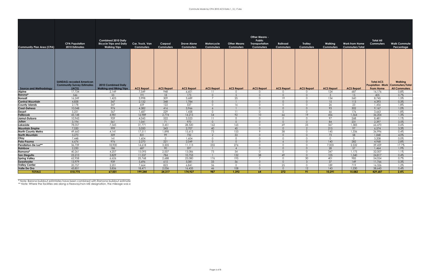| <b>Community Plan Area (CPA)</b> | <b>CPA Population</b><br>2010 Estimates    | <b>Combined 2010 Daily</b><br><b>Bicycle Trips and Daily</b><br><b>Walking Trips</b> | Car, Truck, Van<br>Commuters | Carpool<br>Commuters | <b>Drove Alone</b><br><b>Commuters</b> | Motorcycle<br>Commuters | <b>Other Means</b><br>Commuters | <b>Other Means -</b><br><b>Public</b><br><b>Transportation</b><br>Commuters | Railroad<br>Commuters | <b>Trolley</b><br>Commuters | Walking<br><b>Commuters</b> | <b>Work from Home</b><br><b>Commuters Total</b> | <b>Total All</b><br>Commuters | <b>Walk Commute</b><br>Percentage                          |
|----------------------------------|--------------------------------------------|--------------------------------------------------------------------------------------|------------------------------|----------------------|----------------------------------------|-------------------------|---------------------------------|-----------------------------------------------------------------------------|-----------------------|-----------------------------|-----------------------------|-------------------------------------------------|-------------------------------|------------------------------------------------------------|
|                                  | <b>SANDAG-recoded American</b>             |                                                                                      |                              |                      |                                        |                         |                                 |                                                                             |                       |                             |                             |                                                 | <b>Total ACS</b>              | <b>Walking</b>                                             |
| Source and Methodology           | <b>Community Survey Estimates</b><br>(ACS) | 2010 Combined Daily<br><b>Walking and Biking Trips</b>                               | <b>ACS Report</b>            | <b>ACS Report</b>    | <b>ACS Report</b>                      | <b>ACS Report</b>       | <b>ACS Report</b>               | <b>ACS Report</b>                                                           | <b>ACS Report</b>     | <b>ACS Report</b>           | <b>ACS Report</b>           | <b>ACS Report</b>                               | <b>From Home</b>              | Pouplation -Work   Commuters/Total<br><b>All Commuters</b> |
| Alpine                           | 17,734                                     | 2,149                                                                                | 7.549                        | 948                  | 6,601                                  | $\overline{11}$         | $\Omega$                        | $\circ$                                                                     | $\overline{0}$        | $\overline{0}$              | 124                         | 687                                             | 16,176                        | 0.8%                                                       |
| Barona*                          | 546                                        | 53                                                                                   | 191                          | 18                   | 173                                    | $\Omega$                | -5                              | $\Omega$                                                                    | $\circ$               | $\overline{0}$              | $\mathcal{S}$               | 15                                              | 405                           | 0.7%                                                       |
| <b>Bonsall</b>                   | 16,249                                     | 1,425                                                                                | 3,998                        | 309                  | 3,689                                  |                         | 25                              | $\Omega$                                                                    | 19                    | $\Omega$                    | 134                         | 560                                             | 8,745                         | 1.5%                                                       |
| <b>Central Mountain</b>          | 4,858                                      | 347                                                                                  | 2,132                        | 348                  | 1,784                                  | $\Omega$                |                                 | $\Omega$                                                                    | $\Omega$              | $\Omega$                    | 15                          | 113                                             | 4,393                         | 0.3%                                                       |
| <b>County Islands</b>            | 2,178                                      | 347                                                                                  | 659                          | 122                  | 537                                    | $\Omega$                | 16                              | $\Omega$                                                                    | $\circ$               | $\Omega$                    | 26                          | 23                                              | 1.456                         | 1.8%                                                       |
| Crest-Dehesa                     | 10,048                                     | 976                                                                                  | 4.382                        | 416                  | 3.966                                  | $\overline{6}$          | $\overline{1}$                  | $\overline{0}$                                                              | $\overline{0}$        | $\Omega$                    | 93                          | 302                                             | 9.167                         | 1.0%                                                       |
| Desert                           | 5,251                                      | 567                                                                                  | 1.687                        | 229                  | 1,458                                  | $\overline{0}$          | $\overline{11}$                 | $\Omega$                                                                    | $\circ$               | $\overline{0}$              | 66                          | 176                                             | 3,663                         | 1.8%                                                       |
| <b>Fallbrook</b>                 | 43,148                                     | 4,981                                                                                | 16,989                       | 2,774                | 14,215                                 | 54                      | 92                              | 10 <sup>°</sup>                                                             | 66                    | 19                          | 456                         | 1,364                                           | 36,204                        | 1.3%                                                       |
| Jamul-Dulzura                    | 10,943                                     | 959                                                                                  | 4,045                        | 522                  | 3,523                                  | $\overline{11}$         | $\Omega$                        | $\circ$                                                                     | $\circ$               | $\overline{0}$              | 97                          | 268                                             | 8,481                         | 1.1%                                                       |
| Julian                           | 3,194                                      | 561                                                                                  | 1,041                        | 71                   | 970                                    | $\Omega$                | $\Omega$                        | $\Omega$                                                                    | $\Omega$              | $\overline{0}$              | 84                          | 231                                             | 2,397                         | 3.5%                                                       |
| Lakeside                         | 78,057                                     | 7.345                                                                                | 31,771                       | 3.451                | 28,320                                 | 162                     | 165                             | $\overline{0}$                                                              | 69                    | 25                          | 367                         | 1,383                                           | 66.470                        | 0.6%                                                       |
| <b>Mountain Empire</b>           | 7,530                                      | 999                                                                                  | 3.050                        | 343                  | 2.707                                  | 40                      | 45                              | $\Omega$                                                                    | $\Omega$              | $\overline{2}$              | 215                         | 97                                              | 6.574                         | 3.3%                                                       |
| <b>North County Metro</b>        | 49,660                                     | 4.141                                                                                | 17,511                       | 1,898                | 15,613                                 | 73                      | 153                             | - 9                                                                         | 38                    | $\overline{0}$              | 145                         | 1,336                                           | 36,996                        | 0.4%                                                       |
| <b>North Mountain</b>            | 3,270                                      | 309                                                                                  | 831                          | 99                   | 732                                    | $\mathcal{P}$           | 53                              | $\Omega$                                                                    | $\circ$               | $\overline{0}$<br>$\cap$    | 73                          | 58                                              | 1,848                         | 4.0%                                                       |
| Otay<br>Pala-Pauma               | 7,448<br>6,676                             | 141<br>976                                                                           | 1.604<br>2,270               | $\Omega$<br>221      | 1,604<br>2,049                         | $\Omega$<br>$\Omega$    | $\Omega$<br>$\Omega$            | $\Omega$<br>$\Omega$                                                        | $\Omega$<br>6         | $\overline{0}$              | $\Omega$<br>140             | $\Omega$<br>282                                 | 3,208<br>4.968                | $0.0\%$                                                    |
| Pendleton-De Luz**               | 36,739                                     | 18,900                                                                               | 14,618                       | 3,505                | 11,113                                 | 255                     | 276                             | $\Omega$                                                                    | $\Omega$              | $\Omega$                    | 7.003                       | 2,532                                           | 39,459                        | 2.8%<br>17.7%                                              |
| Rainbow                          | 2,230                                      | 186                                                                                  | 687                          | 90                   | 597                                    |                         | $\overline{A}$                  | $\Omega$                                                                    | $\Omega$              | $\Omega$                    | 28                          | 57                                              | 1.464                         | 1.9%                                                       |
| Ramona*                          | 40.261                                     | 4.207                                                                                | 15.093                       | 2.007                | 13,086                                 | 73                      | 54                              | $\Omega$                                                                    | $\overline{0}$        | $\Omega$                    | 347                         | 1.175                                           | 32,007                        | 1.1%                                                       |
| <b>San Dieguito</b>              | 23,210                                     | 3,829                                                                                | 11.537                       | 784                  | 10,753                                 |                         | 132                             | 38                                                                          | 49                    | $\Omega$                    | 105                         | 1,340                                           | 24,817                        | 0.4%                                                       |
| <b>Spring Valley</b>             | 62,958                                     | 6,626                                                                                | 25,768                       | 2,688                | 23,080                                 | 176                     | 195                             | $\overline{7}$                                                              | $\overline{0}$        | 30                          | 401                         | 985                                             | 54,054                        | 0.7%                                                       |
| Sweetwater                       | 13,979                                     | 939                                                                                  | 5,696                        | 615                  | 5,081                                  | 33                      | 56                              | $\Omega$                                                                    | $\Omega$              | $\mathcal{R}$               | 37                          | 149                                             | 11,766                        | 0.3%                                                       |
| <b>Valley Center</b>             | 20,757                                     | 2,201                                                                                | 7,664                        | 823                  | 6,841                                  | 36                      | $\Omega$                        | $\Omega$                                                                    | 25                    | $\overline{0}$              | 189                         | 719                                             | 16,326                        | 1.2%                                                       |
| <b>Valle De Oro</b>              | 43,851                                     | 3.836                                                                                | 18.471                       | 2.036                | 16,435                                 | 46                      | 108                             | $\Omega$                                                                    | $\overline{0}$        | 12                          | 143                         | 1.230                                           | 38,643                        | 0.4%                                                       |
| <b>TOTALS</b>                    | 510,775                                    | 67.001                                                                               | 199.244                      | 24,317               | 174,927                                | 987                     | 1.392                           | 64                                                                          | 272                   | 91                          | 10.291                      | 15,082                                          | 429,687                       | 2.4%                                                       |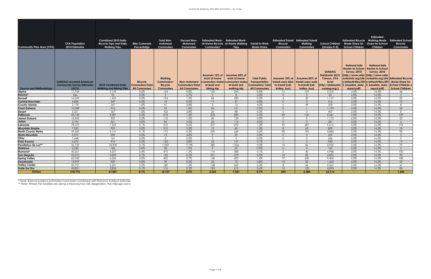| <b>Community Plan Area (CPA)</b> | <b>CPA Population</b><br>2010 Estimates                                      | <b>Combined 2010 Daily</b><br><b>Bicycle Trips and Daily</b><br><b>Walking Trips</b> | <b>Bike Commute</b><br>Percentatae                               | <b>Total Non-</b><br>motorized<br><b>Commuters</b>                 | <b>Percent Non-</b><br>Motorized<br>Commuters                   | <b>Estimated Work-</b> Estimated Work-<br>"commuters"                           | at-Home Bicycle at-Home Walking Transit to Work<br><b>Trips</b>                  | <b>Mode Share</b>                                                                              | <b>Bicycle</b><br>Commuters                                                | <b>Estimated Transit</b> Estimated Transit<br><b>Walking</b><br>Commuters  | <b>School Children</b><br>(Grades K-8)                                                          | Estimated Bicycle Walking Mode Estimated School<br>Mode Share for<br><b>School Children</b>                                                                                                                                            | <b>Estimated</b><br><b>Share for School</b><br>Children                               | <b>Bicycle</b><br><b>Commuters</b>                                                                   |
|----------------------------------|------------------------------------------------------------------------------|--------------------------------------------------------------------------------------|------------------------------------------------------------------|--------------------------------------------------------------------|-----------------------------------------------------------------|---------------------------------------------------------------------------------|----------------------------------------------------------------------------------|------------------------------------------------------------------------------------------------|----------------------------------------------------------------------------|----------------------------------------------------------------------------|-------------------------------------------------------------------------------------------------|----------------------------------------------------------------------------------------------------------------------------------------------------------------------------------------------------------------------------------------|---------------------------------------------------------------------------------------|------------------------------------------------------------------------------------------------------|
| Source and Methodoloav           | <b>SANDAG-recoded American</b><br><b>Community Survey Estimates</b><br>(ACS) | 2010 Combined Daily<br><b>Walking and Biking Trips</b>                               | <b>Bicycle</b><br><b>Commuters/Total</b><br><b>All Commuters</b> | <b>Walking</b><br>Commuters+<br><b>Bicycle</b><br><b>Commuters</b> | Non-motorized<br><b>Commuters/Total</b><br><b>All Commuters</b> | Assumes 15% of<br>work at home<br>commuters make<br>at least one<br>biking trip | Assumes 50% of<br>work at home<br>commuters make<br>at least one<br>walking trip | <b>Total Public</b><br><b>Transportation</b><br><b>Commuters/Total</b><br><b>All Commuters</b> | Assumes 10% of<br>transit users bike<br>to transit (rail,<br>trolley, bus) | Assumes 85% of<br>transit users walk<br>to transit (rail,<br>trolley, bus) | <b>SANDAG</b><br>DataSurfer 2010,<br>Census, CPA<br>level<br>http://datasurfer.<br>sandag.org/) | <b>National Safe</b><br><b>Routes to School</b><br><b>Survey, 2010</b><br>(http://www.safer (http://www.safer<br>outesinfo.org/site   outesinfo.org/site   Estimated Bicycle<br>s/default/files/SRT s/default/files/SRT<br>report.pdf) | <b>National Safe</b><br><b>Routes to School</b><br><b>Survey, 2010</b><br>report.pdf) | <b>Mode Share for</b><br>S baseline data S baseline data School Children x<br><b>School Children</b> |
| Alpine                           | 17,734                                                                       | 2,149                                                                                | 0.0%                                                             | 124                                                                | 0.8%                                                            | 103                                                                             | 344                                                                              | 0.8%                                                                                           | 13                                                                         | 109                                                                        | 2,318                                                                                           | 2.0%                                                                                                                                                                                                                                   | 14.5%                                                                                 | 46                                                                                                   |
| Barona*                          | 546                                                                          | 53                                                                                   | 0.0%                                                             | $\mathcal{B}$                                                      | 0.7%                                                            | $\Omega$                                                                        | 8                                                                                | 0.0%                                                                                           | $\circ$                                                                    | $\overline{0}$                                                             | 83                                                                                              | 2.0%                                                                                                                                                                                                                                   | 14.5%                                                                                 | $\gamma$                                                                                             |
| <b>Bonsall</b>                   | 16.249                                                                       | 1,425                                                                                | 0.0%                                                             | 134                                                                | 1.5%                                                            | 84                                                                              | 280                                                                              | 0.3%                                                                                           | $\boldsymbol{\Lambda}$                                                     | 20                                                                         | 1.157                                                                                           | 2.0%                                                                                                                                                                                                                                   | 14.5%                                                                                 | 23                                                                                                   |
| <b>Central Mountain</b>          | 4,858                                                                        | 347                                                                                  | 0.0%                                                             | 15                                                                 | 0.3%                                                            | 17                                                                              | 57                                                                               | 0.0%                                                                                           | $\Omega$                                                                   | $\Omega$                                                                   | 516                                                                                             | 2.0%                                                                                                                                                                                                                                   | 14.5%                                                                                 | 10                                                                                                   |
| <b>County Islands</b>            | 2.178                                                                        | 347                                                                                  | 1.0%                                                             | 41                                                                 | 2.8%                                                            |                                                                                 | 12                                                                               | 4.0%                                                                                           | 6                                                                          | 49                                                                         | 378                                                                                             | 2.0%                                                                                                                                                                                                                                   | 14.5%                                                                                 | R.                                                                                                   |
| Crest-Dehesa                     | 10.048                                                                       | 976                                                                                  | 0.0%                                                             | 93                                                                 | 1.0%                                                            | 45                                                                              | 151                                                                              | 0.0%                                                                                           | $\overline{0}$                                                             | $\overline{1}$                                                             | 1.199                                                                                           | 2.0%                                                                                                                                                                                                                                   | 14.5%                                                                                 | 24                                                                                                   |
| <b>Desert</b>                    | 5,251                                                                        | $\overline{567}$                                                                     | 1.0%                                                             | 102                                                                | 2.8%                                                            | 26                                                                              | 88                                                                               | $0.0\%$                                                                                        | $\Omega$                                                                   | $\Omega$                                                                   | 407                                                                                             | 2.0%                                                                                                                                                                                                                                   | 14.5%                                                                                 | 8                                                                                                    |
| <b>Fallbrook</b>                 | 43,148                                                                       | 4,981                                                                                | 0.2%                                                             | 518                                                                | 1.4%                                                            | 205                                                                             | 682                                                                              | 0.5%                                                                                           | 28                                                                         | 160                                                                        | 5.441                                                                                           | 2.0%                                                                                                                                                                                                                                   | 14.5%                                                                                 | 109                                                                                                  |
| Jamul-Dulzura                    | 10.943                                                                       | 959                                                                                  | 0.2%                                                             | 112                                                                | 1.3%                                                            | 40                                                                              | 134                                                                              | 0.0%                                                                                           | $\Omega$                                                                   | $\Omega$                                                                   | 1.173                                                                                           | 2.0%                                                                                                                                                                                                                                   | 14.5%                                                                                 | 23                                                                                                   |
| Julian                           | 3,194                                                                        | 561                                                                                  | 0.0%                                                             | 84                                                                 | 3.5%                                                            | 35                                                                              | 116                                                                              | 0.0%                                                                                           | $\overline{0}$                                                             | $\overline{0}$                                                             | 281                                                                                             | 2.0%                                                                                                                                                                                                                                   | 14.5%                                                                                 | 6                                                                                                    |
| Lakeside                         | 78.057                                                                       | 7.345                                                                                | 0.1%                                                             | 410                                                                | 0.6%                                                            | 207                                                                             | 692                                                                              | 1.2%                                                                                           | 90                                                                         | 687                                                                        | 9.616                                                                                           | 2.0%                                                                                                                                                                                                                                   | 14.5%                                                                                 | 192                                                                                                  |
| <b>Mountain Empire</b>           | 7,530                                                                        | 999                                                                                  | 0.0%                                                             | 215                                                                | 3.3%                                                            | 15                                                                              | 49                                                                               | 1.2%                                                                                           | 8                                                                          | 65                                                                         | 899                                                                                             | 2.0%                                                                                                                                                                                                                                   | 14.5%                                                                                 | 18                                                                                                   |
| <b>North County Metro</b>        | 49,660                                                                       | 4.141                                                                                | 0.1%                                                             | 173                                                                | 0.5%                                                            | 200<br>$\circ$                                                                  | 668                                                                              | 0.6%                                                                                           | 28                                                                         | 196                                                                        | 4.883                                                                                           | 2.0%                                                                                                                                                                                                                                   | 14.5%                                                                                 | 98                                                                                                   |
| <b>North Mountain</b>            | 3.270                                                                        | 309                                                                                  | 0.0%                                                             | 73                                                                 | 4.0%                                                            |                                                                                 | 29                                                                               | 0.0%                                                                                           | $\Omega$                                                                   | $\Omega$                                                                   | 265                                                                                             | 2.0%                                                                                                                                                                                                                                   | 14.5%                                                                                 | $\sqrt{5}$                                                                                           |
| Otay<br>Pala-Pauma               | 7,448<br>6,676                                                               | 141<br>976                                                                           | 0.0%<br>0.0%                                                     | $\Omega$<br>140                                                    | 0.0%<br>2.8%                                                    | $\cap$<br>42                                                                    | $\Omega$<br> 4                                                                   | 0.0%<br>0.1%                                                                                   | $\Omega$                                                                   | $\cap$<br>$\overline{5}$                                                   | 426<br>960                                                                                      | 2.0%<br>2.0%                                                                                                                                                                                                                           | 14.5%<br>14.5%                                                                        | 9<br>19                                                                                              |
| Pendleton-De Luz**               | 36,739                                                                       | 18,900                                                                               | 0.1%                                                             | 7,059                                                              | 17.9%                                                           | 380                                                                             | 1266                                                                             | 0.3%                                                                                           | 10 <sup>°</sup>                                                            | 86                                                                         | 3,935                                                                                           | 2.0%                                                                                                                                                                                                                                   | 14.5%                                                                                 | 79                                                                                                   |
| <b>Rainbow</b>                   | 2.230                                                                        | 186                                                                                  | 0.0%                                                             | 28                                                                 | 1.9%                                                            | $\circ$                                                                         | 29                                                                               | 0.0%                                                                                           | $\Omega$                                                                   | $\cap$                                                                     | 169                                                                                             | 2.0%                                                                                                                                                                                                                                   | 14.5%                                                                                 | $\mathcal{R}$                                                                                        |
| Ramona*                          | 40,261                                                                       | 4,207                                                                                | 0.4%                                                             | 472                                                                | 1.5%                                                            | 176                                                                             | 588                                                                              | 0.1%                                                                                           | 5 <sup>5</sup>                                                             | 40                                                                         | 4.988                                                                                           | 2.0%                                                                                                                                                                                                                                   | 14.5%                                                                                 | 100                                                                                                  |
| <b>San Dieguito</b>              | 23,210                                                                       | 3.829                                                                                | 0.1%                                                             | 135                                                                | 0.5%                                                            | 201                                                                             | 670                                                                              | 0.5%                                                                                           | 18                                                                         | 82                                                                         | 4.895                                                                                           | 2.0%                                                                                                                                                                                                                                   | 14.5%                                                                                 | 98                                                                                                   |
| <b>Spring Valley</b>             | 62,958                                                                       | 6,626                                                                                | 0.0%                                                             | 402                                                                | 0.7%                                                            | $\overline{148}$                                                                | 493                                                                              | 1.4%                                                                                           | 79                                                                         | 640                                                                        | 9.404                                                                                           | 2.0%                                                                                                                                                                                                                                   | 14.5%                                                                                 | 188                                                                                                  |
| <b>Sweetwater</b>                | 13,979                                                                       | 939                                                                                  | 0.0%                                                             | 39                                                                 | 0.3%                                                            | 22                                                                              | 75                                                                               | 0.8%                                                                                           | 10 <sup>°</sup>                                                            | 82                                                                         | 1.463                                                                                           | 2.0%                                                                                                                                                                                                                                   | 14.5%                                                                                 | 29                                                                                                   |
| <b>Valley Center</b>             | 20,757                                                                       | 2,201                                                                                | 0.0%                                                             | 189                                                                | 1.2%                                                            | 108                                                                             | 360                                                                              | 0.3%                                                                                           | 8                                                                          | 46                                                                         | 2.367                                                                                           | 2.0%                                                                                                                                                                                                                                   | 14.5%                                                                                 | 47                                                                                                   |
| <b>Valle De Oro</b>              | 43.851                                                                       | 3.836                                                                                | 0.1%                                                             | 176                                                                | 0.5%                                                            | 185                                                                             | 615                                                                              | 0.4%                                                                                           | 15                                                                         | 120                                                                        | 4.893                                                                                           | 2.0%                                                                                                                                                                                                                                   | 14.5%                                                                                 | 98                                                                                                   |
| <b>TOTALS</b>                    | 510,775                                                                      | 67.001                                                                               | 0.1%                                                             | 10.737                                                             | 2.5%                                                            | 2.262                                                                           | 7.541                                                                            | 0.7%                                                                                           | 324                                                                        | 2.388                                                                      | 62.116                                                                                          |                                                                                                                                                                                                                                        |                                                                                       | 1.242                                                                                                |
|                                  |                                                                              |                                                                                      |                                                                  |                                                                    |                                                                 |                                                                                 |                                                                                  |                                                                                                |                                                                            |                                                                            |                                                                                                 |                                                                                                                                                                                                                                        |                                                                                       |                                                                                                      |